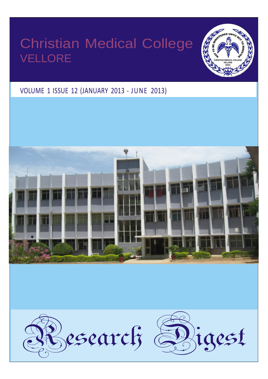# Christian Medical College VELLORE



## VOLUME 1 ISSUE 12 (JANUARY 2013 - JUNE 2013)

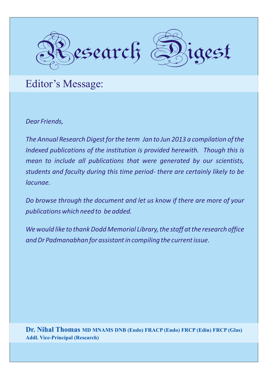

Editor's Message:

*Dear Friends,*

*The Annual Research Digest for the term Jan to Jun 2013 a compilation of the Indexed publications of the institution is provided herewith. Though this is mean to include all publications that were generated by our scientists, students and faculty during this time period- there are certainly likely to be lacunae.*

*Do browse through the document and let us know if there are more of your publications which need to be added.*

*We would like to thank Dodd Memorial Library, the staff at the research office and Dr Padmanabhan for assistant in compiling the current issue.*

**Dr. Nihal Thomas MD MNAMS DNB (Endo) FRACP (Endo) FRCP (Edin) FRCP (Glas) Addl. Vice-Principal (Research)**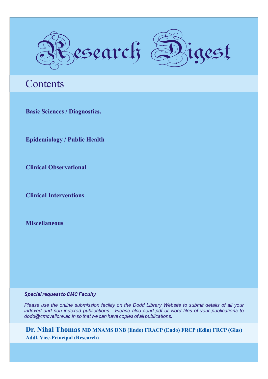

## **Contents**

**Basic Sciences / Diagnostics.**

**Epidemiology / Public Health**

**Clinical Observational**

**Clinical Interventions**

**Miscellaneous**

### *Special request to CMC Faculty*

*Please use the online submission facility on the Dodd Library Website to submit details of all your indexed and non indexed publications. Please also send pdf or word files of your publications to dodd@cmcvellore.ac.in so that we can have copies of all publications.*

**Dr. Nihal Thomas MD MNAMS DNB (Endo) FRACP (Endo) FRCP (Edin) FRCP (Glas) Addl. Vice-Principal (Research)**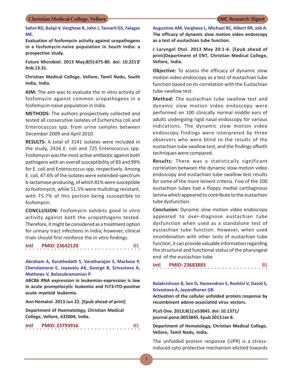**Sahni RD, Balaji V, Varghese R, John J, Tansarli GS, Falagas ME.**

**Evaluation of fosfomycin activity against uropathogens in a fosfomycin-naïve population in South India: a prospective study.**

**Future Microbiol. 2013 May;8(5):675-80. doi: 10.2217/ fmb.13.31.**

**Christian Medical College, Vellore, Tamil Nadu, South India, India.**

**AIM:** The aim was to evaluate the in vitro activity of fosfomycin against common uropathogens in a fosfomycin-naive population in India.

**METHODS:** The authors prospectively collected and tested all consecutive isolates of Escherichia coli and Enterococcus spp. from urine samples between December 2009 and April 2010.

**RESULTS:** A total of 3141 isolates were included in the study, 2416 E. coli and 725 Enterococcus spp. Fosfomycin was the most active antibiotic against both pathogens with an overall susceptibility of 83 and 99% for E. coli and Enterococcus spp, respectively. Among E. coli, 47.6% of the isolates were extended-spectrum b-lactamase producing, of which 81% were susceptible to fosfomycin, while 51.5% were multidrug resistant, with 75.7% of this portion being susceptible to fosfomycin.

**CONCLUSION:** Fosfomycin exhibits good in vitro activity against both the uropathogens tested. Therefore, it might be considered as a treatment option for urinary tract infections in India; however, clinical trials should first reinforce the in vitro findings.

## **Intl PMID: 23642120** BS

**Abraham A, Karathedath S, Varatharajan S, Markose P, Chendamarai E, Jayavelu AK, George B, Srivastava A, Mathews V, Balasubramanian P.**

**ABCB6 RNA expression in leukemias-expression is low in acute promyelocytic leukemia and FLT3-ITD-positive acute myeloid leukemia.**

**Ann Hematol. 2013 Jun 22. [Epub ahead of print]**

**Department of Haematology, Christian Medical College, Vellore, 632004, India.**

| Intl |  |  | <b>PMID: 23793916</b> |  |  |  |  |  |  |  |  |  |  |  |  |  |
|------|--|--|-----------------------|--|--|--|--|--|--|--|--|--|--|--|--|--|
|      |  |  |                       |  |  |  |  |  |  |  |  |  |  |  |  |  |

**Augustine AM, Varghese L, Michael RC, Albert RR, Job A. The efficacy of dynamic slow motion video endoscopy as a test of eustachian tube function.**

**J Laryngol Otol. 2013 May 20:1-6. [Epub ahead of print]Department of ENT, Christian Medical College, Vellore, India.**

**Objective:** To assess the efficacy of dynamic slow motion video endoscopy as a test of eustachian tube function based on its correlation with the Eustachian tube swallow test.

**Method:** The eustachian tube swallow test and dynamic slow motion video endoscopy were performed on 100 clinically normal middle ears of adults undergoing rigid nasal endoscopy for various indications. The dynamic slow motion video endoscopy findings were interpreted by three observers who were blind to the results of the eustachian tube swallow test, and the findings ofboth techniques were compared.

**Results:** There was a statistically significant correlation between the dynamic slow motion video endoscopy and eustachian tube swallow test results for some of the more lenient criteria. Five of the 100 eustachian tubes had a floppy medial cartilaginous lamina which appeared to contribute to the eustachian tube dysfunction.

**Conclusion:** Dynamic slow motion video endoscopy appeared to over-diagnose eustachian tube dysfunction when used as a standalone test of eustachian tube function. However, when used incombination with other tests of eustachian tube function, it can provide valuable information regarding the structural and functional status of the pharyngeal end of the eustachian tube

|  |  |  |  |  |  |  |  |  |  |  |  |  |  |  | <b>BS</b> |
|--|--|--|--|--|--|--|--|--|--|--|--|--|--|--|-----------|
|  |  |  |  |  |  |  |  |  |  |  |  |  |  |  |           |

### **Balakrishnan B, Sen D, Hareendran S, Roshini V, David S, Srivastava A, Jayandharan GR.**

**Activation of the cellular unfolded protein response by recombinant adeno-associated virus vectors.**

**PLoS One. 2013;8(1):e53845. doi: 10.1371/ journal.pone.0053845. Epub 2013 Jan 8.**

**Department of Hematology, Christian Medical College, Vellore, Tamil Nadu, India.**

The unfolded protein response (UPR) is a stressinduced cyto-protective mechanism elicited towards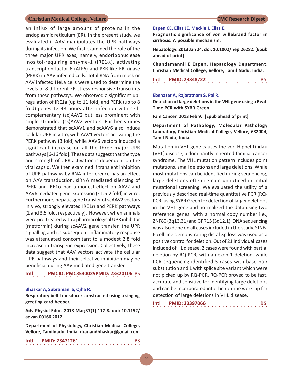an influx of large amount of proteins in the endoplasmic reticulum (ER). In the present study, we evaluated if AAV manipulates the UPR pathways during its infection. We first examined the role of the three major UPR axes, namely, endoribonuclease inositol-requiring enzyme-1 (IRE1 $\alpha$ ), activating transcription factor 6 (ATF6) and PKR-like ER kinase (PERK) in AAV infected cells. Total RNA from mock or AAV infected HeLa cells were used to determine the levels of 8 different ER-stress responsive transcripts from these pathways. We observed a significant upregulation of IRE1a (up to 11 fold) and PERK (up to 8 fold) genes 12-48 hours after infection with selfcomplementary (sc)AAV2 but less prominent with single-stranded (ss)AAV2 vectors. Further studies demonstrated that scAAV1 and scAAV6 also induce cellular UPR in vitro, with AAV1 vectors activating the PERK pathway (3 fold) while AAV6 vectors induced a significant increase on all the three major UPR pathways [6-16 fold]. These data suggest that the type and strength of UPR activation is dependent on the viral capsid. We then examined if transient inhibition of UPR pathways by RNA interference has an effect on AAV transduction. siRNA mediated silencing of PERK and IRE1 $\alpha$  had a modest effect on AAV2 and AAV6 mediated gene expression  $(-1.5-2 \text{ fold})$  in vitro. Furthermore, hepatic gene transfer of scAAV2 vectors in vivo, strongly elevated IRE1 $\alpha$  and PERK pathways (2 and 3.5 fold, respectively). However, when animals were pre-treated with a pharmacological UPR inhibitor (metformin) during scAAV2 gene transfer, the UPR signalling and its subsequent inflammatory response was attenuated concomitant to a modest 2.8 fold increase in transgene expression. Collectively, these data suggest that AAV vectors activate the cellular UPR pathways and their selective inhibition may be beneficial during AAV mediated gene transfer.

### ○○○○○○○○○○○○○○○○ ○○○○○○○○○○○○○○○○ **Intl PMCID: PMC3540029PMID: 23320106** BS

### **Bhaskar A, Subramani S, Ojha R.**

**Respiratory belt transducer constructed using a singing greeting card beeper.**

**Adv Physiol Educ. 2013 Mar;37(1):117-8. doi: 10.1152/ advan.00166.2012.**

**Department of Physiology, Christian Medical College, Vellore, Tamilnadu, India. dranandbhaskar@gmail.com**

**Intl PMID: 23471261** BS

### **Eapen CE, Elias JE, Mackie I, Elias E.**

**Prognostic significance of von willebrand factor in cirrhosis: A possible mechanism.**

**Hepatology. 2013 Jan 24. doi: 10.1002/hep.26282. [Epub ahead of print]**

**Chundamannil E Eapen, Hepatology Department, Christian Medical College, Vellore, Tamil Nadu, India.**

 $\begin{array}{c} \n\text{Init} \\
\vdots \\
\begin{array}{ccc}\n\text{PMD: } & 23348722 \\
\vdots \\
\end{array}\n\end{array}$ 

### **Ebenazer A, Rajaratnam S, Pai R.**

**Detection of large deletions in the VHL gene using a Real-Time PCR with SYBR Green.**

**Fam Cancer. 2013 Feb 9. [Epub ahead of print]**

**Department of Pathology, Molecular Pathology Laboratory, Christian Medical College, Vellore, 632004, Tamil Nadu, India.**

Mutation in VHL gene causes the von Hippel-Lindau (VHL) disease, a dominantly inherited familial cancer syndrome. The VHL mutation pattern includes point mutations, small deletions and large deletions. While most mutations can be identified during sequencing, large deletions often remain unnoticed in initial mutational screening. We evaluated the utility of a previously described real-time quantitative PCR (RQ-PCR) using SYBR Green for detection of larger deletions in the VHL gene and normalized the data using two reference genes with a normal copy number i.e., ZNF80 (3q13.31) and GPR15 (3q12.1). DNA sequencing was also done on all cases included in the study. SJNB-6 cell line demonstrating distal 3p loss was used as a positive control for deletion. Out of 21 individual cases included of HL disease, 2 cases were found with partial deletion by RQ-PCR, with an exon 1 deletion, while PCR-sequencing identified 5 cases with base pair substitution and 1 with splice site variant which were not picked up by RQ-PCR. RQ-PCR proved to be fast, accurate and sensitive for identifying large deletions and can be incorporated into the routine work-up for detection of large deletions in VHL disease.

| Intl |  |  |  |  |  |  | <b>PMID: 23397066</b> |  |  |  |  |  |  |  |  |  |
|------|--|--|--|--|--|--|-----------------------|--|--|--|--|--|--|--|--|--|
|      |  |  |  |  |  |  |                       |  |  |  |  |  |  |  |  |  |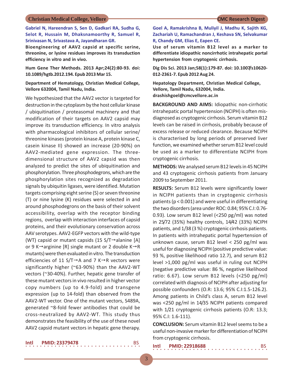**Gabriel N, Hareendran S, Sen D, Gadkari RA, Sudha G, Selot R, Hussain M, Dhaksnamoorthy R, Samuel R, Srinivasan N, Srivastava A, Jayandharan GR.**

**Bioengineering of AAV2 capsid at specific serine, threonine, or lysine residues improves its transduction efficiency in vitro and in vivo.**

**Hum Gene Ther Methods. 2013 Apr;24(2):80-93. doi: 10.1089/hgtb.2012.194. Epub 2013 Mar 15.**

**Department of Hematology, Christian Medical College, Vellore 632004, Tamil Nadu, India.**

We hypothesized that the AAV2 vector is targeted for destruction in the cytoplasm by the host cellular kinase / ubiquitination / proteasomal machinery and that modification of their targets on AAV2 capsid may improve its transduction efficiency. In vitro analysis with pharmacological inhibitors of cellular serine/ threonine kinases (protein kinase A, protein kinase C, casein kinase II) showed an increase (20-90%) on AAV2-mediated gene expression. The threedimensional structure of AAV2 capsid was then analyzed to predict the sites of ubiquitination and phosphorylation. Three phosphodegrons, which are the phosphorylation sites recognized as degradation signals by ubiquitin ligases, were identified. Mutation targets comprising eight serine (S) or seven threonine (T) or nine lysine (K) residues were selected in and around phosphodegrons on the basis of their solvent accessibility, overlap with the receptor binding regions, overlap with interaction interfaces of capsid proteins, and their evolutionary conservation across AAV serotypes. AAV2-EGFP vectors with the wild-type (WT) capsid or mutant capsids (15 S/T $\rightarrow$ alanine [A] or 9 K $\rightarrow$ arginine [R] single mutant or 2 double K $\rightarrow$ R mutants) were then evaluated in vitro. The transduction efficiencies of 11 S/T $\rightarrow$ A and 7 K $\rightarrow$ R vectors were significantly higher (~63-90%) than the AAV2-WT vectors (~30-40%). Further, hepatic gene transfer of these mutant vectors in vivo resulted in higher vector copy numbers (up to 4.9-fold) and transgene expression (up to 14-fold) than observed from the AAV2-WT vector. One of the mutant vectors, S489A, generated ~8-fold fewer antibodies that could be cross-neutralized by AAV2-WT. This study thus demonstrates the feasibility of the use of these novel AAV2 capsid mutant vectors in hepatic gene therapy.

○○○○○○○○○○○○○○○○ ○○○○○○○○○○○○○○○○ **Intl PMID: 23379478** 

**Goel A, Ramakrishna B, Muliyil J, Madhu K, Sajith KG, Zachariah U, Ramachandran J, Keshava SN, Selvakumar R, Chandy GM, Elias E, Eapen CE.**

**Use of serum vitamin B12 level as a marker to differentiate idiopathic noncirrhotic intrahepatic portal hypertension from cryptogenic cirrhosis.**

**Dig Dis Sci. 2013 Jan;58(1):179-87. doi: 10.1007/s10620- 012-2361-7. Epub 2012 Aug 24.**

**Hepatology Department, Christian Medical College, Vellore, Tamil Nadu, 632004, India. drashishgoel@cmcvellore.ac.in**

**BACKGROUND AND AIMS:** Idiopathic non-cirrhotic intrahepatic portal hypertension (NCIPH) is often misdiagnosed as cryptogenic cirrhosis. Serum vitamin B12 levels can be raised in cirrhosis, probably because of excess release or reduced clearance. Because NCIPH is characterised by long periods of preserved liver function, we examined whether serum B12 level could be used as a marker to differentiate NCIPH from cryptogenic cirrhosis.

**METHODS:** We analysed serum B12 levels in 45 NCIPH and 43 cryptogenic cirrhosis patients from January 2009 to September 2011.

**RESULTS:** Serum B12 levels were significantly lower in NCIPH patients than in cryptogenic cirrhosis patients (p < 0.001) and were useful in differentiating the two disorders (area under ROC: 0.84; 95% C.I: 0.76- 0.93). Low serum B12 level (<250 pg/ml) was noted in 25/72 (35%) healthy controls, 14/42 (33%) NCIPH patients, and 1/38 (3 %) cryptogenic cirrhosis patients. In patients with intrahepatic portal hypertension of unknown cause, serum B12 level < 250 pg/ml was useful for diagnosing NCIPH (positive predictive value: 93 %, positive likelihood ratio 12.7), and serum B12 level >1,000 pg/ml was useful in ruling out NCIPH (negative predictive value: 86 %, negative likelihood ratio: 6.67). Low serum B12 levels (<250 pg/ml) correlated with diagnosis of NCIPH after adjusting for possible confounders (O.R: 13.6; 95% C.I:1.5-126.2). Among patients in Child's class A, serum B12 level was <250 pg/ml in 14/35 NCIPH patients compared with  $1/21$  cryptogenic cirrhosis patients (O.R: 13.3; 95% C.I: 1.6-111).

**CONCLUSION:** Serum vitamin B12 level seems to be a useful non-invasive marker for differentiation of NCIPH from cryptogenic cirrhosis.

 $\begin{bmatrix} \text{Intl} & \text{PMID: } 22918688 \\ \text{I.} & \text{I.} & \text{I.} & \text{I.} & \text{I.} \\ \end{bmatrix}$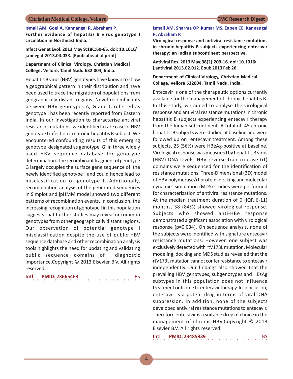**Ismail AM, Goel A, Kannangai R, Abraham P.**

**Further evidence of hepatitis B virus genotype I circulation in Northeast India.**

**Infect Genet Evol. 2013 May 9;18C:60-65. doi: 10.1016/ j.meegid.2013.04.033. [Epub ahead of print]**

**Department of Clinical Virology, Christian Medical College, Vellore, Tamil Nadu 632 004, India.**

Hepatitis B virus (HBV) genotypes have known to show a geographical pattern in their distribution and have been used to trace the migration of populations from geographically distant regions. Novel recombinants between HBV genotypes A, G and C referred as genotype I has been recently reported from Eastern India. In our investigation to characterise antiviral resistance mutations, we identified a rare case of HBV genotype I infection in chronic hepatitis B subject. We encountered confounding results of this emerging genotype 'designated as genotype G' in three widely used HBV sequence database for genotype determination. The recombinant fragment of genotype G largely occupies the surface gene sequence of the newly identified genotype I and could hence lead to misclassification of genotype I. Additionally, recombination analysis of the generated sequences in Simplot and jpHMM model showed two different patterns of recombination events. In conclusion, the increasing recognition of genotype I in this population suggests that further studies may reveal uncommon genotypes from other geographically distant regions. Our observation of potential genotype I misclassification despite the use of public HBV sequence database and other recombination analysis tools highlights the need for updating and validating public sequence domains of diagnostic importance.Copyright © 2013 Elsevier B.V. All rights reserved.

 $\cdot\cdot\cdot\cdot\cdot\cdot\cdot\cdot\cdot\cdot\cdot\cdot$ **Intl PMID: 23665463** 

### **Ismail AM, Sharma OP, Kumar MS, Eapen CE, Kannangai R, Abraham P.**

**Virological response and antiviral resistance mutations in chronic hepatitis B subjects experiencing entecavir therapy: an Indian subcontinent perspective.**

**Antiviral Res. 2013 May;98(2):209-16. doi: 10.1016/ j.antiviral.2013.02.012. Epub 2013 Feb 26.**

### **Department of Clinical Virology, Christian Medical College, Vellore 632004, Tamil Nadu, India.**

Entecavir is one of the therapeutic options currently available for the management of chronic hepatitis B. In this study, we aimed to analyse the virological response and antiviral resistance mutations in chronic hepatitis B subjects experiencing entecavir therapy from the Indian subcontinent. A total of 45 chronic hepatitis B subjects were studied at baseline and were followed up on entecavir treatment. Among these subjects, 25 (56%) were HBeAg-positive at baseline. Virological response was measured by hepatitis B virus (HBV) DNA levels. HBV reverse transcriptase (rt) domains were sequenced for the identification of resistance mutations. Three-Dimensional (3D) model of HBV polymerase/rt protein, docking and molecular dynamics simulation (MDS) studies were performed for characterization of antiviral resistance mutations. At the median treatment duration of 6 (IQR 6-11) months, 38 (84%) showed virological response. Subjects who showed anti-HBe response demonstrated significant association with virological response (p=0.034). On sequence analysis, none of the subjects were identified with signature entecavir resistance mutations. However, one subject was exclusively detected with rtV173L mutation. Molecular modeling, docking and MDS studies revealed that the rtV173L mutation cannot confer resistance to entecavir independently. Our findings also showed that the prevailing HBV genotypes, subgenotypes and HBsAg subtypes in this population does not influence treatment outcome to entecavir therapy. In conclusion, entecavir is a potent drug in terms of viral DNA suppression. In addition, none of the subjects developed antiviral resistance mutations to entecavir. Therefore entecavir is a suitable drug of choice in the management of chronic HBV.Copyright © 2013 Elsevier B.V. All rights reserved.

○○○○○○○○○○○○○○○○ ○○○○○○○○○○○○○○○○ **Intl PMID: 23485939** BS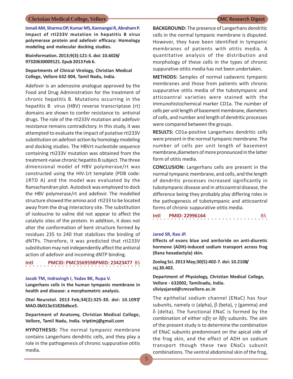**Ismail AM, Sharma OP, Kumar MS, Kannangai R, Abraham P. Impact of rtI233V mutation in hepatitis B virus polymerase protein and adefovir efficacy: Homology modeling and molecular docking studies.**

**Bioinformation. 2013;9(3):121-5. doi: 10.6026/ 97320630009121. Epub 2013 Feb 6.**

**Departments of Clinical Virology, Christian Medical College, Vellore 632 004, Tamil Nadu, India.**

Adefovir is an adenosine analogue approved by the Food and Drug Administration for the treatment of chronic hepatitis B. Mutations occurring in the hepatitis B virus (HBV) reverse transcriptase (rt) domains are shown to confer resistance to antiviral drugs. The role of the rtI233V mutation and adefovir resistance remains contradictory. In this study, it was attempted to evaluate the impact of putative rtI233V substitution on adefovir action by homology modeling and docking studies. The HBVrt nucleotide sequence containing rtI233V mutation was obtained from the treatment-naive chronic hepatitis B subject. The three dimensional model of HBV polymerase/rt was constructed using the HIV-1rt template (PDB code: 1RTD A) and the model was evaluated by the Ramachandran plot. Autodock was employed to dock the HBV polymerase/rt and adefovir. The modelled structure showed the amino acid rtI233 to be located away from the drug interactory site. The substitution of isoleucine to valine did not appear to affect the catalytic sites of the protein. In addition, it does not alter the conformation of bent structure formed by residues 235 to 240 that stabilizes the binding of dNTPs. Therefore, it was predicted that rtI233V substitution may not independently affect the antiviral action of adefovir and incoming dNTP binding.

### ○○○○○○○○○○○○○○○○ ○○○○○○○○○○○○○○○○ **Intl PMCID: PMC3569598PMID: 23423477** BS

### **Jacob TM, Indrasingh I, Yadav BK, Rupa V.**

**Langerhans cells in the human tympanic membrane in health and disease: a morphometric analysis.**

**Otol Neurotol. 2013 Feb;34(2):325-30. doi: 10.1097/ MAO.0b013e31826dbce5.**

**Department of Anatomy, Christian Medical College, Vellore, Tamil Nadu, India. triptimj@gmail.com**

**HYPOTHESIS:** The normal tympanic membrane contains Langerhans dendritic cells, and they play a role in the pathogenesis of chronic suppurative otitis media.

**BACKGROUND:** The presence of Langerhans dendritic cells in the normal tympanic membrane is disputed. However, they have been identified in tympanic membranes of patients with otitis media. A quantitative analysis of the distribution and morphology of these cells in the types of chronic suppurative otitis media has not been undertaken.

**METHODS:** Samples of normal cadaveric tympanic membranes and those from patients with chronic suppurative otitis media of the tubotympanic and atticoantral varieties were stained with the immunohistochemical marker CD1a. The number of cells per unit length of basement membrane, diameters of cells, and number and length of dendritic processes were compared between the groups.

**RESULTS:** CD1a-positive Langerhans dendritic cells were present in the normal tympanic membrane. The number of cells per unit length of basement membrane,diameters of more pronounced in the latter form of otitis media.

**CONCLUSION:** Langerhans cells are present in the normal tympanic membrane, and cells, and the length of dendritic processes increased significantly in tubotympanic disease and in atticoantral disease, the difference being they probably play differing roles in the pathogenesis of tubotympanic and atticoantral forms of chronic suppurative otitis media.

**Intl PMID: 22996164** BS

### **Jared SR, Rao JP.**

**Effects of evans blue and amiloride on anti-diuretic hormone (ADH)-induced sodium transport across frog (Rana hexadactyla) skin.**

**Zoolog Sci. 2013 May;30(5):402-7. doi: 10.2108/ zsj.30.402.**

**Department of Physiology, Christian Medical College, Vellore - 632002, Tamilnadu, India. silviyajared@cmcvellore.ac.in**

The epithelial sodium channel (ENaC) has four subunits, namely  $\alpha$  (alpha),  $\beta$  (beta),  $\gamma$  (gamma) and  $\delta$  (delta). The functional ENaC is formed by the combination of either  $\alpha\beta\gamma$  or  $\delta\beta\gamma$  subunits. The aim of the present study is to determine the combination of ENaC subunits predominant on the apical side of the frog skin, and the effect of ADH on sodium transport though these two ENaCs subunit combinations. The ventral abdominal skin of the frog,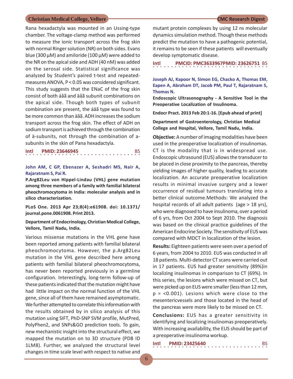Rana hexadactyla was mounted in an Ussing-type chamber. The voltage-clamp method was performed to measure the ionic transport across the frog skin with normal Ringer solution (NR) on both sides. Evans blue (300  $\mu$ M) and amiloride (100  $\mu$ M) were added to the NR on the apical side and ADH (40 nM) was added on the serosal side. Statistical significance was analyzed by Student's paired t-test and repeatedmeasures ANOVA, P < 0.05 was considered significant. This study suggests that the ENaC of the frog skin consist of both áâã and äâã subunit combinations on the apical side. Though both types of subunit combination are present, the áâã type was found to be more common than äâã. ADH increases the sodium transport across the frog skin. The effect of ADH on sodium transport is achieved through the combination of ä-subunits, not through the combination of asubunits in the skin of Pana hexadactyla.

**Intl PMID: 23646945** BS

### **John AM, C GP, Ebenazer A, Seshadri MS, Nair A, Rajaratnam S, Pai R.**

**P.Arg82Leu von Hippel-Lindau (VHL) gene mutation among three members of a family with familial bilateral pheochromocytoma in India: molecular analysis and in silico characterization.**

**PLoS One. 2013 Apr 23;8(4):e61908. doi: 10.1371/ journal.pone.0061908. Print 2013.**

### **Department of Endocrinology, Christian Medical College, Vellore, Tamil Nadu, India.**

Various missense mutations in the VHL gene have been reported among patients with familial bilateral pheochromocytoma. However, the p.Arg82Leu mutation in the VHL gene described here among patients with familial bilateral pheochromocytoma, has never been reported previously in a germline configuration. Interestingly, long-term follow-up of these patients indicated that the mutation might have had little impact on the normal function of the VHL gene, since all of them have remained asymptomatic. We further attempted to correlate this information with the results obtained by in silico analysis of this mutation using SIFT, PhD-SNP SVM profile, MutPred, PolyPhen2, and SNPs&GO prediction tools. To gain, new mechanistic insight into the structural effect, we mapped the mutation on to 3D structure (PDB ID 1LM8). Further, we analyzed the structural level changes in time scale level with respect to native and

mutant protein complexes by using 12 ns molecular dynamics simulation method. Though these methods predict the mutation to have a pathogenic potential, it remains to be seen if these patients will eventually develop symptomatic disease.

○○○○○○○○○○○○○○○○ ○○○○○○○○○○○○○○○○ **Intl PMCID: PMC3633967PMID: 23626751** BS

**Joseph AJ, Kapoor N, Simon EG, Chacko A, Thomas EM, Eapen A, Abraham DT, Jacob PM, Paul T, Rajaratnam S, Thomas N.**

**Endoscopic Ultrasonography - A Sensitive Tool in the Preoperative Localization of Insulinoma.**

**Endocr Pract. 2013 Feb 20:1-16. [Epub ahead of print]**

**Department of Gastroenterology, Christian Medical College and Hospital, Vellore, Tamil Nadu, India.**

**Objective:** A number of imaging modalities have been used in the preoperative localization of insulinomas. CT is the modality that is in widespread use. Endoscopic ultrasound (EUS) allows the transducer to be placed in close proximity to the pancreas, thereby yielding images of higher quality, leading to accurate localization. An accurate preoperative localization results in minimal invasive surgery and a lower occurrence of residual tumours translating into a better clinical outcome.Methods: We analyzed the hospital records of all adult patients (age > 18 yrs), who were diagnosed to have insulinoma, over a period of 6 yrs, from Oct 2004 to Sept 2010. The diagnosis was based on the clinical practice guidelines of the American Endocrine Society. The sensitivity of EUS was compared with MDCT in localization of the lesion.

**Results:** Eighteen patients were seen over a period of 6 years, from 2004 to 2010. EUS was conducted in all 18 patients. Multi-detector CT scans were carried out in 17 patients. EUS had greater sensitivity (89%)in localizing insulinomas in comparison to CT (69%). In this series, the lesions which were missed on CT, but were picked up on EUS were smaller (less than 12 mm, p = <0.001). Lesions which were close to the mesentericvessels and those located in the head of the pancreas were more likely to be missed on CT.

**Conclusions:** EUS has a greater sensitivity in identifying and localizing insulinomas preoperatively. With increasing availability, the EUS should be part of a preoperative insulinoma workup.

| Intl |  |  |  |  |  |  | <b>PMID: 23425640</b> |  |  |  |  |  |  |  | BS |  |
|------|--|--|--|--|--|--|-----------------------|--|--|--|--|--|--|--|----|--|
|      |  |  |  |  |  |  |                       |  |  |  |  |  |  |  |    |  |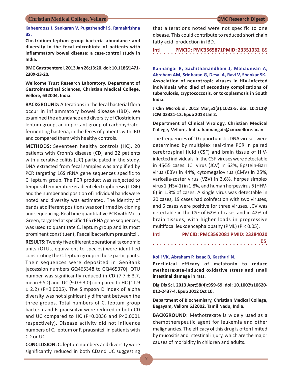**Kabeerdoss J, Sankaran V, Pugazhendhi S, Ramakrishna BS.**

**Clostridium leptum group bacteria abundance and diversity in the fecal microbiota of patients with inflammatory bowel disease: a case-control study in India.**

**BMC Gastroenterol. 2013 Jan 26;13:20. doi: 10.1186/1471- 230X-13-20.**

**Wellcome Trust Research Laboratory, Department of Gastrointestinal Sciences, Christian Medical College, Vellore, 632004, India.**

**BACKGROUND:** Alterations in the fecal bacterial flora occur in inflammatory bowel disease (IBD). We examined the abundance and diversity of Clostridium leptum group, an important group of carbohydratefermenting bacteria, in the feces of patients with IBD and compared them with healthy controls.

**METHODS:** Seventeen healthy controls (HC), 20 patients with Crohn's disease (CD) and 22 patients with ulcerative colitis (UC) participated in the study. DNA extracted from fecal samples was amplified by PCR targeting 16S rRNA gene sequences specific to C. leptum group. The PCR product was subjected to temporal temperature gradient electrophoresis (TTGE) and the number and position of individual bands were noted and diversity was estimated. The identity of bands at different positions was confirmed by cloning and sequencing. Real time quantitative PCR with Mesa Green, targeted at specific 16S rRNA gene sequences, was used to quantitate C. leptum group and its most prominent constituent, Faecalibacterium prausnitzii.

**RESULTS:** Twenty five different operational taxonomic units (OTUs, equivalent to species) were identified constituting the C. leptum group in these participants. Their sequences were deposited in GenBank [accession numbers GQ465348 to GQ465370]. OTU number was significantly reduced in CD (7.7  $\pm$  3.7, mean  $\pm$  SD) and UC (9.0  $\pm$  3.0) compared to HC (11.9  $\pm$  2.2) (P=0.0005). The Simpson D index of alpha diversity was not significantly different between the three groups. Total numbers of C. leptum group bacteria and F. prausnitzii were reduced in both CD and UC compared to HC (P=0.0036 and P<0.0001 respectively). Disease activity did not influence numbers of C. leptum or F. prausnitzii in patients with CD or UC.

**CONCLUSION:** C. leptum numbers and diversity were significantly reduced in both CDand UC suggesting

that alterations noted were not specific to one disease. This could contribute to reduced short chain fatty acid production in IBD.

○○○○○○○○○○○○○○○○ ○○○○○○○○○○○○○○○○ **Intl PMCID: PMC3565871PMID: 23351032** BS

**Kannangai R, Sachithanandham J, Mahadevan A, Abraham AM, Sridharan G, Desai A, Ravi V, Shankar SK. Association of neurotropic viruses in HIV-infected individuals who died of secondary complications of tuberculosis, cryptococcosis, or toxoplasmosis in South India.**

**J Clin Microbiol. 2013 Mar;51(3):1022-5. doi: 10.1128/ JCM.03321-12. Epub 2013 Jan 2.**

**Department of Clinical Virology, Christian Medical College, Vellore, India. kannangair@cmcvellore.ac.in**

The frequencies of 10 opportunistic DNA viruses were determined by multiplex real-time PCR in paired cerebrospinal fluid (CSF) and brain tissue of HIVinfected individuals. In the CSF, viruses were detectable in 45/55 cases: JC virus (JCV) in 62%, Epstein-Barr virus (EBV) in 44%, cytomegalovirus (CMV) in 25%, varicella-zoster virus (VZV) in 3.6%, herpes simplex virus 1 (HSV-1) in 1.8%, and human herpesvirus 6 (HHV-6) in 1.8% of cases. A single virus was detectable in 20 cases, 19 cases had coinfection with two viruses, and 6 cases were positive for three viruses. JCV was detectable in the CSF of 62% of cases and in 42% of brain tissues, with higher loads in progressive multifocal leukoencephalopathy (PML) (P < 0.05).

**Intl PMCID: PMC3592081 PMID: 23284020** ○○○○○○○○○○○○○○○○ ○○○○○○○○○○○○○○○○ BS

### **Kolli VK, Abraham P, Isaac B, Kasthuri N.**

**Preclinical efficacy of melatonin to reduce methotrexate-induced oxidative stress and small intestinal damage in rats.**

**Dig Dis Sci. 2013 Apr;58(4):959-69. doi: 10.1007/s10620- 012-2437-4. Epub 2012 Oct 10.**

**Department of Biochemistry, Christian Medical College, Bagayam, Vellore 632002, Tamil Nadu, India.**

**BACKGROUND:** Methotrexate is widely used as a chemotherapeutic agent for leukemia and other malignancies. The efficacy of this drug is often limited by mucositis and intestinal injury, which are the major causes of morbidity in children and adults.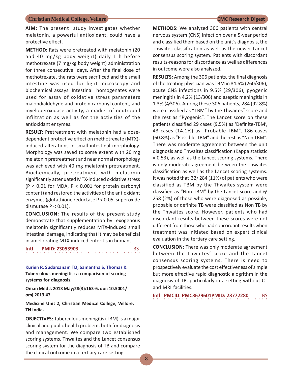### **AIM:** The present study investigates whether melatonin, a powerful antioxidant, could have a protective effect.

**METHOD:** Rats were pretreated with melatonin (20 and 40 mg/kg body weight) daily 1 h before methotrexate (7 mg/kg body weight) administration for three consecutive days. After the final dose of methotrexate, the rats were sacrificed and the small intestine was used for light microscopy and biochemical assays. Intestinal homogenates were used for assay of oxidative stress parameters malondialdehyde and protein carbonyl content, and myeloperoxidase activity, a marker of neutrophil infiltration as well as for the activities of the antioxidant enzymes.

**RESULT:** Pretreatment with melatonin had a dosedependent protective effect on methotrexate (MTX) induced alterations in small intestinal morphology. Morphology was saved to some extent with 20 mg melatonin pretreatment and near normal morphology was achieved with 40 mg melatonin pretreatment. Biochemically, pretreatment with melatonin significantly attenuated MTX-induced oxidative stress (P < 0.01 for MDA, P < 0.001 for protein carbonyl content) and restored the activities of the antioxidant enzymes (glutathione reductase P < 0.05, superoxide dismutase  $P < 0.01$ ).

**CONCLUSION:** The results of the present study demonstrate that supplementation by exogenous melatonin significantly reduces MTX-induced small intestinal damage, indicating that it may be beneficial in ameliorating MTX-induced enteritis in humans.

### **Intl PMID: 23053903**

**Kurien R, Sudarsanam TD; Samantha S, Thomas K. Tuberculous meningitis: a comparison of scoring systems for diagnosis.**

**Oman Med J. 2013 May;28(3):163-6. doi: 10.5001/ omj.2013.47.**

**Medicine Unit 2, Christian Medical College, Vellore, TN India.**

**OBJECTIVES:** Tuberculous meningitis (TBM) is a major clinical and public health problem, both for diagnosis and management. We compare two established scoring systems, Thwaites and the Lancet consensus scoring system for the diagnosis of TB and compare the clinical outcome in a tertiary care setting.

**METHODS:** We analyzed 306 patients with central nervous system (CNS) infection over a 5-year period and classified them based on the unit's diagnosis, the Thwaites classification as well as the newer Lancet consensus scoring system. Patients with discordant results-reasons for discordance as well as differences in outcome were also analyzed.

**RESULTS:** Among the 306 patients, the final diagnosis of the treating physician was TBM in 84.6% (260/306), acute CNS infections in 9.5% (29/306), pyogenic meningitis in 4.2% (13/306) and aseptic meningitis in 1.3% (4/306). Among these 306 patients, 284 (92.8%) were classified as "TBM" by the Thwaites" score and the rest as "Pyogenic". The Lancet score on these patients classified 29 cases (9.5%) as 'Definite-TBM', 43 cases (14.1%) as "Probable-TBM", 186 cases (60.8%) as "Possible-TBM" and the rest as "Non TBM". There was moderate agreement between the unit diagnosis and Thwaites classification (Kappa statistic = 0.53), as well as the Lancet scoring systems. There is only moderate agreement between the Thwaites classification as well as the Lancet scoring systems. It was noted that 32/ 284 (11%) of patients who were classified as TBM by the Thwaites system were classified as "Non TBM" by the Lancet score and 6/ 258 (2%) of those who were diagnosed as possible, probable or definite TB were classified as Non TB by the Thwaites score. However, patients who had discordant results between these scores were not different from those who had concordant results when treatment was initiated based on expert clinical evaluation in the tertiary care setting.

**CONCLUSION:** There was only moderate agreement between the Thwaites' score and the Lancet consensus scoring systems. There is need to prospectively evaluate the cost effectiveness of simple but more effective rapid diagnostic alogrithm in the diagnosis of TB, particularly in a setting without CT and MRI facilities.

**Intl PMCID: PMC3679601PMID: 23772280 BS** 

 $\cdot$ <sup>BS</sup>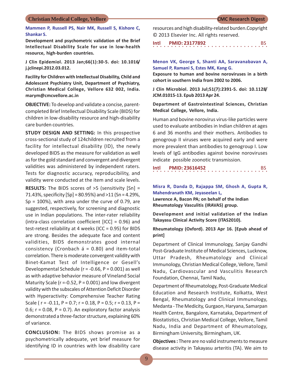**Mammen P, Russell PS, Nair MK, Russell S, Kishore C, Shankar S.**

**Development and psychometric validation of the Brief Intellectual Disability Scale for use in low-health resource, high-burden countries.**

**J Clin Epidemiol. 2013 Jan;66(1):30-5. doi: 10.1016/ j.jclinepi.2012.03.012.**

**Facility for Children with Intellectual Disability, Child and Adolescent Psychiatry Unit, Department of Psychiatry, Christian Medical College, Vellore 632 002, India. marym@cmcvellore.ac.in**

**OBJECTIVE:** To develop and validate a concise, parentcompleted Brief Intellectual Disability Scale (BIDS) for children in low-disability resource and high-disability care burden countries.

**STUDY DESIGN AND SETTING:** In this prospective cross-sectional study of 124children recruited from a facility for intellectual disability (ID), the newly developed BIDS as the measure for validation as well as for the gold standard and convergent and divergent validities was administered by independent raters. Tests for diagnostic accuracy, reproducibility, and validity were conducted at the item and scale levels.

**RESULTS:** The BIDS scores of >5 (sensitivity [Sn] = 71.43%, specificity  $[Sp] = 80.95%$ ) and  $>11$  (Sn = 4.29%,  $Sp = 100\%$ ), with area under the curve of 0.79, are suggested, respectively, for screening and diagnostic use in Indian populations. The inter-rater reliability (intra-class correlation coefficient [ICC] = 0.96) and test-retest reliability at 4 weeks (ICC = 0.95) for BIDS are strong. Besides the adequate face and content validities, BIDS demonstrates good internal consistency (Cronbach á = 0.80) and item-total correlation. There is moderate convergent validity with Binet-Kamat Test of Intelligence or Gesell's Developmental Schedule (r = -0.66, P = 0.001) as well as with adaptive behavior measure of Vineland Social Maturity Scale ( $r = -0.52$ ,  $P = 0.001$ ) and low divergent validity with the subscales of Attention Deficit Disorder with Hyperactivity: Comprehensive Teacher Rating Scale ( $r = -0.11$ ,  $P = 0.7$ ;  $r = 0.18$ ,  $P = 0.5$ ;  $r = 0.13$ ,  $P =$ 0.6;  $r = 0.08$ ,  $P = 0.7$ ). An exploratory factor analysis demonstrated a three-factor structure, explaining 60% of variance.

**CONCLUSION:** The BIDS shows promise as a psychometrically adequate, yet brief measure for identifying ID in countries with low disability care resources and high disability-related burden.Copyright © 2013 Elsevier Inc. All rights reserved.

○○○○○○○○○○○○○○○○ ○○○○○○○○○○○○○○○○ **Intl PMID: 23177892** BS

**Menon VK, George S, Shanti AA, Saravanabavan A, Samuel P, Ramani S, Estes MK, Kang G.**

**Exposure to human and bovine noroviruses in a birth cohort in southern India from 2002 to 2006.**

**J Clin Microbiol. 2013 Jul;51(7):2391-5. doi: 10.1128/ JCM.01015-13. Epub 2013 Apr 24.**

**Department of Gastrointestinal Sciences, Christian Medical College, Vellore, India.**

Human and bovine norovirus virus-like particles were used to evaluate antibodies in Indian children at ages 6 and 36 months and their mothers. Antibodies to genogroup II viruses were acquired early and were more prevalent than antibodies to genogroup I. Low levels of IgG antibodies against bovine noroviruses indicate possible zoonotic transmission.

**Intl PMID: 23616452** BS

**Misra R, Danda D, Rajappa SM, Ghosh A, Gupta R, Mahendranath KM, Jeyaseelan L,**

**Lawrence A, Bacon PA; on behalf of the Indian Rheumatology Vasculitis (IRAVAS) group.**

**Development and initial validation of the Indian Takayasu Clinical Activity Score (ITAS2010).**

**Rheumatology (Oxford). 2013 Apr 16. [Epub ahead of print]**

Department of Clinical Immunology, Sanjay Gandhi Post-Graduate Institute of Medical Sciences, Lucknow, Uttar Pradesh, Rheumatology and Clinical Immunology, Christian Medical College, Vellore, Tamil Nadu, Cardiovascular and Vasculitis Research Foundation, Chennai, Tamil Nadu,

Department of Rheumatology, Post-Graduate Medical Education and Research Institute, Kolkatta, West Bengal, Rheumatology and Clinical Immunology, Medanta - The Medicity, Gurgaon, Haryana, Samarpan Health Centre, Bangalore, Karnataka, Department of Biostatistics, Christian Medical College, Vellore, Tamil Nadu, India and Department of Rheumatology, Birmingham University, Birmingham, UK.

**Objectives :** There are no valid instruments to measure disease activity in Takayasu arteritis (TA). We aim to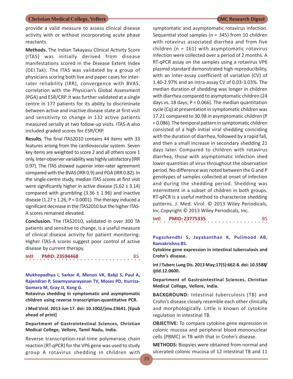provide a valid measure to assess clinical disease activity with or without incorporating acute phase reactants.

**Methods.** The Indian Takayasu Clinical Activity Score (ITAS) was initially derived from disease manifestations scored in the Disease Extent Index (DEI.Tak). The ITAS was validated by a group of physicians scoring both live and paper cases for interrater reliability (IRR), convergence with BVAS, correlation with the Physician's Global Assessment (PGA) and ESR/CRP. It was further validated at a single centre in 177 patients for its ability to discriminate between active and inactive disease state at first visit and sensitivity to change in 132 active patients measured serially at two follow-up visits. ITAS-A also included graded scores for ESR/CRP.

**Results.** The final ITAS2010 contains 44 items with 33 features arising from the cardiovascular system. Seven key items are weighted to score 2 and all others score 1 only. Inter-observer variability was highly satisfactory (IRR 0.97). The ITAS showed superior inter-rater agreement compared with the BVAS (IRR 0.9) and PGA (IRR 0.82). In the single-centre study, median ITAS scores at first visit were significantly higher in active disease (5.62  $\pm$  3.14) compared with grumbling  $(3.36 \pm 1.96)$  and inactive disease (1.27  $\pm$  1.26, P < 0.0001). The therapy induced a significant decrease in the ITAS2010 but the higher ITAS-A scores remained elevated.

**Conclusion.** The ITAS2010, validated in over 300 TA patients and sensitive to change, is a useful measure of clinical disease activity for patient monitoring. Higher ITAS-A scores suggest poor control of active disease by current therapy.

| Intl |  |  |  |  |  |  | <b>PMID: 23594468</b> |  |  |  |  |  |  |  | <b>BS</b> |  |
|------|--|--|--|--|--|--|-----------------------|--|--|--|--|--|--|--|-----------|--|
|      |  |  |  |  |  |  |                       |  |  |  |  |  |  |  |           |  |

**Mukhopadhya I, Sarkar R, Menon VK, Babji S, Paul A, Rajendran P, Sowmyanarayanan TV, Moses PD, Iturriza-Gomara M, Gray JJ, Kang G.**

**Rotavirus shedding in symptomatic and asymptomatic children using reverse transcription-quantitative PCR.**

**J Med Virol. 2013 Jun 17. doi: 10.1002/jmv.23641. [Epub ahead of print]**

**Department of Gastrointestinal Sciences, Christian Medical College, Vellore, Tamil Nadu, India.**

Reverse transcription-real-time polymerase chain reaction (RT-qPCR) for the VP6 gene was used to study group A rotavirus shedding in children with

symptomatic and asymptomatic rotavirus infection. Sequential stool samples (n = 345) from 10 children with rotavirus associated diarrhea and from five children ( $n = 161$ ) with asymptomatic rotavirus infection were collected over a period of 2 months. A RT-qPCR assay on the samples using a rotavirus VP6 plasmid standard demonstrated high reproducibility, with an inter-assay coefficient of variation (CV) of 1.40-2.97% and an intra-assay CV of 0.03-3.03%. The median duration of shedding was longer in children with diarrhea compared to asymptomatic children (24 days vs. 18 days;  $P = 0.066$ ). The median quantitation cycle (Cq) at presentation in symptomatic children was 17.21 compared to 30.98 in asymptomatic children (P = 0.086). The temporal pattern in symptomatic children consisted of a high initial viral shedding coinciding with the duration of diarrhea, followed by a rapid fall, and then a small increase in secondary shedding 21 days later. Compared to children with rotavirus diarrhea, those with asymptomatic infection shed lower quantities of virus throughout the observation period. No difference was noted between the G and P genotypes of samples collected at onset of infection and during the shedding period. Shedding was intermittent in a subset of children in both groups. RT-qPCR is a useful method to characterize shedding patterns. J. Med. Virol. © 2013 Wiley Periodicals, Inc.Copyright © 2013 Wiley Periodicals, Inc.

| Intl |  |  |  |  |  |  | <b>PMID: 23775335</b> |  |  |  |  |  |  |  |  |  |
|------|--|--|--|--|--|--|-----------------------|--|--|--|--|--|--|--|--|--|
|      |  |  |  |  |  |  |                       |  |  |  |  |  |  |  |  |  |

**Pugazhendhi S, Jayakanthan K, Pulimood AB, Ramakrishna BS.**

**Cytokine gene expression in intestinal tuberculosis and Crohn's disease.**

**Int J Tuberc Lung Dis. 2013 May;17(5):662-8. doi: 10.5588/ ijtld.12.0600.**

**Department of Gastrointestinal Sciences, Christian Medical College, Vellore, India.**

**BACKGROUND:** Intestinal tuberculosis (TB) and Crohn's disease closely resemble each other clinically and morphologically. Little is known of cytokine regulation in intestinal TB.

**OBJECTIVE:** To compare cytokine gene expression in colonic mucosa and peripheral blood mononuclear cells (PBMC) in TB with that in Crohn's disease.

**METHODS:** Biopsies were obtained from normal and ulcerated colonic mucosa of 12 intestinal TB and 11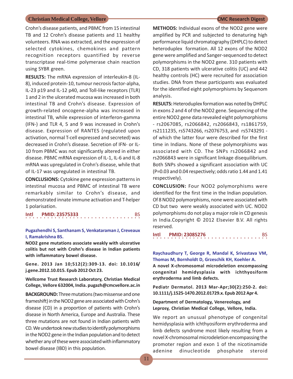Crohn's disease patients, and PBMC from 15 intestinal TB and 12 Crohn's disease patients and 11 healthy volunteers. RNA was extracted, and the expression of selected cytokines, chemokines and pattern recognition receptors quantified by reverse transcriptase real-time polymerase chain reaction using SYBR green.

**RESULTS:** The mRNA expression of interleukin-8 (IL-8), induced protein-10, tumour necrosis factor-alpha, IL-23 p19 and IL-12 p40, and Toll-like receptors (TLR) 1 and 2 in the ulcerated mucosa was increased in both intestinal TB and Crohn's disease. Expression of growth-related oncogene-alpha was increased in intestinal TB, while expression of interferon-gamma (IFN-) and TLR 4, 5 and 9 was increased in Crohn's disease. Expression of RANTES (regulated upon activation, normal T-cell expressed and secreted) was decreased in Crohn's disease. Secretion of IFN- or IL-10 from PBMC was not significantly altered in either disease. PBMC mRNA expression of IL-1, IL-6 and IL-8 mRNA was upregulated in Crohn's disease, while that of IL-17 was upregulated in intestinal TB.

**CONCLUSIONS:** Cytokine gene expression patterns in intestinal mucosa and PBMC of intestinal TB were remarkably similar to Crohn's disease, and demonstrated innate immune activation and T-helper 1 polarisation.

**Intl PMID: 23575333** BS

### **Pugazhendhi S, Santhanam S, Venkataraman J, Creveaux I, Ramakrishna BS.**

**NOD2 gene mutations associate weakly with ulcerative colitis but not with Crohn's disease in Indian patients with inflammatory bowel disease.**

**Gene. 2013 Jan 10;512(2):309-13. doi: 10.1016/ j.gene.2012.10.015. Epub 2012 Oct 23.**

**Wellcome Trust Research Laboratory, Christian Medical College, Vellore 632004, India. pugazh@cmcvellore.ac.in**

**BACKGROUND:** Three mutations (two missense and one frameshift) in the NOD2 gene are associated with Crohn's disease (CD) in a proportion of patients with Crohn's disease in North America, Europe and Australia. These three mutations are not found in Indian patients with CD. We undertook new studies to identify polymorphisms in the NOD2 gene in the Indian population and to detect whether any of these were associated with inflammatory bowel disease (IBD) in this population.

**METHODS:** Individual exons of the NOD2 gene were amplified by PCR and subjected to denaturing high performance liquid chromatography (DHPLC) to detect heteroduplex formation. All 12 exons of the NOD2 gene were amplified and Sanger-sequenced to detect polymorphisms in the NOD2 gene. 310 patients with CD, 318 patients with ulcerative colitis (UC) and 442 healthy controls (HC) were recruited for association studies. DNA from these participants was evaluated for the identified eight polymorphisms by Sequenom analysis.

**RESULTS:** Heteroduplex formation was noted by DHPLC in exons 2 and 4 of the NOD2 gene. Sequencing of the entire NOD2 gene data revealed eight polymorphisms - rs2067085, rs2066842, rs2066843, rs1861759, rs2111235, rs5743266, rs2076753, and rs5743291 of which the latter four were described for the first time in Indians. None of these polymorphisms was associated with CD. The SNPs rs2066842 and rs2066843 were in significant linkage disequilibrium. Both SNPs showed a significant association with UC (P=0.03 and 0.04 respectively; odds ratio 1.44 and 1.41 respectively).

**CONCLUSION:** Four NOD2 polymorphisms were identified for the first time in the Indian population. Of 8 NOD2 polymorphisms, none were associated with CD but two were weakly associated with UC. NOD2 polymorphisms do not play a major role in CD genesis in India.Copyright © 2012 Elsevier B.V. All rights reserved.

○○○○○○○○○○○○○○○○ ○○○○○○○○○○○○○○○○ **Intl PMID: 23085276** BS

**Raychaudhury T, George R, Mandal K, Srivastava VM, Thomas M, Bornholdt D, Grzeschik KH, Koehler A.**

**A novel X-chromosomal microdeletion encompassing congenital hemidysplasia with ichthyosiform erythroderma and limb defects.**

**Pediatr Dermatol. 2013 Mar-Apr;30(2):250-2. doi: 10.1111/j.1525-1470.2012.01729.x. Epub 2012 Apr 4.**

**Department of Dermatology, Venereology, and Leprosy, Christian Medical College, Vellore, India.**

We report an unusual phenotype of congenital hemidysplasia with ichthyosiform erythroderma and limb defects syndrome most likely resulting from a novel X-chromosomal microdeletion encompassing the promoter region and exon 1 of the nicotinamide adenine dinucleotide phosphate steroid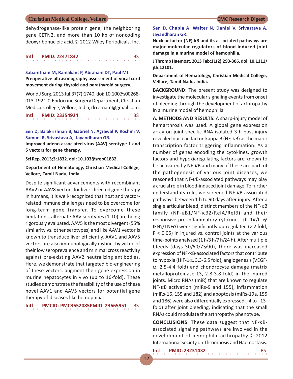dehydrogenase-like protein gene, the neighboring gene CETN2, and more than 10 kb of noncoding deoxyribonucleic acid.© 2012 Wiley Periodicals, Inc.

**Sabaretnam M, Ramakant P, Abraham DT, Paul MJ. Preoperative ultrasonography assessment of vocal cord movement during thyroid and parathyroid surgery.**

World J Surg. 2013 Jul;37(7):1740. doi: 10.1007/s00268- 013-1921-0.Endocrine Surgery Department, Christian Medical College, Vellore, India, drretnam@gmail.com.

```
Intl PMID: 23354924 BS
```
**Sen D, Balakrishnan B, Gabriel N, Agrawal P, Roshini V, Samuel R, Srivastava A, Jayandharan GR.**

**Improved adeno-associated virus (AAV) serotype 1 and 5 vectors for gene therapy.**

**Sci Rep. 2013;3:1832. doi: 10.1038/srep01832.**

**Department of Hematology, Christian Medical College, Vellore, Tamil Nadu, India.**

Despite significant advancements with recombinant AAV2 or AAV8 vectors for liver directed gene therapy in humans, it is well-recognized that host and vectorrelated immune challenges need to be overcome for long-term gene transfer. To overcome these limitations, alternate AAV serotypes (1-10) are being rigorously evaluated. AAV5 is the most divergent (55% similarity vs. other serotypes) and like AAV1 vector is known to transduce liver efficiently. AAV1 and AAV5 vectors are also immunologically distinct by virtue of their low seroprevalence and minimal cross reactivity against pre-existing AAV2 neutralizing antibodies. Here, we demonstrate that targeted bio-engineering of these vectors, augment their gene expression in murine hepatocytes in vivo (up to 16-fold). These studies demonstrate the feasibility of the use of these novel AAV1 and AAV5 vectors for potential gene therapy of diseases like hemophilia.

○○○○○○○○○○○○○○○○ ○○○○○○○○○○○○○○○○ **Intl PMCID: PMC3652085PMID: 23665951** BS

### **Sen D, Chapla A, Walter N, Daniel V, Srivastava A, Jayandharan GR.**

**Nuclear factor (NF)-kB and its associated pathways are major molecular regulators of blood-induced joint damage in a murine model of hemophilia.**

**J Thromb Haemost. 2013 Feb;11(2):293-306. doi: 10.1111/ jth.12101.**

**Department of Hematology, Christian Medical College, Vellore, Tamil Nadu, India.**

**BACKGROUND:** The present study was designed to investigate the molecular signaling events from onset of bleeding through the development of arthropathy in a murine model of hemophilia

**A. METHODS AND RESULTS:** A sharp-injury model of hemarthrosis was used. A global gene expression array on joint-specific RNA isolated 3 h post-injury revealed nuclear factor-kappa B (NF-KB) as the major transcription factor triggering inflammation. As a number of genes encoding the cytokines, growth factors and hypoxiaregulating factors are known to be activated by NF-KB and many of these are part of the pathogenesis of various joint diseases, we reasoned that  $NF$ - $KB$ -associated pathways may play a crucial role in blood-induced joint damage. To further understand its role, we screened NF-KB-associated pathways between 1 h to 90 days after injury. After a single articular bleed, distinct members of the NF-KB family  $(NF-KB1/NF-KB2/RelA/RelB)$  and their responsive pro-inflammatory cytokines  $(IL-1K/IL-6/$ IFN $\gamma$ /TNF $\alpha$ ) were significantly up-regulated (> 2 fold, P < 0.05) in injured vs. control joints at the various time-points analyzed (1 h/3 h/7 h/24 h). After multiple bleeds (days 30/60/75/90), there was increased expression of NF-KB-associated factors that contribute to hypoxia (HIF-1 $\alpha$ , 3.3-6.5 fold), angiogenesis (VEGF- $\alpha$ , 2.5-4.4 fold) and chondrocyte damage (matrix metalloproteinase-13, 2.8-3.8 fold) in the injured joints. Micro RNAs (miR) that are known to regulate NF-KB activation (miRs-9 and 155), inflammation (miRs-16, 155 and 182) and apoptosis (miRs-19a, 155 and 186) were also differentially expressed (-4 to +13 fold) after joint bleeding, indicating that the small RNAs could modulate the arthropathy phenotype.

**CONCLUSIONS:** These data suggest that NF-Bassociated signaling pathways are involved in the development of hemophilic arthropathy.© 2012 International Society on Thrombosis and Haemostasis.

| Intl |  |  |  |  |  |  | <b>PMID: 23231432</b> |  |  |  |  |  |  |  |  |  |
|------|--|--|--|--|--|--|-----------------------|--|--|--|--|--|--|--|--|--|
|      |  |  |  |  |  |  |                       |  |  |  |  |  |  |  |  |  |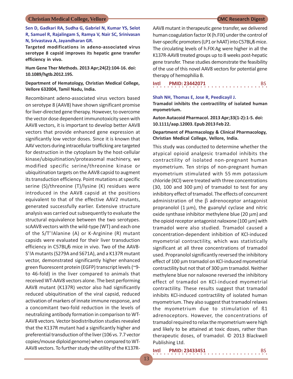**Sen D, Gadkari RA, Sudha G, Gabriel N, Kumar YS, Selot R, Samuel R, Rajalingam S, Ramya V, Nair SC, Srinivasan N, Srivastava A, Jayandharan GR.**

**Targeted modifications in adeno-associated virus serotype 8 capsid improves its hepatic gene transfer efficiency in vivo.**

**Hum Gene Ther Methods. 2013 Apr;24(2):104-16. doi: 10.1089/hgtb.2012.195.**

**Department of Hematology, Christian Medical College, Vellore 632004, Tamil Nadu, India.**

Recombinant adeno-associated virus vectors based on serotype 8 (AAV8) have shown significant promise for liver-directed gene therapy. However, to overcome the vector dose dependent immunotoxicity seen with AAV8 vectors, it is important to develop better AAV8 vectors that provide enhanced gene expression at significantly low vector doses. Since it is known that AAV vectors during intracellular trafficking are targeted for destruction in the cytoplasm by the host-cellular kinase/ubiquitination/proteasomal machinery, we modified specific serine/threonine kinase or ubiquitination targets on the AAV8 capsid to augment its transduction efficiency. Point mutations at specific serine (S)/threonine (T)/lysine (K) residues were introduced in the AAV8 capsid at the positions equivalent to that of the effective AAV2 mutants, generated successfully earlier. Extensive structure analysis was carried out subsequently to evaluate the structural equivalence between the two serotypes. scAAV8 vectors with the wild-type (WT) and each one of the S/T'!Alanine (A) or K-Arginine (R) mutant capsids were evaluated for their liver transduction efficiency in C57BL/6 mice in vivo. Two of the AAV8- S'!A mutants (S279A and S671A), and a K137R mutant vector, demonstrated significantly higher enhanced green fluorescent protein (EGFP) transcript levels (~9 to 46-fold) in the liver compared to animals that received WT-AAV8 vectors alone. The best performing AAV8 mutant (K137R) vector also had significantly reduced ubiquitination of the viral capsid, reduced activation of markers of innate immune response, and a concomitant two-fold reduction in the levels of neutralizing antibody formation in comparison to WT-AAV8 vectors. Vector biodistribution studies revealed that the K137R mutant had a significantly higher and preferential transduction of the liver (106 vs. 7.7 vector copies/mouse diploid genome) when compared to WT-AAV8 vectors. To further study the utility of the K137R-

AAV8 mutant in therapeutic gene transfer, we delivered human coagulation factor IX (h.FIX) under the control of liver-specific promoters (LP1 or hAAT) into C57BL/6 mice. The circulating levels of h.FIX:Ag were higher in all the K137R-AAV8 treated groups up to 8 weeks post-hepatic gene transfer. These studies demonstrate the feasibility of the use of this novel AAV8 vectors for potential gene therapy of hemophilia B.

**Intl PMID: 23442071** BS

**Shah NH, Thomas E, Jose R, Peedicayil J. Tramadol inhibits the contractility of isolated human myometrium.**

**Auton Autacoid Pharmacol. 2013 Apr;33(1-2):1-5. doi: 10.1111/aap.12003. Epub 2013 Feb 22.**

### **Department of Pharmacology & Clinical Pharmacology, Christian Medical College, Vellore, India.**

This study was conducted to determine whether the atypical opioid analgesic tramadol inhibits the contractility of isolated non-pregnant human myometrium. Ten strips of non-pregnant human myometrium stimulated with 55 mm potassium chloride (KCl) were treated with three concentrations (30, 100 and 300  $\mu$ m) of tramadol to test for any inhibitory effect of tramadol. The effects of concurrent administration of the  $\beta$  adrenoceptor antagonist propranolol  $(1 \mu m)$ , the guanylyl cyclase and nitric oxide synthase inhibitor methylene blue (20 µm) and the opioid receptor antagonist naloxone (100  $\mu$ m) with tramadol were also studied. Tramadol caused a concentration-dependent inhibition of KCl-induced myometrial contractility, which was statistically significant at all three concentrations of tramadol used. Propranolol significantly reversed the inhibitory effect of 100 µm tramadol on KCl-induced myometrial contractility but not that of 300 µm tramadol. Neither methylene blue nor naloxone reversed the inhibitory effect of tramadol on KCl-induced myometrial contractility. These results suggest that tramadol inhibits KCl-induced contractility of isolated human myometrium. They also suggest that tramadol relaxes the myometrium due to stimulation of ß1 adrenoceptors. However, the concentrations of tramadol required to relax the myometrium were high and likely to be attained at toxic doses, rather than therapeutic doses, of tramadol. © 2013 Blackwell Publishing Ltd.

**Intl PMID: 23433451** BS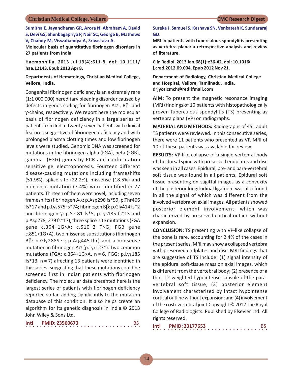**Sumitha E, Jayandharan GR, Arora N, Abraham A, David S, Devi GS, Shenbagapriya P, Nair SC, George B, Mathews V, Chandy M, Viswabandya A, Srivastava A.**

**Molecular basis of quantitative fibrinogen disorders in 27 patients from India.**

**Haemophilia. 2013 Jul;19(4):611-8. doi: 10.1111/ hae.12143. Epub 2013 Apr 8.**

### **Departments of Hematology, Christian Medical College, Vellore, India.**

Congenital fibrinogen deficiency is an extremely rare (1:1 000 000) hereditary bleeding disorder caused by defects in genes coding for fibrinogen A $\alpha$ -, B $\beta$ - and -chains, respectively. We report here the molecular basis of fibrinogen deficiency in a large series of patients from India. Twenty-seven patients with clinical features suggestive of fibrinogen deficiency and with prolonged plasma clotting times and low fibrinogen levels were studied. Genomic DNA was screened for mutations in the fibrinogen alpha (FGA), beta (FGB), gamma (FGG) genes by PCR and conformation sensitive gel electrophoresis. Fourteen different disease-causing mutations including frameshifts (51.9%), splice site (22.2%), missense (18.5%) and nonsense mutation (7.4%) were identified in 27 patients. Thirteen of them were novel, including seven frameshifts (fibrinogen A $\alpha$ : p.Asp296 fs\*59, p.Thr466 fs\*17 and p.Lys575 fs\*74; fibrinogen  $B\beta$ : p.Gly414 fs\*2 and fibrinogen  $\gamma$ : p.Ser81 fs\*5, p.Lys185 fs\*13 and p.Asp278\_279 fs\*17), three splice site mutations (FGA gene c.364+1G>A; c.510+2 T>G; FGB gene c.851+1G>A), two missense substitutions (fibrinogen  $B$ : p.Gly288Ser; p.Arg445Thr) and a nonsense mutation in fibrinogen A $\alpha$  (p.Tyr127\*). Two common mutations (FGA: c.364+1G>A, n = 6, FGG: p.Lys185 fs\*13,  $n = 7$ ) affecting 13 patients were identified in this series, suggesting that these mutations could be screened first in Indian patients with fibrinogen deficiency. The molecular data presented here is the largest series of patients with fibrinogen deficiency reported so far, adding significantly to the mutation database of this condition. It also helps create an algorithm for its genetic diagnosis in India.© 2013 John Wiley & Sons Ltd.

| Intl |  |  |  |  |  | <b>PMID: 23560673</b> |  |  |  |  |  |  |  |  |  |  |
|------|--|--|--|--|--|-----------------------|--|--|--|--|--|--|--|--|--|--|
|      |  |  |  |  |  |                       |  |  |  |  |  |  |  |  |  |  |

### **Sureka J, Samuel S, Keshava SN, Venkatesh K, Sundararaj GD.**

**MRI in patients with tuberculous spondylitis presenting as vertebra plana: a retrospective analysis and review of literature.**

**Clin Radiol. 2013 Jan;68(1):e36-42. doi: 10.1016/ j.crad.2012.09.004. Epub 2012 Nov 21.**

**Department of Radiology, Christian Medical College and Hospital, Vellore, Tamilnadu, India. drjyoticmch@rediffmail.com**

**AIM:** To present the magnetic resonance imaging (MRI) findings of 10 patients with histopathologically proven tuberculous spondylitis (TS) presenting as vertebra plana (VP) on radiographs.

**MATERIAL AND METHODS:** Radiographs of 451 adult TS patients were reviewed. In this consecutive series, there were 11 patients who presented as VP. MRI of 10 of these patients was available for review.

**RESULTS:** VP-like collapse of a single vertebral body of the dorsal spine with preserved endplates and disc was seen in all cases. Epidural, pre- and para-vertebral soft tissue was found in all patients. Epidural soft tissue presenting on sagittal images as a convexity of the posterior longitudinal ligament was also found in all the signal of which was different from the involved vertebra on axial images. All patients showed posterior element involvement, which was characterized by preserved cortical outline without expansion.

**CONCLUSION:** TS presenting with VP-like collapse of the bone is rare, accounting for 2.4% of the cases in the present series. MRI may show a collapsed vertebra with preserved endplates and disc. MRI findings that are suggestive of TS include: (1) signal intensity of the epidural soft-tissue mass on axial images, which is different from the vertebral body; (2) presence of a thin, T2-weighted hypointense capsule of the paravertebral soft tissue; (3) posterior element involvement characterized by intact hypointense cortical outline without expansion; and (4) involvement of the costovertebral joint.Copyright © 2012 The Royal College of Radiologists. Published by Elsevier Ltd. All rights reserved.

| Intl |  | <b>PMID: 23177653</b> |  |  |  |  |  |  |  |  |  |  |  |  |  |
|------|--|-----------------------|--|--|--|--|--|--|--|--|--|--|--|--|--|
|      |  |                       |  |  |  |  |  |  |  |  |  |  |  |  |  |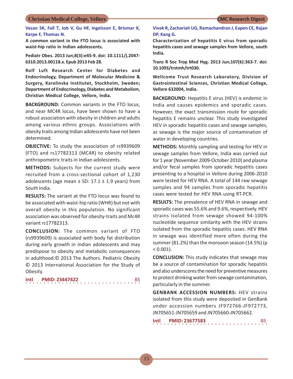**Vasan SK, Fall T, Job V, Gu HF, Ingelsson E, Brismar K, Karpe F, Thomas N.**

**A common variant in the FTO locus is associated with waist-hip ratio in Indian adolescents.**

**Pediatr Obes. 2013 Jun;8(3):e45-9. doi: 10.1111/j.2047- 6310.2013.00118.x. Epub 2013 Feb 28.**

**Rolf Luft Research Center for Diabetes and Endocrinology, Department of Molecular Medicine & Surgery, Karolinska Institutet, Stockholm, Sweden; Department of Endocrinology, Diabetes and Metabolism, Christian Medical College, Vellore, India.**

**BACKGROUND:** Common variants in the FTO locus, and near MC4R locus, have been shown to have a robust association with obesity in children and adults among various ethnic groups. Associations with obesity traits among Indian adolescents have not been determined.

**OBJECTIVE:** To study the association of rs9939609 (FTO) and rs17782313 (MC4R) to obesity related anthropometric traits in Indian adolescents.

**METHODS:** Subjects for the current study were recruited from a cross-sectional cohort of 1,230 adolescents (age mean  $\pm$  SD: 17.1  $\pm$  1.9 years) from South India.

**RESULTS:** The variant at the FTO locus was found to be associated with waist-hip ratio (WHR) but not with overall obesity in this population. No significant association was observed for obesity-traits and Mc4R variant rs17782313.

**CONCLUSION:** The common variant of FTO (rs9939609) is associated with body fat distribution during early growth in Indian adolescents and may predispose to obesity and metabolic consequences in adulthood.© 2013 The Authors. Pediatric Obesity © 2013 International Association for the Study of Obesity.

**Intl PMID: 23447422** BS

### **Vivek R, Zachariah UG, Ramachandran J, Eapen CE, Rajan DP, Kang G.**

**Characterization of hepatitis E virus from sporadic hepatitis cases and sewage samples from Vellore, south India.**

**Trans R Soc Trop Med Hyg. 2013 Jun;107(6):363-7. doi: 10.1093/trstmh/trt030.**

**Wellcome Trust Research Laboratory, Division of Gastrointestinal Sciences, Christian Medical College, Vellore 632004, India.**

**BACKGROUND:** Hepatitis E virus (HEV) is endemic in India and causes epidemics and sporadic cases. However, the exact transmission route for sporadic hepatitis E remains unclear. This study investigated HEV in sporadic hepatitis cases and sewage samples, as sewage is the major source of contamination of water in developing countries.

**METHODS:** Monthly sampling and testing for HEV in sewage samples from Vellore, India was carried out for 1 year (November 2009-October 2010) and plasma and/or fecal samples from sporadic hepatitis cases presenting to a hospital in Vellore during 2006-2010 were tested for HEV RNA. A total of 144 raw sewage samples and 94 samples from sporadic hepatitis cases were tested for HEV RNA using RT-PCR.

**RESULTS:** The prevalence of HEV RNA in sewage and sporadic cases was 55.6% and 9.6%, respectively. HEV strains isolated from sewage showed 94-100% nucleotide sequence similarity with the HEV strains isolated from the sporadic hepatitis cases. HEV RNA in sewage was identified more often during the summer (81.2%) than the monsoon season (14.5%) (p  $< 0.001$ ).

**CONCLUSION:** This study indicates that sewage may be a source of contamination for sporadic hepatitis and also underscores the need for preventive measures to protect drinking water from sewage contamination, particularly in the summer.

**GENBANK ACCESSION NUMBERS:** HEV strains isolated from this study were deposited in GenBank under accession numbers JF972766-JF972773, JN705651-JN705659 and JN705660-JN705662.

| Intl |  |   |  | <b>PMID: 23677583</b> |  |  |  |  |  |  |  |  |  |  |  |
|------|--|---|--|-----------------------|--|--|--|--|--|--|--|--|--|--|--|
|      |  | . |  |                       |  |  |  |  |  |  |  |  |  |  |  |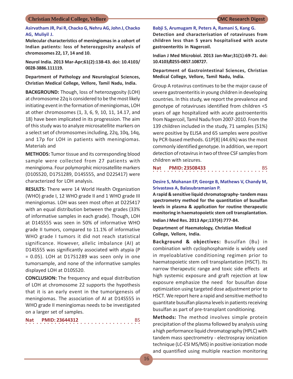### **Asirvatham JR, Pai R, Chacko G, Nehru AG, John J, Chacko AG, Muliyil J.**

**Molecular characteristics of meningiomas in a cohort of Indian patients: loss of heterozygosity analysis of chromosomes 22, 17, 14 and 10.**

**Neurol India. 2013 Mar-Apr;61(2):138-43. doi: 10.4103/ 0028-3886.111119.**

**Department of Pathology and Neurological Sciences, Christian Medical College, Vellore, Tamil Nadu, India.**

**BACKGROUND:** Though, loss of heterozygosity (LOH) at chromosome 22q is considered to be the most likely initiating event in the formation of meningiomas, LOH at other chromosomes (1, 3, 6, 9, 10, 11, 14.17, and 18) have been implicated in its progression. The aim of this study was to analyze microsatellite markers on a select set of chromosomes including, 22q, 10q, 14q, and 17p for LOH in patients with meningiomas. Materials and

**METHODS:** Tumor tissue and its corresponding blood sample were collected from 27 patients with meningioma. Four polymorphic microsatellite markers (D10S520, D17S1289, D14S555, and D22S417) were characterized for LOH analysis.

**RESULTS:** There were 14 World Health Organization (WHO) grade I, 12 WHO grade II and 1 WHO grade III meningiomas. LOH was seen most often at D22S417 with an equal distribution between the grades (33% of informative samples in each grade). Though, LOH at D14S555 was seen in 50% of informative WHO grade II tumors, compared to 11.1% of informative WHO grade I tumors it did not reach statistical significance. However, allelic imbalance (AI) at D14S555 was significantly associated with atypia (P  $= 0.05$ ). LOH at D17S1289 was seen only in one tumorsample, and none of the informative samples displayed LOH at D10S520.

**CONCLUSION:** The frequency and equal distribution of LOH at chromosome 22 supports the hypothesis that it is an early event in the tumorigenesis of meningiomas. The association of AI at D14S555 in WHO grade II meningiomas needs to be investigated on a larger set of samples.

| <b>Nat</b> |  | <b>PMID: 23644312</b> |  |  |  |  |  |  |  |  |  |  |  |  | BS. |
|------------|--|-----------------------|--|--|--|--|--|--|--|--|--|--|--|--|-----|
|            |  |                       |  |  |  |  |  |  |  |  |  |  |  |  |     |

**Babji S, Arumugam R, Peters A, Ramani S, Kang G.**

**Detection and characterisation of rotaviruses from children less than 5 years hospitalised with acute gastroenteritis in Nagercoil.**

**Indian J Med Microbiol. 2013 Jan-Mar;31(1):69-71. doi: 10.4103/0255-0857.108727.**

**Department of Gastrointestinal Sciences, Christian Medical College, Vellore, Tamil Nadu, India.**

Group A rotavirus continues to be the major cause of severe gastroenteritis in young children in developing countries. In this study, we report the prevalence and genotype of rotaviruses identified from children <5 years of age hospitalized with acute gastroenteritis from Nagercoil, Tamil Nadu from 2007-2010. From the 139 children included in the study, 71 samples (51%) were positive by ELISA and 65 samples were positive by PCR-based methods. G1P[8] (44.6%) was the most commonly identified genotype. In addition, we report detection of rotavirus in two of three CSF samples from children with seizures.

|  |  |  |  |  |  |  | Nat PMID: 23508433 |  |  |  |  |  |  |  |  |  |
|--|--|--|--|--|--|--|--------------------|--|--|--|--|--|--|--|--|--|
|  |  |  |  |  |  |  |                    |  |  |  |  |  |  |  |  |  |

### **Desire S, Mohanan EP, George B, Mathews V, Chandy M, Srivastava A, Balasubramanian P.**

**A rapid & sensitive liquid chromatography- tandem mass spectrometry method for the quantitation of busulfan levels in plasma & application for routine therapeutic monitoring in haematopoietic stem cell transplantation.**

**Indian J Med Res. 2013 Apr;137(4):777-84.**

**Department of Haematology, Christian Medical College, Vellore, India.**

**Background & objectives:** Busulfan (Bu) in combination with cyclophosphamide is widely used in myeloablative conditioning regimen prior to haematopoietic stem cell transplantation (HSCT). Its narrow therapeutic range and toxic side effects at high systemic exposure and graft rejection at low exposure emphasize the need for busulfan dose optimization using targeted dose adjustment prior to HSCT. We report here a rapid and sensitive method to quantitate busulfan plasma levels in patients receiving busulfan as part of pre-transplant conditioning.

**Methods:** The method involves simple protein precipitation of the plasma followed by analysis using a high performance liquid chromatography (HPLC) with tandem mass spectrometry - electrospray ionization technique (LC-ESI MS/MS) in positive ionization mode and quantified using multiple reaction monitoring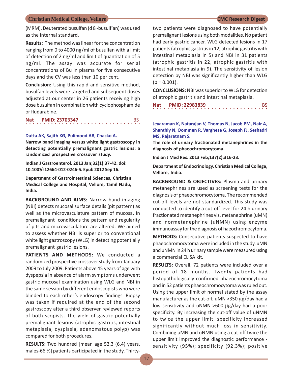(MRM). Deuterated busulfan (d 8 -busulf'an) was used as the internal standard.

**Results:** The method was linear for the concentration ranging from 0 to 4000 ng/ml of busulfan with a limit of detection of 2 ng/ml and limit of quantitation of 5 ng/ml. The assay was accurate for serial concentrations of Bu in plasma for five consecutive days and the CV was less than 10 per cent.

**Conclusion:** Using this rapid and sensitive method, busulfan levels were targeted and subsequent doses adjusted at our center in 26 patients receiving high dose busulfan in combination with cyclophosphamide or fludarabine.

○○○○○○○○○○○○○○○○ ○○○○○○○○○○○○○○○○ **Nat PMID: 23703347** BS

### **Dutta AK, Sajith KG, Pulimood AB, Chacko A.**

**Narrow band imaging versus white light gastroscopy in detecting potentially premalignant gastric lesions: a randomized prospective crossover study.**

**Indian J Gastroenterol. 2013 Jan;32(1):37-42. doi: 10.1007/s12664-012-0246-5. Epub 2012 Sep 16.**

**Department of Gastrointestinal Sciences, Christian Medical College and Hospital, Vellore, Tamil Nadu, India.**

**BACKGROUND AND AIMS:** Narrow band imaging (NBI) detects mucosal surface details (pit pattern) as well as the microvasculature pattern of mucosa. In premalignant conditions the pattern and regularity of pits and microvasculature are altered. We aimed to assess whether NBI is superior to conventional white light gastroscopy (WLG) in detecting potentially premalignant gastric lesions.

**PATIENTS AND METHODS:** We conducted a randomized prospective crossover study from January 2009 to July 2009. Patients above 45 years of age with dyspepsia in absence of alarm symptoms underwent gastric mucosal examination using WLG and NBI in the same session by different endoscopists who were blinded to each other's endoscopy findings. Biopsy was taken if required at the end of the second gastroscopy after a third observer reviewed reports of both scopists. The yield of gastric potentially premalignant lesions (atrophic gastritis, intestinal metaplasia, dysplasia, adenomatous polyp) was compared for both procedures.

**RESULTS:** Two hundred [mean age 52.3 (6.4) years, males-66 %] patients participated in the study. Thirtytwo patients were diagnosed to have potentially premalignant lesions using both modalities. No patient had early gastric cancer. WLG detected lesions in 17 patients (atrophic gastritis in 12, atrophic gastritis with intestinal metaplasia in 5) and NBI in 31 patients (atrophic gastritis in 22, atrophic gastritis with intestinal metaplasia in 9). The sensitivity of lesion detection by NBI was significantly higher than WLG  $(p = 0.001)$ .

**CONCLUSIONS:** NBI was superior to WLG for detection of atrophic gastritis and intestinal metaplasia.

○○○○○○○○○○○○○○○○ ○○○○○○○○○○○○○○○○ **Nat PMID: 22983839** BS

**Jeyaraman K, Natarajan V, Thomas N, Jacob PM, Nair A, Shanthly N, Oommen R, Varghese G, Joseph FJ, Seshadri MS, Rajaratnam S.**

**The role of urinary fractionated metanephrines in the diagnosis of phaeochromocytoma.**

**Indian J Med Res. 2013 Feb;137(2):316-23.**

**Department of Endocrinology, Christian Medical College, Vellore, India.**

**BACKGROUND & OBJECTIVES:** Plasma and urinary metanephrines are used as screening tests for the diagnosis of phaeochromocytoma. The recommended cut-off levels are not standardized. This study was conducted to identify a cut-off level for 24 h urinary fractionated metanephrines viz. metanephrine (uMN) and normetanephrine (uNMN) using enzyme immunoassay for the diagnosis of haeochromocytoma.

**METHODS:** Consecutive patients suspected to have phaeochromocytoma were included in the study. uMN and uNMN in 24 h urinary sample were measured using a commercial ELISA kit.

**RESULTS:** Overall, 72 patients were included over a period of 18 months. Twenty patients had histopathologically confirmed phaeochromocytoma and in 52 patients phaeochromocytoma was ruled out. Using the upper limit of normal stated by the assay manufacturer as the cut-off,  $u$ MN >350  $\mu$ g/day had a low sensitivity and uNMN  $>600 \mu g/day$  had a poor specificity. By increasing the cut-off value of uNMN to twice the upper limit, specificity increased significantly without much loss in sensitivity. Combining uMN and uNMN using a cut-off twice the upper limit improved the diagnostic performance sensitivity (95%); specificity (92.3%); positive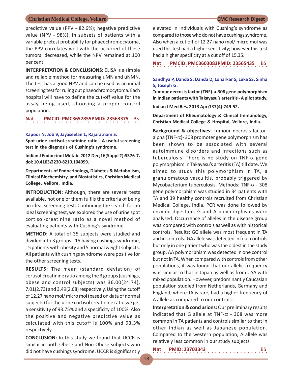predictive value (PPV - 82.6%); negative predictive value (NPV - 98%). In subsets of patients with a variable pretest probability for phaeochromocytoma, the PPV correlates well with the occurred of these tumors decreased, while the NPV remained at 100 per cent.

**INTERPRETATION & CONCLUSIONS: ELISA is a simple** and reliable method for measuring uMN and uNMN. The test has a good NPV and can be used as an initial screening test for ruling out phaeochromocytoma. Each hospital will have to define the cut-off value for the assay being used, choosing a proper control population.

## **Nat PMCID: PMC3657855PMID: 23563375 BS**

### **Kapoor N, Job V, Jayaseelan L, Rajaratnam S.**

**Spot urine cortisol-creatinine ratio - A useful screening test in the diagnosis of Cushing's syndrome.**

**Indian J Endocrinol Metab. 2012 Dec;16(Suppl 2):S376-7. doi: 10.4103/2230-8210.104099.**

**Departments of Endocrinology, Diabetes & Metabolism, Clinical Biochemistry, and Biostatistics, Christian Medical College, Vellore, India.**

**INTRODUCTION:** Although, there are several tests available, not one of them fulfils the criteria of being an ideal screening test. Continuing the search for an ideal screening test, we explored the use of urine spot cortisol-creatinine ratio as a novel method of evaluating patients with Cushing's syndrome.

**METHOD:** A total of 35 subjects were studied and divided into 3 groups - 15 having cushings syndrome, 15 patients with obesity and 5 normal weight subjects. All patients with cushings syndrome were positive for the other screening tests.

**RESULTS:** The mean (standard deviation) of cortisol:creatinine ratio among the 3 groups (cushings, obese and control subjects) was 36.00(24.74), 7.01(2.73) and 3.49(2.68) respectively. Using the cutoff of 12.27 nano mol/ micro mol (based on data of normal subjects) for the urine cortisol creatinine ratio we get a sensitivity of 93.75% and a specificity of 100%. Also the positive and negative predictive value as calculated with this cutoff is 100% and 93.3% respectively.

**CONCLUSION:** In this study we found that UCCR is similar in both Obese and Non Obese subjects who did not have cushings syndrome. UCCR is significantly

elevated in individuals with Cushing's syndrome as compared to those who do not have cushings syndrome. Also when a cut off of 12.27 nano mol/ micro mol was used this test had a higher sensitivity; however this test had a higher specificity at a cut off of 15.35.

○○○○○○○○○○○○○○○○ ○○○○○○○○○○○○○○○○ **Nat PMCID: PMC3603083PMID: 23565435** BS

### **Sandhya P, Danda S, Danda D, Lonarkar S, Luke SS, Sinha S, Joseph G.**

**Tumour necrosis factor (TNF)-a-308 gene polymorphism in Indian patients with Takayasu's arteritis - A pilot study.**

**Indian J Med Res. 2013 Apr;137(4):749-52.**

**Department of Rheumatology & Clinical Immunology, Christian Medical College & Hospital, Vellore, India.**

**Background & objectives:** Tumour necrosis factoralpha (TNF- $\alpha$ )- 308 promoter gene polymorphism has been shown to be associated with several autoimmune disorders and infections such as tuberculosis. There is no study on TNF- $\alpha$  gene polymorphism in Takayasu's arteritis (TA) till date. We aimed to study this polymorphism in TA, a granulomatous vasculitis, probably triggered by Mycobacterium tuberculosis. Methods: TNF- $\alpha$  - 308 gene polymorphism was studied in 34 patients with TA and 39 healthy controls recruited from Christian Medical College, India. PCR was done followed by enzyme digestion. G and A polymorphisms were analysed. Occurrence of alleles in the disease group was compared with controls as well as with historical controls. Results: GG allele was most frequent in TA and in controls. GA allele was detected in four controls but only in one patient who was the oldest in the study group. AA polymorphism was detected in one control but not in TA. When compared with controls from other populations, it was found that our allelic frequency was similar to that in Japan as well as from USA with mixed population. However, predominantly Caucasian population studied from Netherlands, Germany and England, where TA is rare, had a higher frequency of A allele as compared to our controls.

**Interpretation & conclusions:** Our preliminary results indicated that G allele at TNF- $\alpha$  - 308 was more common in TA patients and controls similar to that in other Indian as well as Japanese population. Compared to the western population, A allele was relatively less common in our study subjects.

| Nat | <b>PMID: 23703343</b> |  |
|-----|-----------------------|--|
|     |                       |  |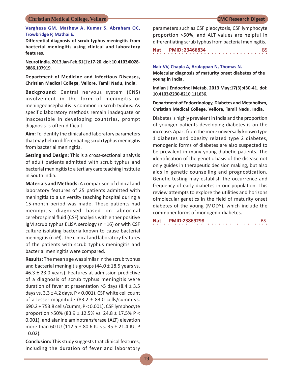### **Varghese GM, Mathew A, Kumar S, Abraham OC, Trowbridge P, Mathai E.**

**Differential diagnosis of scrub typhus meningitis from bacterial meningitis using clinical and laboratory features.**

**Neurol India. 2013 Jan-Feb;61(1):17-20. doi: 10.4103/0028- 3886.107919.**

**Department of Medicine and Infectious Diseases, Christian Medical College, Vellore, Tamil Nadu, India.**

**Background:** Central nervous system (CNS) involvement in the form of meningitis or meningoencephalitis is common in scrub typhus. As specific laboratory methods remain inadequate or inaccessible in developing countries, prompt diagnosis is often difficult.

**Aim:** To identify the clinical and laboratory parameters that may help in differentiating scrub typhus meningitis from bacterial meningitis.

**Setting and Design:** This is a cross-sectional analysis of adult patients admitted with scrub typhus and bacterial meningitis to a tertiary care teaching institute in South India.

**Materials and Methods:** A comparison of clinical and laboratory features of 25 patients admitted with meningitis to a university teaching hospital during a 15-month period was made. These patients had meningitis diagnosed based on abnormal cerebrospinal fluid (CSF) analysis with either positive IgM scrub typhus ELISA serology (n =16) or with CSF culture isolating bacteria known to cause bacterial meningitis (n =9). The clinical and laboratory features of the patients with scrub typhus meningitis and bacterial meningitis were compared.

**Results:** The mean age was similar in the scrub typhus and bacterial meningitis groups  $(44.0 \pm 18.5)$  years vs. 46.3  $\pm$  23.0 years). Features at admission predictive of a diagnosis of scrub typhus meningitis were duration of fever at presentation  $>5$  days (8.4  $\pm$  3.5 days vs.  $3.3 \pm 4.2$  days, P < 0.001), CSF white cell count of a lesser magnitude (83.2  $\pm$  83.0 cells/cumm vs. 690.2 + 753.8 cells/cumm, P < 0.001), CSF lymphocyte proportion >50% (83.9 ± 12.5% vs. 24.8 ± 17.5% P < 0.001), and alanine aminotransferase (ALT) elevation more than 60 IU (112.5 ± 80.6 IU vs. 35 ± 21.4 IU, P  $=0.02$ ).

**Conclusion:** This study suggests that clinical features, including the duration of fever and laboratory

parameters such as CSF pleocytosis, CSF lymphocyte proportion >50%, and ALT values are helpful in differentiating scrub typhus from bacterial meningitis.

○○○○○○○○○○○○○○○○ ○○○○○○○○○○○○○○○○ **Nat PMID: 23466834** BS

### **Nair VV, Chapla A, Arulappan N, Thomas N.**

**Molecular diagnosis of maturity onset diabetes of the young in India.**

**Indian J Endocrinol Metab. 2013 May;17(3):430-41. doi: 10.4103/2230-8210.111636.**

**Department of Endocrinology, Diabetes and Metabolism, Christian Medical College, Vellore, Tamil Nadu, India.**

Diabetes is highly prevalent in India and the proportion of younger patients developing diabetes is on the increase. Apart from the more universally known type 1 diabetes and obesity related type 2 diabetes, monogenic forms of diabetes are also suspected to be prevalent in many young diabetic patients. The identification of the genetic basis of the disease not only guides in therapeutic decision making, but also aids in genetic counselling and prognostication. Genetic testing may establish the occurrence and frequency of early diabetes in our population. This review attempts to explore the utilities and horizons ofmolecular genetics in the field of maturity onset diabetes of the young (MODY), which include the commoner forms of monogenic diabetes.

| <b>Nat</b> |  | PMID:23869298 |  |  |  |  |  |  |  |  |  |  |  |  |  |  |
|------------|--|---------------|--|--|--|--|--|--|--|--|--|--|--|--|--|--|
|            |  |               |  |  |  |  |  |  |  |  |  |  |  |  |  |  |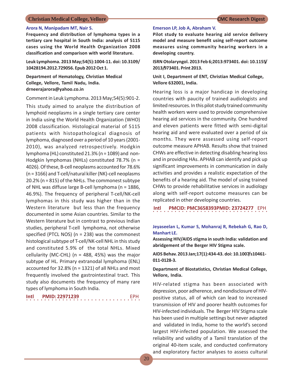### **Arora N, Manipadam MT, Nair S.**

**Frequency and distribution of lymphoma types in a tertiary care hospital in South India: analysis of 5115 cases using the World Health Organization 2008 classification and comparison with world literature.**

**Leuk Lymphoma. 2013 May;54(5):1004-11. doi: 10.3109/ 10428194.2012.729056. Epub 2012 Oct 1.**

**Department of Hematology, Christian Medical College, Vellore, Tamil Nadu, India. drneerajarora@yahoo.co.in**

Comment in Leuk Lymphoma. 2013 May;54(5):901-2.

This study aimed to analyze the distribution of lymphoid neoplasms in a single tertiary care center in India using the World Health Organization (WHO) 2008 classification. Histological material of 5115 patients with histopathological diagnosis of lymphoma, diagnosed over a period of 10 years (2001- 2010), was analyzed retrospectively. Hodgkin lymphoma (HL) constituted 21.3% (n = 1089) and non-Hodgkin lymphomas (NHLs) constituted 78.7% (n = 4026). Of these, B-cell neoplasms accounted for 78.6% (n = 3166) and T-cell/natural killer (NK)-cell neoplasms 20.2% (n = 815) of the NHLs. The commonest subtype of NHL was diffuse large B-cell lymphoma (n = 1886, 46.9%). The frequency of peripheral T-cell/NK-cell lymphomas in this study was higher than in the Western literature but less than the frequency documented in some Asian countries. Similar to the Western literature but in contrast to previous Indian studies, peripheral T-cell lymphoma, not otherwise specified (PTCL NOS) (n = 238) was the commonest histological subtype of T-cell/NK-cell NHL in this study and constituted 5.9% of the total NHLs. Mixed cellularity (MC-CHL) ( $n = 488, 45\%$ ) was the major subtype of HL. Primary extranodal lymphoma (ENL) accounted for 32.8% (n = 1321) of all NHLs and most frequently involved the gastrointestinal tract. This study also documents the frequency of many rare types of lymphoma in South India.

**Intl PMID: 22971239** EPH

○○○○ ○○○○○○○○○○○○○○○○○○○○○○○○○○○○

### **Emerson LP, Job A, Abraham V.**

**Pilot study to evaluate hearing aid service delivery model and measure benefit using self-report outcome measures using community hearing workers in a developing country.**

**ISRN Otolaryngol. 2013 Feb 6;2013:973401. doi: 10.1155/ 2013/973401. Print 2013.**

**Unit I, Department of ENT, Christian Medical College, Vellore 632001, India.**

Hearing loss is a major handicap in developing countries with paucity of trained audiologists and limited resources. In this pilot study trained community health workers were used to provide comprehensive hearing aid services in the community. One hundred and eleven patients were fitted with semi-digital hearing aid and were evaluated over a period of six months. They were assessed using self-report outcome measure APHAB. Results show that trained CHWs are effective in detecting disabling hearing loss and in providing HAs. APHAB can identify and pick up significant improvements in communication in daily activities and provides a realistic expectation of the benefits of a hearing aid. The model of using trained CHWs to provide rehabilitative services in audiology along with self-report outcome measures can be replicated in other developing countries.

**Intl PMCID: PMC3658393PMID: 23724277** EPH

### **Jeyaseelan L, Kumar S, Mohanraj R, Rebekah G, Rao D, Manhart LE.**

**Assessing HIV/AIDS stigma in south India: validation and abridgement of the Berger HIV Stigma scale.**

**AIDS Behav. 2013 Jan;17(1):434-43. doi: 10.1007/s10461- 011-0128-3.**

**Department of Biostatistics, Christian Medical College, Vellore, India.**

HIV-related stigma has been associated with depression, poor adherence, and nondisclosure of HIVpositive status, all of which can lead to increased transmission of HIV and poorer health outcomes for HIV-infected individuals. The Berger HIV Stigma scale has been used in multiple settings but never adapted and validated in India, home to the world's second largest HIV-infected population. We assessed the reliability and validity of a Tamil translation of the original 40-item scale, and conducted confirmatory and exploratory factor analyses to assess cultural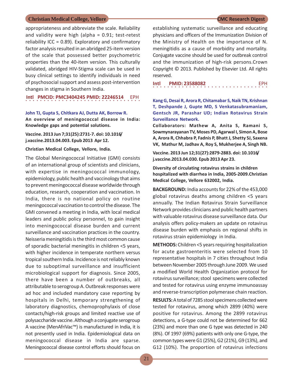appropriateness and abbreviate the scale. Reliability and validity were high (alpha  $= 0.91$ ; test-retest reliability ICC = 0.89). Exploratory and confirmatory factor analysis resulted in an abridged 25-item version of the scale that possessed better psychometric properties than the 40-item version. This culturally validated, abridged HIV-Stigma scale can be used in busy clinical settings to identify individuals in need of psychosocial support and assess post-intervention changes in stigma in Southern India.

**Intl PMCID: PMC3404245 PMID: 22246514** EPH

### **John TJ, Gupta S, Chitkara AJ, Dutta AK, Borrow R. An overview of meningococcal disease in India: Knowledge gaps and potential solutions.**

### **Vaccine. 2013 Jun 7;31(25):2731-7. doi: 10.1016/ j.vaccine.2013.04.003. Epub 2013 Apr 12.**

### **Christian Medical College, Vellore, India.**

The Global Meningococcal Initiative (GMI) consists of an international group of scientists and clinicians, with expertise in meningococcal immunology, epidemiology, public health and vaccinology that aims to prevent meningococcal disease worldwide through education, research, cooperation and vaccination. In India, there is no national policy on routine meningococcal vaccination to control the disease. The GMI convened a meeting in India, with local medical leaders and public policy personnel, to gain insight into meningococcal disease burden and current surveillance and vaccination practices in the country. Neisseria meningitidis is the third most common cause of sporadic bacterial meningitis in children <5 years, with higher incidence in temperate northern versus tropical southern India. Incidence is not reliably known due to suboptimal surveillance and insufficient microbiological support for diagnosis. Since 2005, there have been a number of outbreaks, all attributable to serogroup A. Outbreak responses were ad hoc and included mandatory case reporting by hospitals in Delhi, temporary strengthening of laboratory diagnostics, chemoprophylaxis of close contacts/high-risk groups and limited reactive use of polysaccharide vaccine. Although a conjugate serogroup A vaccine (MenAfriVac™) is manufactured in India, it is not presently used in India. Epidemiological data on meningococcal disease in India are sparse. Meningococcal disease control efforts should focus on

establishing systematic surveillance and educating physicians and officers of the Immunization Division of the Ministry of Health on the importance of N. meningitidis as a cause of morbidity and mortality. Conjugate vaccine should be used for outbreak control and the immunization of high-risk persons.Crown Copyright © 2013. Published by Elsevier Ltd. All rights reserved.

○○○○○○○○○○○○○○○○ ○○○○○○○○○○○○○○○○ **Intl PMID: 23588082** EPH

### **Kang G, Desai R, Arora R, Chitamabar S, Naik TN, Krishnan T, Deshpande J, Gupte MD, S Venkatasubramaniam, Gentsch JR, Parashar UD; Indian Rotavirus Strain Surveillance Network.**

**Collaborators: Mathew A, Anita S, Ramani S, Sowmynarayanan TV, Moses PD, Agarwal I, Simon A, Bose A, Arora R, Chhabra P, Fadnis P, Bhatt J, Shetty SJ, Saxena VK, Mathur M, Jadhav A, Roy S, Mukherjee A, Singh NB.**

**Vaccine. 2013 Jun 12;31(27):2879-2883. doi: 10.1016/ j.vaccine.2013.04.030. Epub 2013 Apr 23.**

**Diversity of circulating rotavirus strains in children hospitalized with diarrhea in India, 2005-2009.Christian Medical College, Vellore 632002, India.**

**BACKGROUND:** India accounts for 22% of the 453,000 global rotavirus deaths among children <5 years annually. The Indian Rotavirus Strain Surveillance Network provides clinicians and public health partners with valuable rotavirus disease surveillance data. Our analysis offers policy-makers an update on rotavirus disease burden with emphasis on regional shifts in rotavirus strain epidemiology in India.

**METHODS:** Children <5 years requiring hospitalization for acute gastroenteritis were selected from 10 representative hospitals in 7 cities throughout India between November 2005 through June 2009. We used a modified World Health Organization protocol for rotavirus surveillance; stool specimens were collected and tested for rotavirus using enzyme immunoassay and reverse-transcription polymerase chain reaction.

**RESULTS:** A total of 7285 stool specimens collected were tested for rotavirus, among which 2899 (40%) were positive for rotavirus. Among the 2899 rotavirus detections, a G-type could not be determined for 662 (23%) and more than one G type was detected in 240 (8%). Of 1997 (69%) patients with only one G-type, the common types were G1 (25%), G2 (21%), G9 (13%), and G12 (10%). The proportion of rotavirus infections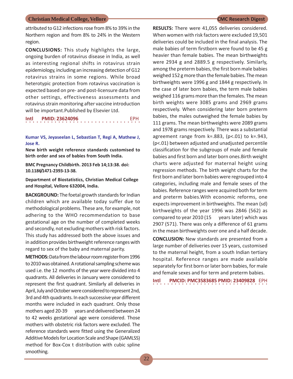attributed to G12 infections rose from 8% to 39% in the Northern region and from 8% to 24% in the Western region.

**CONCLUSIONS:** This study highlights the large, ongoing burden of rotavirus disease in India, as well as interesting regional shifts in rotavirus strain epidemiology, including an increasing detection of G12 rotavirus strains in some regions. While broad heterotypic protection from rotavirus vaccination is expected based on pre- and post-licensure data from other settings, effectiveness assessments and rotavirus strain monitoring after vaccine introduction will be important.Published by Elsevier Ltd.

## ○○○○○○○○○○○○○○○○ ○○○○○○○○○○○○○○○○ **Intl PMID: 23624096** EPH

**Kumar VS, Jeyaseelan L, Sebastian T, Regi A, Mathew J, Jose R.**

**New birth weight reference standards customised to birth order and sex of babies from South India.**

**BMC Pregnancy Childbirth. 2013 Feb 14;13:38. doi: 10.1186/1471-2393-13-38.**

**Department of Biostatistics, Christian Medical College and Hospital, Vellore 632004, India.**

**BACKGROUND:** The foetal growth standards for Indian children which are available today suffer due to methodological problems. These are, for example, not adhering to the WHO recommendation to base gestational age on the number of completed weeks and secondly, not excluding mothers with risk factors. This study has addressed both the above issues and in addition provides birthweight reference ranges with regard to sex of the baby and maternal parity.

**METHODS:** Data from the labour room register from 1996 to 2010 was obtained. A rotational sampling scheme was used i.e. the 12 months of the year were divided into 4 quadrants. All deliveries in January were considered to represent the first quadrant. Similarly all deliveries in April, July and October were considered to represent 2nd, 3rd and 4th quadrants. In each successive year different months were included in each quadrant. Only those mothers aged 20-39 years and delivered between 24 to 42 weeks gestational age were considered. Those mothers with obstetric risk factors were excluded. The reference standards were fitted using the Generalized Additive Models for Location Scale and Shape (GAMLSS) method for Box-Cox t distribution with cubic spline smoothing.

**RESULTS:** There were 41,055 deliveries considered. When women with risk factors were excluded 19,501 deliveries could be included in the final analysis. The male babies of term firstborn were found to be 45 g heavier than female babies. The mean birthweights were 2934 g and 2889.5 g respectively. Similarly, among the preterm babies, the first born male babies weighed 152 g more than the female babies. The mean birthweights were 1996 g and 1844 g respectively. In the case of later born babies, the term male babies weighed 116 grams more than the females. The mean birth weights were 3085 grams and 2969 grams respectively. When considering later born preterm babies, the males outweighed the female babies by 111 grams. The mean birthweights were 2089 grams and 1978 grams respectively. There was a substantial agreement range from k=.883, (p<.01) to k=.943, (p<.01) between adjusted and unadjusted percentile classification for the subgroups of male and female babies and first born and later born ones.Birth weight charts were adjusted for maternal height using regression methods. The birth weight charts for the first born and later born babies were regrouped into 4 categories, including male and female sexes of the babies. Reference ranges were acquired both for term and preterm babies.With economic reforms, one expects improvement in birthweights. The mean (sd) birthweights of the year 1996 was 2846 (562) as compared to year 2010 (15 years later) which was 2907 (571). There was only a difference of 61 grams in the mean birthweights over one and a half decade.

**CONCLUSION:** New standards are presented from a large number of deliveries over 15 years, customised to the maternal height, from a south Indian tertiary hospital. Reference ranges are made available separately for first born or later born babies, for male and female sexes and for term and preterm babies.

○○○○○○○○○○○○○○○○ ○○○○○○○○○○○○○○○○ **Intl PMCID: PMC3583685 PMID: 23409828** EPH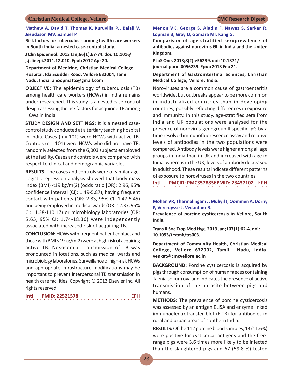### **Mathew A, David T, Thomas K, Kuruvilla PJ, Balaji V, Jesudason MV, Samuel P.**

**Risk factors for tuberculosis among health care workers in South India: a nested case-control study.**

**J Clin Epidemiol. 2013 Jan;66(1):67-74. doi: 10.1016/ j.jclinepi.2011.12.010. Epub 2012 Apr 20.**

**Department of Medicine, Christian Medical College Hospital, Ida Scudder Road, Vellore 632004, Tamil Nadu, India. anoopmatts@gmail.com**

**OBJECTIVE:** The epidemiology of tuberculosis (TB) among health care workers (HCWs) in India remains under-researched. This study is a nested case-control design assessing the risk factors for acquiring TB among HCWs in India.

**STUDY DESIGN AND SETTINGS:** It is a nested casecontrol study conducted at a tertiary teaching hospital in India. Cases ( $n = 101$ ) were HCWs with active TB. Controls (n = 101) were HCWs who did not have TB, randomly selected from the 6,003 subjects employed at the facility. Cases and controls were compared with respect to clinical and demographic variables.

**RESULTS:** The cases and controls were of similar age. Logistic regression analysis showed that body mass index (BMI) <19 kg/m(2) (odds ratio [OR]: 2.96, 95% confidence interval [CI]: 1.49-5.87), having frequent contact with patients (OR: 2.83, 95% CI: 1.47-5.45) and being employed in medical wards (OR: 12.37, 95% CI: 1.38-110.17) or microbiology laboratories (OR: 5.65, 95% CI: 1.74-18.36) were independently associated with increased risk of acquiring TB.

**CONCLUSION:** HCWs with frequent patient contact and those with BMI <19 kg/m(2) were at high risk of acquiring active TB. Nosocomial transmission of TB was pronounced in locations, such as medical wards and microbiology laboratories. Surveillance of high-risk HCWs and appropriate infrastructure modifications may be important to prevent interpersonal TB transmission in health care facilities. Copyright © 2013 Elsevier Inc. All rights reserved.

| Intl |  |  |  |  |  |  | <b>PMID: 22521578</b> |  |  |  |  |  |  |  | EPH. |  |
|------|--|--|--|--|--|--|-----------------------|--|--|--|--|--|--|--|------|--|
|      |  |  |  |  |  |  |                       |  |  |  |  |  |  |  |      |  |

**Menon VK, George S, Aladin F, Nawaz S, Sarkar R, Lopman B, Gray JJ, Gomara MI, Kang G.**

**Comparison of age-stratified seroprevalence of antibodies against norovirus GII in India and the United Kingdom.**

**PLoS One. 2013;8(2):e56239. doi: 10.1371/ journal.pone.0056239. Epub 2013 Feb 21.**

**Department of Gastrointestinal Sciences, Christian Medical College, Vellore, India.**

Noroviruses are a common cause of gastroenteritis worldwide, but outbreaks appear to be more common in industrialized countries than in developing countries, possibly reflecting differences in exposure and immunity. In this study, age-stratified sera from India and UK populations were analysed for the presence of norovirus-genogroup II specific IgG by a time resolved immunofluorescence assay and relative levels of antibodies in the two populations were compared. Antibody levels were higher among all age groups in India than in UK and increased with age in India, whereas in the UK, levels of antibody decreased in adulthood. These results indicate different patterns of exposure to noroviruses in the two countries

○○○○○○○○○○○○○○○○ ○○○○○○○○○○○○○○○○ **Intl PMCID: PMC3578856PMID: 23437102** EPH

### **Mohan VR, Tharmalingam J, Muliyil J, Oommen A, Dorny P, Vercruysse J, Vedantam R.**

**Prevalence of porcine cysticercosis in Vellore, South India.**

**Trans R Soc Trop Med Hyg. 2013 Jan;107(1):62-4. doi: 10.1093/trstmh/trs003.**

**Department of Community Health, Christian Medical College, Vellore 632002, Tamil Nadu, India. venkat@cmcvellore.ac.in**

**BACKGROUND:** Porcine cysticercosis is acquired by pigs through consumption of human faeces containing Taenia solium ova and indicates the presence of active transmission of the parasite between pigs and humans.

**METHODS:** The prevalence of porcine cysticercosis was assessed by an antigen ELISA and enzyme linked immunoelectrotransfer blot (EITB) for antibodies in rural and urban areas of southern India.

**RESULTS:** Of the 112 porcine blood samples, 13 (11.6%) were positive for cysticercal antigens and the freerange pigs were 3.6 times more likely to be infected than the slaughtered pigs and 67 (59.8 %) tested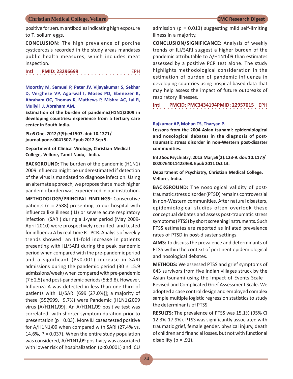positive for serum antibodies indicating high exposure to T. solium eggs.

**CONCLUSION:** The high prevalence of porcine cysticercosis recorded in the study areas mandates public health measures, which includes meat inspection.

○○○○○○○○○○○○○○○○ ○○○○○○○○○○○○○○○○ **Intl PMID: 23296699** 

**Moorthy M, Samuel P, Peter JV, Vijayakumar S, Sekhar D, Verghese VP, Agarwal I, Moses PD, Ebenezer K, Abraham OC, Thomas K, Mathews P, Mishra AC, Lal R, Muliyil J, Abraham AM.**

**Estimation of the burden of pandemic(H1N1)2009 in developing countries: experience from a tertiary care center in South India.**

**PLoS One. 2012;7(9):e41507. doi: 10.1371/ journal.pone.0041507. Epub 2012 Sep 5.**

**Department of Clinical Virology, Christian Medical College, Vellore, Tamil Nadu, India.**

**BACKGROUND:** The burden of the pandemic (H1N1) 2009 influenza might be underestimated if detection of the virus is mandated to diagnose infection. Using an alternate approach, we propose that a much higher pandemic burden was experienced in our institution.

**METHODOLOGY/PRINCIPAL FINDINGS:** Consecutive patients (n = 2588) presenting to our hospital with influenza like illness (ILI) or severe acute respiratory infection (SARI) during a 1-year period (May 2009- April 2010) were prospectively recruited and tested for influenza A by real-time RT-PCR. Analysis of weekly trends showed an 11-fold increase in patients presenting with ILI/SARI during the peak pandemic period when compared with the pre-pandemic period and a significant (P<0.001) increase in SARI admissions during the pandemic period  $(30 \pm 15.9)$ admissions/week) when compared with pre-pandemic  $(7 \pm 2.5)$  and post-pandemic periods  $(5 \pm 3.8)$ . However, Influenza A was detected in less than one-third of patients with ILI/SARI [699 (27.0%)]; a majority of these (557/699, 9.7%) were Pandemic (H1N1)2009 virus [A/H1N1/09]. An A/H1N1/09 positive test was correlated with shorter symptom duration prior to presentation ( $p = 0.03$ ). More ILI cases tested positive for A/H1N1/09 when compared with SARI (27.4% vs. 14.6%,  $P = 0.037$ ). When the entire study population was considered, A/H1N1/09 positivity was associated with lower risk of hospitalization (p<0.0001) and ICU

admission ( $p = 0.013$ ) suggesting mild self-limiting illness in a majority.

**CONCLUSION/SIGNIFICANCE:** Analysis of weekly trends of ILI/SARI suggest a higher burden of the pandemic attributable to A/H1N1/09 than estimates assessed by a positive PCR test alone. The study highlights methodological consideration in the estimation of burden of pandemic influenza in developing countries using hospital-based data that may help assess the impact of future outbreaks of respiratory illnesses.

○○○○○○○○○○○○○○○○ ○○○○○○○○○○○○○○○○ **Intl PMCID: PMC3434194PMID: 22957015** EPH

### **Rajkumar AP, Mohan TS, Tharyan P.**

**Lessons from the 2004 Asian tsunami: epidemiological and nosological debates in the diagnosis of posttraumatic stress disorder in non-Western post-disaster communities.**

**Int J Soc Psychiatry. 2013 Mar;59(2):123-9. doi: 10.1177/ 0020764011423468. Epub 2011 Oct 13.**

**Department of Psychiatry, Christian Medical College, Vellore, India.**

**BACKGROUND:** The nosological validity of posttraumatic stress disorder (PTSD) remains controversial in non-Western communities. After natural disasters, epidemiological studies often overlook these conceptual debates and assess post-traumatic stress symptoms (PTSS) by short screening instruments. Such PTSS estimates are reported as inflated prevalence rates of PTSD in post-disaster settings.

**AIMS:** To discuss the prevalence and determinants of PTSS within the context of pertinent epidemiological and nosological debates.

**METHODS:** We assessed PTSS and grief symptoms of 643 survivors from five Indian villages struck by the Asian tsunami using the Impact of Events Scale – Revised and Complicated Grief Assessment Scale. We adopted a case control design and employed complex sample multiple logistic regression statistics to study the determinants of PTSS.

**RESULTS:** The prevalence of PTSS was 15.1% (95% CI 12.3%-17.9%). PTSS was significantly associated with traumatic grief, female gender, physical injury, death of children and financial losses, but not with functional disability ( $p = .91$ ).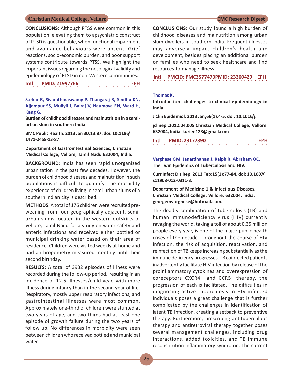**CONCLUSIONS:** Although PTSS were common in this population, elevating them to apsychiatric construct of PTSD is questionable, when functional impairment and avoidance behaviours were absent. Grief reactions, socio-economic burden, and poor support systems contribute towards PTSS. We highlight the important issues regarding the nosological validity and epidemiology of PTSD in non-Western communities.

○○○○○○○○○○○○○○○○ ○○○○○○○○○○○○○○○○ **Intl PMID: 21997766** 

**Sarkar R, Sivarathinaswamy P, Thangaraj B, Sindhu KN, Ajjampur SS, Muliyil J, Balraj V, Naumova EN, Ward H, Kang G.**

**Burden of childhood diseases and malnutrition in a semiurban slum in southern India.**

**BMC Public Health. 2013 Jan 30;13:87. doi: 10.1186/ 1471-2458-13-87.**

**Department of Gastrointestinal Sciences, Christian Medical College, Vellore, Tamil Nadu 632004, India.**

**BACKGROUND:** India has seen rapid unorganized urbanization in the past few decades. However, the burden of childhood diseases and malnutrition in such populations is difficult to quantify. The morbidity experience of children living in semi-urban slums of a southern Indian city is described.

**METHODS:** A total of 176 children were recruited preweaning from four geographically adjacent, semiurban slums located in the western outskirts of Vellore, Tamil Nadu for a study on water safety and enteric infections and received either bottled or municipal drinking water based on their area of residence. Children were visited weekly at home and had anthropometry measured monthly until their second birthday.

**RESULTS:** A total of 3932 episodes of illness were recorded during the follow-up period, resulting in an incidence of 12.5 illnesses/child-year, with more illness during infancy than in the second year of life. Respiratory, mostly upper respiratory infections, and gastrointestinal illnesses were most common. Approximately one-third of children were stunted at two years of age, and two-thirds had at least one episode of growth failure during the two years of follow up. No differences in morbidity were seen between children who received bottled and municipal water.

**CONCLUSIONS:** Our study found a high burden of childhood diseases and malnutrition among urban slum dwellers in southern India. Frequent illnesses may adversely impact children's health and development, besides placing an additional burden on families who need to seek healthcare and find resources to manage illness.

**Intl PMCID: PMC3577473PMID: 23360429 FPH** 

### **Thomas K.**

**Introduction: challenges to clinical epidemiology in India.**

**J Clin Epidemiol. 2013 Jan;66(1):4-5. doi: 10.1016/j.**

**jclinepi.2012.04.005.Christian Medical College, Vellore 632004, India. kurien123@gmail.com**

| Intl |  |  |  |  |  | <b>PMID: 23177890</b> |  |  |  |  |  |  |  |  | <b>FPH</b> |  |
|------|--|--|--|--|--|-----------------------|--|--|--|--|--|--|--|--|------------|--|
|      |  |  |  |  |  |                       |  |  |  |  |  |  |  |  |            |  |

**Varghese GM, Janardhanan J, Ralph R, Abraham OC. The Twin Epidemics of Tuberculosis and HIV.**

**Curr Infect Dis Rep. 2013 Feb;15(1):77-84. doi: 10.1007/ s11908-012-0311-3.**

**Department of Medicine 1 & Infectious Diseases, Christian Medical College, Vellore, 632004, India, georgemvarghese@hotmail.com.**

The deadly combination of tuberculosis (TB) and human immunodeficiency virus (HIV) currently ravaging the world, taking a toll of about 0.35 million people every year, is one of the major public health crises of the decade. Throughout the course of HIV infection, the risk of acquisition, reactivation, and reinfection of TB keeps increasing substantially as the immune deficiency progresses. TB coinfected patients inadvertently facilitate HIV infection by release of the proinflammatory cytokines and overexpression of coreceptors CXCR4 and CCR5; thereby, the progression of each is facilitated. The difficulties in diagnosing active tuberculosis in HIV-infected individuals poses a great challenge that is further complicated by the challenges in identification of latent TB infection, creating a setback to preventive therapy. Furthermore, prescribing antituberculous therapy and antiretroviral therapy together poses several management challenges, including drug interactions, added toxicities, and TB immune reconstitution inflammatory syndrome. The current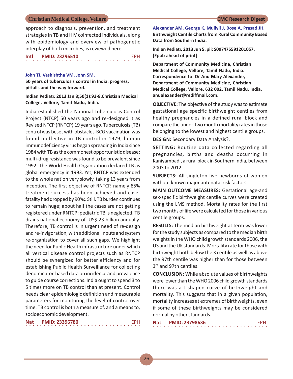approach to diagnosis, prevention, and treatment strategies in TB and HIV coinfected individuals, along with epidemiology and overview of pathogenetic interplay of both microbes, is reviewed here.

### ○○○○○○○○○○○○○○○○ ○○○○○○○○○○○○○○○○ **Intl PMID: 23296510** EPH

### **John TJ, Vashishtha VM, John SM.**

**50 years of tuberculosis control in India: progress, pitfalls and the way forward.**

### **Indian Pediatr. 2013 Jan 8;50(1):93-8.Christian Medical College, Vellore, Tamil Nadu, India.**

India established the National Tuberculosis Control Project (NTCP) 50 years ago and re-designed it as Revised NTCP (RNTCP) 19 years ago. Tuberculosis (TB) control was beset with obstacles-BCG vaccination was found ineffective in TB control in 1979; human immunodeficiency virus began spreading in India since 1984 with TB as the commonest opportunistic disease; multi-drug resistance was found to be prevalent since 1992. The World Health Organization declared TB as global emergency in 1993. Yet, RNTCP was extended to the whole nation very slowly, taking 13 years from inception. The first objective of RNTCP, namely 85% treatment success has been achieved and casefatality had dropped by 90%;. Still, TB burden continues to remain huge; about half the cases are not getting registered under RNTCP; pediatric TB is neglected; TB drains national economy of US\$ 23 billion annually. Therefore, TB control is in urgent need of re-design and re-invigoration, with additional inputs and system re-organization to cover all such gaps. We highlight the need for Public Health infrastructure under which all vertical disease control projects such as RNTCP should be synergized for better efficiency and for establishing Public Health Surveillance for collecting denominator-based data on incidence and prevalence to guide course corrections. India ought to spend 3 to 5 times more on TB control than at present. Control needs clear epidemiologic definition and measurable parameters for monitoring the level of control over time. TB control is both a measure of, and a means to, socioeconomic development.

| Nat |  | <b>PMID: 23396780</b> |  |  |  |  |  |  |  |  |  |  |  |  | <b>FPH</b> |  |
|-----|--|-----------------------|--|--|--|--|--|--|--|--|--|--|--|--|------------|--|
|     |  |                       |  |  |  |  |  |  |  |  |  |  |  |  |            |  |

**Alexander AM, George K, Muliyil J, Bose A, Prasad JH. Birthweight Centile Charts from Rural Community Based Data from Southern India.**

**Indian Pediatr. 2013 Jun 5. pii: S097475591201057. [Epub ahead of print]**

**Department of Community Medicine, Christian Medical College, Vellore, Tamil Nadu, India. Correspondence to: Dr Anu Mary Alexander, Department of Community Medicine, Christian Medical College, Vellore, 632 002, Tamil Nadu, India. anualexander@rediffmail.com.**

**OBJECTIVE:** The objective of the study was to estimate gestational age specific birthweight centiles from healthy pregnancies in a defined rural block and compare the under-two month mortality rates in those belonging to the lowest and highest centile groups.

**DESIGN:** Secondary Data Analysis?.

**SETTING:** Routine data collected regarding all pregnancies, births and deaths occurring in Kaniyambadi, a rural block in Southern India, between 2003 to 2012.

**SUBJECTS:** All singleton live newborns of women without known major antenatal risk factors.

**MAIN OUTCOME MEASURES:** Gestational age-and sex-specific birthweight centile curves were created using the LMS method. Mortality rates for the first two months of life were calculated for those in various centile groups.

**RESULTS:** The median birthweight at term was lower for the study subjects as compared to the median birth weights in the WHO child growth standards 2006, the US and the UK standards. Mortality rate for those with birthweight both below the 3 centile as well as above the 97th centile was higher than for those between 3rd and 97th centiles.

**CONCLUSION:** While absolute values of birthweights were lower than the WHO 2006 child growth standards there was a J shaped curve of birthweight and mortality. This suggests that in a given population, mortality increases at extremes of birthweights, even if some of these birthweights may be considered normal by other standards.

| Nat |  | <b>PMID: 23798636</b> |  |  |  |  |  |  |  |  |  |  |  | <b>FPH</b> |  |
|-----|--|-----------------------|--|--|--|--|--|--|--|--|--|--|--|------------|--|
|     |  |                       |  |  |  |  |  |  |  |  |  |  |  |            |  |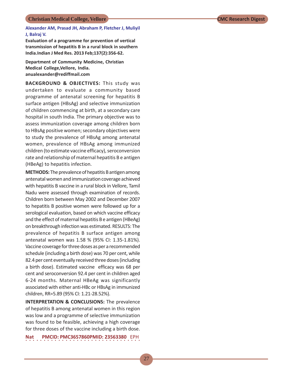### **Alexander AM, Prasad JH, Abraham P, Fletcher J, Muliyil J, Balraj V.**

**Evaluation of a programme for prevention of vertical transmission of hepatitis B in a rural block in southern India.Indian J Med Res. 2013 Feb;137(2):356-62.**

**Department of Community Medicine, Christian Medical College,Vellore, India. anualexander@rediffmail.com**

**BACKGROUND & OBJECTIVES:** This study was undertaken to evaluate a community based programme of antenatal screening for hepatitis B surface antigen (HBsAg) and selective immunization of children commencing at birth, at a secondary care hospital in south India. The primary objective was to assess immunization coverage among children born to HBsAg positive women; secondary objectives were to study the prevalence of HBsAg among antenatal women, prevalence of HBsAg among immunized children (to estimate vaccine efficacy), seroconversion rate and relationship of maternal hepatitis B e antigen (HBeAg) to hepatitis infection.

**METHODS:** The prevalence of hepatitis B antigen among antenatal women and immunization coverage achieved with hepatitis B vaccine in a rural block in Vellore, Tamil Nadu were assessed through examination of records. Children born between May 2002 and December 2007 to hepatitis B positive women were followed up for a serological evaluation, based on which vaccine efficacy and the effect of maternal hepatitis B e antigen (HBeAg) on breakthrough infection was estimated. RESULTS: The prevalence of hepatitis B surface antigen among antenatal women was 1.58 % (95% CI: 1.35-1.81%). Vaccine coverage for three doses as per a recommended schedule (including a birth dose) was 70 per cent, while 82.4 per cent eventually received three doses (including a birth dose). Estimated vaccine efficacy was 68 per cent and seroconversion 92.4 per cent in children aged 6-24 months. Maternal HBeAg was significantly associated with either anti-HBc or HBsAg in immunized children, RR=5.89 (95% CI: 1.21-28.52%).

**INTERPRETATION & CONCLUSIONS:** The prevalence of hepatitis B among antenatal women in this region was low and a programme of selective immunization was found to be feasible, achieving a high coverage for three doses of the vaccine including a birth dose.

**Nat PMCID: PMC3657860PMID: 23563380**  EPH○○○○○○○○○○○○○○○○ ○○○○○○○○○○○○○○○○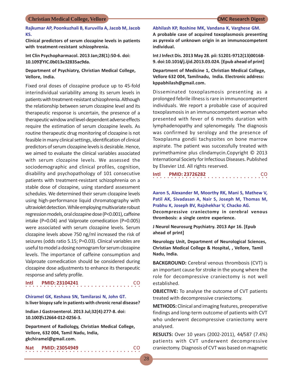### **Rajkumar AP, Poonkuzhali B, Kuruvilla A, Jacob M, Jacob KS.**

**Clinical predictors of serum clozapine levels in patients with treatment-resistant schizophrenia.**

**Int Clin Psychopharmacol. 2013 Jan;28(1):50-6. doi: 10.1097/YIC.0b013e32835ac9da.**

### **Department of Psychiatry, Christian Medical College, Vellore, India.**

Fixed oral doses of clozapine produce up to 45-fold interindividual variability among its serum levels in patients with treatment-resistant schizophrenia. Although the relationship between serum clozapine level and its therapeutic response is uncertain, the presence of a therapeutic window and level-dependent adverse effects require the estimation of serum clozapine levels. As routine therapeutic drug monitoring of clozapine is not feasible in many clinical settings, identification of clinical predictors of serum clozapine levels is desirable. Hence, we aimed to evaluate the clinical variables associated with serum clozapine levels. We assessed the sociodemographic and clinical profiles, cognition, disability and psychopathology of 101 consecutive patients with treatment-resistant schizophrenia on a stable dose of clozapine, using standard assessment schedules. We determined their serum clozapine levels using high-performance liquid chromatography with ultraviolet detection. While employing multivariate robust regression models, oral clozapine dose (P<0.001), caffeine intake (P=0.04) and Valproate comedication (P=0.005) were associated with serum clozapine levels. Serum clozapine levels above 750 ng/ml increased the risk of seizures (odds ratio 5.15; P=0.03). Clinical variables are useful to model a dosing nomogram for serum clozapine levels. The importance of caffeine consumption and Valproate comedication should be considered during clozapine dose adjustments to enhance its therapeutic response and safety profile.

○○○○○○○○○○○○○○○○ ○○○○○○○○○○○○○○○○ **Intl PMID: 23104241** CO

**Chiramel GK, Keshava SN, Tamilarasi N, John GT. Is liver biopsy safe in patients with chronic renal disease?**

**Indian J Gastroenterol. 2013 Jul;32(4):277-8. doi: 10.1007/s12664-012-0256-3.**

**Department of Radiology, Christian Medical College, Vellore, 632 004, Tamil Nadu, India, gkchiramel@gmail.com.**

○○○○○○○○○○○○○○○○ ○○○○○○○○○○○○○○○○ **Nat PMID: 23054949** CO

**Abhilash KP, Roshine MK, Vandana K, Varghese GM. A probable case of acquired toxoplasmosis presenting as pyrexia of unknown origin in an immunocompetent individual.**

**Int J Infect Dis. 2013 May 28. pii: S1201-9712(13)00168- 9. doi:10.1016/j.ijid.2013.03.024. [Epub ahead of print]**

**Department of Medicine 1, Christian Medical College, Vellore 632 004, Tamilnadu, India. Electronic address: kppabhilash@gmail.com.**

Disseminated toxoplasmosis presenting as a prolonged febrile illness is rare in immunocompetent individuals. We report a probable case of acquired toxoplasmosis in an immunocompetent woman who presented with fever of 6 months duration with lymphadenopathy and splenomegaly. The diagnosis was confirmed by serology and the presence of Toxoplasma gondii tachyzoites on bone marrow aspirate. The patient was successfully treated with pyrimethamine plus clindamycin.Copyright © 2013 International Society for Infectious Diseases. Published by Elsevier Ltd. All rights reserved.

|  |  |  |  |  |  |  | Intl PMID: 23726282 |  |  |  |  |  |  |  |  | CO. |
|--|--|--|--|--|--|--|---------------------|--|--|--|--|--|--|--|--|-----|
|  |  |  |  |  |  |  |                     |  |  |  |  |  |  |  |  |     |

**Aaron S, Alexander M, Moorthy RK, Mani S, Mathew V, Patil AK, Sivadasan A, Nair S, Joseph M, Thomas M, Prabhu K, Joseph BV, Rajshekhar V, Chacko AG.**

**Decompressive craniectomy in cerebral venous thrombosis: a single centre experience.**

**J Neurol Neurosurg Psychiatry. 2013 Apr 16. [Epub ahead of print]**

**Neurology Unit, Department of Neurological Sciences, Christian Medical College & Hospital, , Vellore, Tamil Nadu, India.**

**BACKGROUND:** Cerebral venous thrombosis (CVT) is an important cause for stroke in the young where the role for decompressive craniectomy is not well established.

**OBJECTIVE:** To analyse the outcome of CVT patients treated with decompressive craniectomy.

**METHODS:** Clinical and imaging features, preoperative findings and long-term outcome of patients with CVT who underwent decompressive craniectomy were analysed.

**RESULTS:** Over 10 years (2002-2011), 44/587 (7.4%) patients with CVT underwent decompressive craniectomy. Diagnosis of CVT was based on magnetic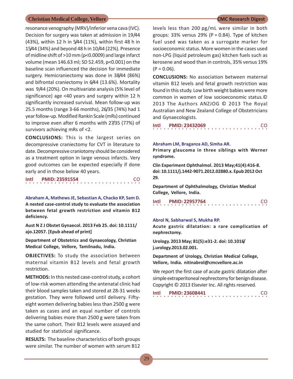resonance venography (MRV)/inferior vena cava (IVC). Decision for surgery was taken at admission in 19/44 (43%), within 12 h in 5/44 (11%), within first 48 h in 15/44 (34%) and beyond 48 h in 10/44 (22%). Presence of midline shift of >10 mm (p<0.0009) and large infarct volume (mean 146.63 ml; SD 52.459, p<0.001) on the baseline scan influenced the decision for immediate surgery. Hemicraniectomy was done in 38/44 (86%) and bifrontal craniectomy in 6/44 (13.6%). Mortality was 9/44 (20%). On multivariate analysis (5% level of significance) age <40 years and surgery within 12 h significantly increased survival. Mean follow-up was 25.5 months (range 3-66 months), 26/35 (74%) had 1 year follow-up. Modified Rankin Scale (mRs) continued to improve even after 6 months with 27/35 (77%) of survivors achieving mRs of <2.

**CONCLUSIONS:** This is the largest series on decompressive craniectomy for CVT in literature to date. Decompressive craniotomy should be considered as a treatment option in large venous infarcts. Very good outcomes can be expected especially if done early and in those below 40 years.

| Intl |  |  |  |  |  |  | <b>PMID: 23591554</b> |  |  |  |  |  |  |  | <b>CO</b> |  |
|------|--|--|--|--|--|--|-----------------------|--|--|--|--|--|--|--|-----------|--|
|      |  |  |  |  |  |  |                       |  |  |  |  |  |  |  |           |  |

**Abraham A, Mathews JE, Sebastian A, Chacko KP, Sam D. A nested case-control study to evaluate the association between fetal growth restriction and vitamin B12 deficiency.**

**Aust N Z J Obstet Gynaecol. 2013 Feb 25. doi: 10.1111/ ajo.12057. [Epub ahead of print]**

**Department of Obstetrics and Gynaecology, Christian Medical College, Vellore, Tamilnadu, India.**

**OBJECTIVES:** To study the association between maternal vitamin B12 levels and fetal growth restriction.

**METHODS:** In this nested case-control study, a cohort of low-risk women attending the antenatal clinic had their blood samples taken and stored at 28-31 weeks gestation. They were followed until delivery. Fiftyeight women delivering babies less than 2500 g were taken as cases and an equal number of controls delivering babies more than 2500 g were taken from the same cohort. Their B12 levels were assayed and studied for statistical significance.

**RESULTS:** The baseline characteristics of both groups were similar. The number of women with serum B12

levels less than 200 pg/mL were similar in both groups: 33% versus 29% ( $P = 0.84$ ). Type of kitchen fuel used was taken as a surrogate marker for socioeconomic status. More women in the cases used non-LPG (liquid petroleum gas) kitchen fuels such as kerosene and wood than in controls, 35% versus 19%  $(P = 0.06)$ .

**CONCLUSIONS:** No association between maternal vitamin B12 levels and fetal growth restriction was found in this study. Low birth weight babies were more common in women of low socioeconomic status.© 2013 The Authors ANZJOG © 2013 The Royal Australian and New Zealand College of Obstetricians and Gynaecologists.

○○○○○○○○○○○○○○○○ ○○○○○○○○○○○○○○○○ **Intl PMID: 23432069** CO

### **Abraham LM, Braganza AD, Simha AR.**

**Primary glaucoma in three siblings with Werner syndrome.**

**Clin Experiment Ophthalmol. 2013 May;41(4):416-8. doi: 10.1111/j.1442-9071.2012.02880.x. Epub 2012 Oct 29.**

**Department of Ophthalmology, Christian Medical College, Vellore, India.**

| Intl |  | <b>PMID: 22957764</b> |  |  |  |  |  |  |  |  |  |  |  |  | CO. |  |
|------|--|-----------------------|--|--|--|--|--|--|--|--|--|--|--|--|-----|--|
|      |  |                       |  |  |  |  |  |  |  |  |  |  |  |  |     |  |

### **Abrol N, Sabharwal S, Mukha RP.**

**Acute gastric dilatation: a rare complication of nephrectomy.**

**Urology. 2013 May; 81(5):e31-2. doi: 10.1016/ j.urology.2013.02.001.**

**Department of Urology, Christian Medical College, Vellore, India. nitinabrol@cmcvellore.ac.in**

We report the first case of acute gastric dilatation after simple extraperitoneal nephrectomy for benign disease. Copyright © 2013 Elsevier Inc. All rights reserved.

○○○○○○○○○○○○○○○○ ○○○○○○○○○○○○○○○○ **Intl PMID: 23608441** CO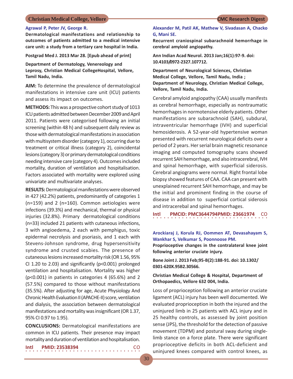### **Agrawal P, Peter JV, George R.**

**Dermatological manifestations and relationship to outcomes of patients admitted to a medical intensive care unit: a study from a tertiary care hospital in India.**

**Postgrad Med J. 2013 Mar 28. [Epub ahead of print]**

**Department of Dermatology, Venereology and Leprosy, Christian Medical CollegeHospital, Vellore, Tamil Nadu, India.**

**AIM:** To determine the prevalence of dermatological manifestations in intensive care unit (ICU) patients and assess its impact on outcomes.

**METHODS:** This was a prospective cohort study of 1013 ICU patients admitted between December 2009 and April 2011. Patients were categorised following an initial screening (within 48 h) and subsequent daily review as those with dermatological manifestations in association with multisystem disorder (category 1), occurring due to treatment or critical illness (category 2), coincidental lesions (category 3) or primary dermatological conditions needing intensive care (category 4). Outcomes included mortality, duration of ventilation and hospitalisation. Factors associated with mortality were explored using univariate and multivariate analyses.

**RESULTS:** Dermatological manifestations were observed in 427 (42.2%) patients, predominantly of categories 1 (n=159) and 2 (n=160). Common aetiologies were infections (39.3%) and mechanical, thermal or physical injuries (32.8%). Primary dermatological conditions (n=33) included 21 patients with cutaneous infections, 3 with angioedema, 2 each with pemphigus, toxic epidermal necrolysis and psoriasis, and 1 each with Stevens-Johnson syndrome, drug hypersensitivity syndrome and crusted scabies. The presence of cutaneous lesions increased mortality risk (OR 1.56, 95% CI 1.20 to 2.03) and significantly (p<0.001) prolonged ventilation and hospitalisation. Mortality was higher (p<0.001) in patients in categories 4 (65.6%) and 2 (57.5%) compared to those without manifestations (35.5%). After adjusting for age, Acute Physiology And Chronic Health Evaluation II (APACHE-II) score, ventilation and dialysis, the association between dermatological manifestations and mortality was insignificant (OR 1.37, 95% CI 0.97 to 1.95).

**CONCLUSIONS:** Dermatological manifestations are common in ICU patients. Their presence may impact mortality and duration of ventilation and hospitalisation.

○○○○○○○○○○○○○○○○ ○○○○○○○○○○○○○○○○

**Intl PMID: 23538394** CO

**Alexander M, Patil AK, Mathew V, Sivadasan A, Chacko G, Mani SE.**

**Recurrent craniospinal subarachnoid hemorrhage in cerebral amyloid angiopathy.**

**Ann Indian Acad Neurol. 2013 Jan;16(1):97-9. doi: 10.4103/0972-2327.107712.**

**Department of Neurological Sciences, Christian Medical College, Vellore, Tamil Nadu, India ; Department of Neurology, Christian Medical College, Vellore, Tamil Nadu, India.**

Cerebral amyloid angiopathy (CAA) usually manifests as cerebral hemorrhage, especially as nontraumatic hemorrhages in normotensive elderly patients. Other manifestations are subarachnoid (SAH), subdural, intraventricular hemorrhage (IVH) and superficial hemosiderosis. A 52-year-old hypertensive woman presented with recurrent neurological deficits over a period of 2 years. Her serial brain magnetic resonance imaging and computed tomography scans showed recurrent SAH hemorrhage, and also intracerebral, IVH and spinal hemorrhage, with superficial siderosis. Cerebral angiograms were normal. Right frontal lobe biopsy showed features of CAA. CAA can present with unexplained recurrent SAH hemorrhage, and may be the initial and prominent finding in the course of disease in addition to superficial cortical siderosis and intracerebal and spinal hemorrhages.

**Intl PMCID: PMC3644794PMID: 23661974 CO** 

### **Arockiaraj J, Korula RJ, Oommen AT, Devasahayam S, Wankhar S, Velkumar S, Poonnoose PM.**

**Proprioceptive changes in the contralateral knee joint following anterior cruciate injury.**

**Bone Joint J. 2013 Feb;95-B(2):188-91. doi: 10.1302/ 0301-620X.95B2.30566.**

**Christian Medical College & Hospital, Department of Orthopaedics, Vellore 632 004, India.**

Loss of proprioception following an anterior cruciate ligament (ACL) injury has been well documented. We evaluated proprioception in both the injured and the uninjured limb in 25 patients with ACL injury and in 25 healthy controls, as assessed by joint position sense (JPS), the threshold for the detection of passive movement (TDPM) and postural sway during singlelimb stance on a force plate. There were significant proprioceptive deficits in both ACL-deficient and uninjured knees compared with control knees, as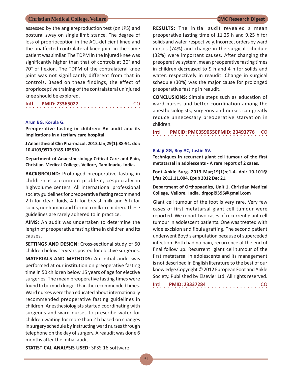assessed by the anglereproduction test (on JPS) and postural sway on single limb stance. The degree of loss of proprioception in the ACL-deficient knee and the unaffected contralateral knee joint in the same patient was similar. The TDPM in the injured knee was significantly higher than that of controls at 30° and 70° of flexion. The TDPM of the contralateral knee joint was not significantly different from that in controls. Based on these findings, the effect of proprioceptive training of the contralateral uninjured knee should be explored.

| Intl | <b>PMID: 23365027</b> |  |
|------|-----------------------|--|
|      |                       |  |

### **Arun BG, Korula G.**

**Preoperative fasting in children: An audit and its implications in a tertiary care hospital.**

**J Anaesthesiol Clin Pharmacol. 2013 Jan;29(1):88-91. doi: 10.4103/0970-9185.105810.**

**Department of Anaesthesiology Critical Care and Pain, Christian Medical College, Vellore, Tamilnadu, India.**

**BACKGROUND:** Prolonged preoperative fasting in children is a common problem, cespecially in highvolume centers. All international professional society guidelines for preoperative fasting recommend 2 h for clear fluids, 4 h for breast milk and 6 h for solids, nonhuman and formula milk in children. These guidelines are rarely adhered to in practice.

**AIMS:** An audit was undertaken to determine the length of preoperative fasting time in children and its causes.

**SETTINGS AND DESIGN:** Cross-sectional study of 50 children below 15 years posted for elective surgeries.

**MATERIALS AND METHODS:** An initial audit was performed at our institution on preoperative fasting time in 50 children below 15 years of age for elective surgeries. The mean preoperative fasting times were found to be much longer than the recommended times. Ward nurses were then educated about internationally recommended preoperative fasting guidelines in children. Anesthesiologists started coordinating with surgeons and ward nurses to prescribe water for children waiting for more than 2 h based on changes in surgery schedule by instructing ward nurses through telephone on the day of surgery. A reaudit was done 6 months after the initial audit.

**RESULTS:** The initial audit revealed a mean preoperative fasting time of 11.25 h and 9.25 h for solids and water, respectively. Incorrect orders by ward nurses (74%) and change in the surgical schedule (32%) were important causes. After changing the preoperative system, mean preoperative fasting times in children decreased to 9 h and 4 h for solids and water, respectively in reaudit. Change in surgical schedule (30%) was the major cause for prolonged preoperative fasting in reaudit.

**CONCLUSIONS:** Simple steps such as education of ward nurses and better coordination among the anesthesiologists, surgeons and nurses can greatly reduce unnecessary preoperative starvation in children.

○○○○○○○○○○○○○○○○ ○○○○○○○○○○○○○○○○ **Intl PMCID: PMC3590550PMID: 23493776** CO

### **Balaji GG, Roy AC, Justin SV.**

**Techniques in recurrent giant cell tumour of the first metatarsal in adolescents - A rare report of 2 cases.**

**Foot Ankle Surg. 2013 Mar;19(1):e1-4. doi: 10.1016/ j.fas.2012.11.004. Epub 2012 Dec 21.**

**Department of Orthopaedics, Unit 1, Christian Medical College, Vellore, India. drgopi9596@gmail.com**

Giant cell tumour of the foot is very rare. Very few cases of first metatarsal giant cell tumour were reported. We report two cases of recurrent giant cell tumour in adolescent patients. One was treated with wide excision and fibula grafting. The second patient underwent Boyd's amputation because of superceded infection. Both had no pain, recurrence at the end of final follow up. Recurrent giant cell tumour of the first metatarsal in adolescents and its management is not described in English literature to the best of our knowledge.Copyright © 2012 European Foot and Ankle Society. Published by Elsevier Ltd. All rights reserved.

○○○○○○○○○○○○○○○○ ○○○○○○○○○○○○○○○○ **Intl PMID: 23337284** CO

**STATISTICAL ANALYSIS USED:** SPSS 16 software.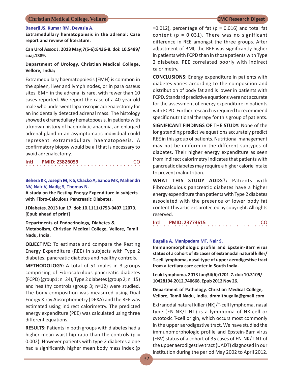### **Banerji JS, Kumar RM, Devasia A.**

**Extramedullary hematopoiesis in the adrenal: Case report and review of literature.**

**Can Urol Assoc J. 2013 May;7(5-6):E436-8. doi: 10.5489/ cuaj.1389.**

### **Department of Urology, Christian Medical College, Vellore, India;**

Extramedullary haematopoiesis (EMH) is common in the spleen, liver and lymph nodes, or in para osseus sites. EMH in the adrenal is rare, with fewer than 10 cases reported. We report the case of a 40-year-old male who underwent laparoscopic adrenalectomy for an incidentally detected adrenal mass. The histology showed extramedullary hematopoesis. In patients with a known history of haemolytic anaemia, an enlarged adrenal gland in an asymptomatic individual could represent extramedullary haematopoesis. A confirmatory biopsy would be all that is necessary to avoid adrenalectomy.

| Intl | <b>PMID: 23826059</b> | CO. |
|------|-----------------------|-----|
|      |                       |     |

### **Behera KK, Joseph M, K S, Chacko A, Sahoo MK, Mahendri NV, Nair V, Nadig S, Thomas N.**

**A study on the Resting Energy Expenditure in subjects with Fibro-Calculous Pancreatic Diabetes.**

**J Diabetes. 2013 Jun 17. doi: 10.1111/1753-0407.12070. [Epub ahead of print]**

**Departments of Endocrinology, Diabetes & Metabolism, Christian Medical College, Vellore, Tamil Nadu, India.**

**OBJECTIVE:** To estimate and compare the Resting Energy Expenditure (REE) in subjects with Type 2 diabetes, pancreatic diabetes and healthy controls.

**METHODOLOGY:** A total of 51 males in 3 groups comprising of Fibrocalculous pancreatic diabetes (FCPD) (group1; n=24), Type 2 diabetes (group 2; n=15) and healthy controls (group 3; n=12) were studied. The body composition was measured using Dual Energy X-ray Absorptiometry (DEXA) and the REE was estimated using indirect calorimetry. The predicted energy expenditure (PEE) was calculated using three different equations.

**RESULTS:** Patients in both groups with diabetes had a higher mean waist-hip ratio than the controls ( $p =$ 0.002). However patients with type 2 diabetes alone had a significantly higher mean body mass index (p

 $=0.012$ ), percentage of fat ( $p = 0.016$ ) and total fat content ( $p = 0.031$ ). There was no significant difference in REE amongst the three groups. After adjustment of BMI, the REE was significantly higher in patients with FCPD than in those patients with Type 2 diabetes. PEE correlated poorly with indirect calorimetry.

**CONCLUSIONS:** Energy expenditure in patients with diabetes varies according to the composition and distribution of body fat and is lower in patients with FCPD. Standard predictive equations were not accurate for the assessment of energy expenditure in patients with FCPD. Further research is required to recommend specific nutritional therapy for this group of patients.

**SIGNIFICANT FINDINGS OF THE STUDY:** None of the long standing predictive equations accurately predict REE in this group of patients. Nutritional management may not be uniform in the different subtypes of diabetes. Their higher energy expenditure as seen from indirect calorimetry indicates that patients with pancreatic diabetes may require a higher calorie intake to prevent malnutrition.

**WHAT THIS STUDY ADDS?:** Patients with Fibrocalculous pancreatic diabetes have a higher energy expenditure than patients with Type 2 diabetes associated with the presence of lower body fat content.This article is protected by copyright. All rights reserved.

○○○○○○○○○○○○○○○○ ○○○○○○○○○○○○○○○○ **Intl PMID: 23773615** CO

### **Bugalia A, Manipadam MT, Nair S.**

**Immunomorphologic profile and Epstein-Barr virus status of a cohort of 35 cases of extranodal natural killer/ T-cell lymphoma, nasal type of upper aerodigestive tract from a tertiary care center in South India.**

**Leuk Lymphoma. 2013 Jun;54(6):1201-7. doi: 10.3109/ 10428194.2012.740668. Epub 2012 Nov 26.**

**Department of Pathology, Christian Medical College, Vellore, Tamil Nadu, India. dramitbugalia@gmail.com**

Extranodal natural killer (NK)/T-cell lymphoma, nasal type (EN-NK/T-NT) is a lymphoma of NK-cell or cytotoxic T-cell origin, which occurs most commonly in the upper aerodigestive tract. We have studied the immunomorphologic profile and Epstein-Barr virus (EBV) status of a cohort of 35 cases of EN-NK/T-NT of the upper aerodigestive tract (UADT) diagnosed in our institution during the period May 2002 to April 2012.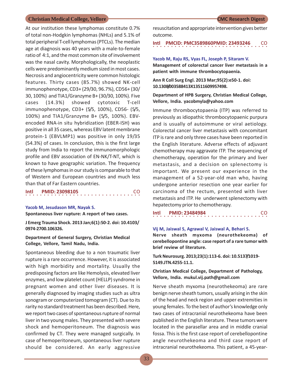At our institution these lymphomas constitute 0.7% of total non-Hodgkin lymphomas (NHLs) and 5.1% of total peripheral T-cell lymphomas (PTCLs). The median age at diagnosis was 40 years with a male-to-female ratio of 4:1, and the most common site of involvement was the nasal cavity. Morphologically, the neoplastic cells were predominantly medium sized in most cases. Necrosis and angiocentricity were common histologic features. Thirty cases (85.7%) showed NK-cell immunophenotype, CD3+ (29/30, 96.7%), CD56+ (30/ 30, 100%) and TIA1/Granzyme B+ (30/30, 100%). Five cases (14.3%) showed cytotoxic T-cell immunophenotype, CD3+ (5/5, 100%), CD56- (5/5, 100%) and TIA1/Granzyme B+ (5/5, 100%). EBVencoded RNA-in situ hybridization (EBER-ISH) was positive in all 35 cases, whereas EBV latent membrane protein-1 (EBVLMP1) was positive in only 19/35 (54.3%) of cases. In conclusion, this is the first large study from India to report the immunomorphologic profile and EBV association of EN-NK/T-NT, which is known to have geographic variation. The frequency of these lymphomas in our study is comparable to that of Western and European countries and much less than that of Far Eastern countries.

○○○○○○○○○○○○○○○○ ○○○○○○○○○○○○○○○○ **Intl PMID: 23098105** CO

### **Yacob M, Jesudason MR, Nayak S.**

**Spontaneous liver rupture: A report of two cases.**

**J Emerg Trauma Shock. 2013 Jan;6(1):50-2. doi: 10.4103/ 0974-2700.106326.**

### **Department of General Surgery, Christian Medical College, Vellore, Tamil Nadu, India.**

Spontaneous bleeding due to a non traumatic liver rupture is a rare occurrence. However, it is associated with high morbidity and mortality. Usually the predisposing factors are like Hemolysis, elevated liver enzymes, and low platelet count (HELLP) syndrome in pregnant women and other liver diseases. It is generally diagnosed by imaging studies such as ultra sonogram or computerized tomogram (CT). Due to its rarity no standard treatment has been described. Here, we report two cases of spontaneous rupture of normal liver in two young males. They presented with severe shock and hemoperitoneum. The diagnosis was confirmed by CT. They were managed surgically. In case of hemoperitoneum, spontaneous liver rupture should be considered. An early aggressive

resuscitation and appropriate intervention gives better outcome.

○○○○○○○○○○○○○○○○ ○○○○○○○○○○○○○○○○ **Intl PMCID: PMC3589860PMID: 23493246** CO

**Yacob M, Raju RS, Vyas FL, Joseph P, Sitaram V. Management of colorectal cancer liver metastasis in a patient with immune thrombocytopaenia.**

**Ann R Coll Surg Engl. 2013 Mar;95(2):e50-1. doi: 10.1308/003588413X13511609957498.**

**Department of HPB Surgery, Christian Medical College, Vellore, India. yacobmyla@yahoo.com**

Immune thrombocytopaenia (ITP) was referred to previously as idiopathic thrombocytopaenic purpura and is usually of autoimmune or viral aetiology. Colorectal cancer liver metastasis with concomitant ITP is rare and only three cases have been reported in the English literature. Adverse effects of adjuvant chemotherapy may aggravate ITP. The sequencing of chemotherapy, operation for the primary and liver metastasis, and a decision on splenectomy is important. We present our experience in the management of a 52-year-old man who, having undergone anterior resection one year earlier for carcinoma of the rectum, presented with liver metastasis and ITP. He underwent splenectomy with hepatectomy prior to chemotherapy.

| Intl |  | <b>PMID: 23484984</b> |  |  |  |  |  |  |  |  |  |  |  |  | <b>CO</b> |  |
|------|--|-----------------------|--|--|--|--|--|--|--|--|--|--|--|--|-----------|--|
|      |  |                       |  |  |  |  |  |  |  |  |  |  |  |  |           |  |

### **Vij M, Jaiswal S, Agrawal V, Jaiswal A, Behari S.**

**Nerve sheath myxoma (neurothekeoma) of cerebellopontine angle: case report of a rare tumor with brief review of literature.**

**Turk Neurosurg. 2013;23(1):113-6. doi: 10.5137/1019- 5149.JTN.4255-11.1.**

**Christian Medical College, Department of Pathology, Vellore, India. mukul.vij.path@gmail.com**

Nerve sheath myxoma (neurothekeoma) are rare benign nerve sheath tumors, usually arising in the skin of the head and neck region and upper extremities in young females. To the best of author's knowledge only two cases of intracranial neurothekeoma have been published in the English literature. These tumors were located in the parasellar area and in middle cranial fossa. This is the first case report of cerebellopontine angle neurothekeoma and third case report of intracranial neurothekeoma. This patient, a 45-year-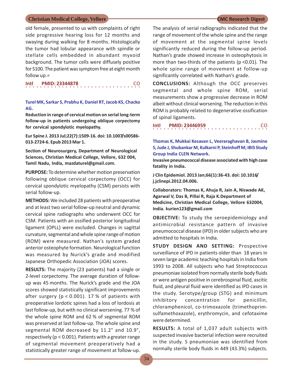old female, presented to us with complaints of right side progressive hearing loss for 12 months and swaying during walking for 8 months. Histologically the tumor had lobular appearance with spindle or stellate cells embedded in abundant myxoid background. The tumor cells were diffusely positive for S100. The patient was symptom free at eight month follow up.=

 $\cdots$ 이 **Intl PMID: 23344878** 

### **Turel MK, Sarkar S, Prabhu K, Daniel RT, Jacob KS, Chacko AG.**

**Reduction in range of cervical motion on serial long-term follow-up in patients undergoing oblique corpectomy for cervical spondylotic myelopathy.**

**Eur Spine J. 2013 Jul;22(7):1509-16. doi: 10.1007/s00586- 013-2724-6. Epub 2013 Mar 1.**

**Section of Neurosurgery, Department of Neurological Sciences, Christian Medical College, Vellore, 632 004, Tamil Nadu, India, mazdaturel@gmail.com.**

**PURPOSE:** To determine whether motion preservation following oblique cervical corpectomy (OCC) for cervical spondylotic myelopathy (CSM) persists with serial follow-up.

**METHODS:** We included 28 patients with preoperative and at least two serial follow-up neutral and dynamic cervical spine radiographs who underwent OCC for CSM. Patients with an ossified posterior longitudinal ligament (OPLL) were excluded. Changes in sagittal curvature, segmental and whole spine range of motion (ROM) were measured. Nathan's system graded anterior osteophyte formation. Neurological function was measured by Nurick's grade and modified Japanese Orthopedic Association (JOA) scores.

**RESULTS:** The majority (23 patients) had a single or 2-level corpectomy. The average duration of followup was 45 months. The Nurick's grade and the JOA scores showed statistically significant improvements after surgery ( $p < 0.001$ ). 17 % of patients with preoperative lordotic spines had a loss of lordosis at last follow-up, but with no clinical worsening. 77 % of the whole spine ROM and 62 % of segmental ROM was preserved at last follow-up. The whole spine and segmental ROM decreased by 11.2° and 10.9°, respectively (p < 0.001). Patients with a greater range of segmental movement preoperatively had a statistically greater range of movement at follow-up.

The analysis of serial radiographs indicated that the range of movement of the whole spine and the range of movement at the segmental spine levels significantly reduced during the follow-up period. Nathan's grade showed increase in osteophytosis in more than two-thirds of the patients (p <0.01). The whole spine range of movement at follow-up significantly correlated with Nathan's grade.

**CONCLUSIONS:** Although the OCC preserves segmental and whole spine ROM, serial measurements show a progressive decrease in ROM albeit without clinical worsening. The reduction in this ROM is probably related to degenerative ossification of spinal ligaments.

| Intl |  |  |  |  |  |  | <b>PMID: 23446959</b> |  |  |  |  |  |  |  | <b>CO</b> |  |
|------|--|--|--|--|--|--|-----------------------|--|--|--|--|--|--|--|-----------|--|
|      |  |  |  |  |  |  |                       |  |  |  |  |  |  |  |           |  |

### **Thomas K, Mukkai Kesavan L, Veeraraghavan B, Jasmine S, Jude J, Shubankar M, Kulkarni P, Steinhoff M; IBIS Study Group India CLEN Network.**

**Invasive pneumococcal disease associated with high case fatality in India.**

**J Clin Epidemiol. 2013 Jan;66(1):36-43. doi: 10.1016/ j.jclinepi.2012.04.006.**

**Collaborators: Thomas K, Ahuja R, Jain A, Niswade AK, Agarwal V, Das B, Pillai R, Raja K.Department of Medicine, Christian Medical College, Vellore 632004, India. kurien123@gmail.com**

**OBJECTIVE:** To study the seroepidemiology and antimicrobial resistance pattern of invasive pneumococcal disease (IPD) in older subjects who are admitted to hospitals in India.

**STUDY DESIGN AND SETTING:** Prospective surveillance of IPD in patients older than 18 years in seven large academic teaching hospitals in India from 1993 to 2008. All subjects who had Streptococcus pneumoniae isolated from normally sterile body fluids or were antigen positive in cerebrospinal fluid, ascitic fluid, and pleural fluid were identified as IPD cases in the study. Serotype/group (STG) and minimum inhibitory concentration for penicillin, chloramphenicol, co-trimoxazole (trimethoprimsulfamethoxazole), erythromycin, and cefotaxime were determined.

**RESULTS:** A total of 1,037 adult subjects with suspected invasive bacterial infection were recruited in the study. S pneumoniae was identified from normally sterile body fluids in 449 (43.3%) subjects.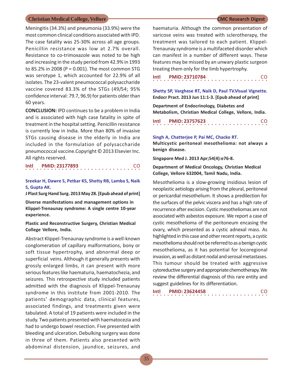Meningitis (34.3%) and pneumonia (33.9%) were the most common clinical conditions associated with IPD. The case fatality was 25-30% across all age groups. Penicillin resistance was low at 2.7% overall. Resistance to co-trimoxazole was noted to be high and increasing in the study period from 42.9% in 1993 to 85.2% in 2008 (P = 0.001). The most common STG was serotype 1, which accounted for 22.9% of all isolates. The 23-valent pneumococcal polysaccharide vaccine covered 83.3% of the STGs (49/54; 95% confidence interval: 79.7, 96.9) for patients older than 60 years.

**CONCLUSION:** IPD continues to be a problem in India and is associated with high case fatality in spite of treatment in the hospital setting. Penicillin resistance is currently low in India. More than 80% of invasive STGs causing disease in the elderly in India are included in the formulation of polysaccharide pneumococcal vaccine.Copyright © 2013 Elsevier Inc. All rights reserved.

### ○○○○○○○○○○○○○○○○ ○○○○○○○○○○○○○○○○ **Intl PMID: 23177893**

### **Sreekar H, Dawre S, Petkar KS, Shetty RB, Lamba S, Naik S, Gupta AK.**

**J Plast Surg Hand Surg. 2013 May 28. [Epub ahead of print]**

**Diverse manifestations and management options in Klippel-Trenaunay syndrome: A single centre 10-year experience.**

### **Plastic and Reconstructive Surgery, Christian Medical College Vellore, India.**

Abstract Klippel-Trenaunay syndrome is a well-known conglomeration of capillary malformations, bony or soft tissue hypertrophy, and abnormal deep or superficial veins. Although it generally presents with grossly enlarged limbs, it can present with more serious features like haematuria, haematochezia, and seizures. This retrospective study included patients admitted with the diagnosis of Klippel-Trenaunay syndrome in this institute from 2001-2010. The patients' demographic data, clinical features, associated findings, and treatments given were tabulated. A total of 19 patients were included in the study. Two patients presented with haematocezia and had to undergo bowel resection. Five presented with bleeding and ulceration. Debulking surgery was done in three of them. Patients also presented with abdominal distension, jaundice, seizures, and

haematuria. Although the common presentation of varicose veins was treated with sclerotherapy, the treatment was tailored to each patient. Klippel-Trenaunay syndrome is a multifaceted disorder which can manifest in a number of different ways. These features may be missed by an unwary plastic surgeon treating them only for the limb hypertrophy.

 $\cdots$ 이 **Intl PMID: 23710784** 

**Shetty SP, Varghese RT, Naik D, Paul TV.Visual Vignette. Endocr Pract. 2013 Jun 11:1-3. [Epub ahead of print]**

**Department of Endocrinology, Diabetes and Metabolism, Christian Medical College, Vellore, India.**

| Intl |  |  |  |  |  | <b>PMID: 23757623</b> |  |  |  |  |  |  |  |  | <b>CO</b> |  |
|------|--|--|--|--|--|-----------------------|--|--|--|--|--|--|--|--|-----------|--|
|      |  |  |  |  |  |                       |  |  |  |  |  |  |  |  |           |  |

### **Singh A, Chatterjee P, Pai MC, Chacko RT.**

**Multicystic peritoneal mesothelioma: not always a benign disease.**

**Singapore Med J. 2013 Apr;54(4):e76-8.**

### **Department of Medical Oncology, Christian Medical College, Vellore 632004, Tamil Nadu, India.**

Mesothelioma is a slow-growing insidious lesion of neoplastic aetiology arising from the pleural, peritoneal or pericardial mesothelium. It shows a predilection for the surfaces of the pelvic viscera and has a high rate of recurrence after excision. Cystic mesotheliomas are not associated with asbestos exposure. We report a case of cystic mesothelioma of the peritoneum encasing the ovary, which presented as a cystic adnexal mass. As highlighted in this case and other recent reports, a cystic mesothelioma should not be referred to as a benign cystic mesothelioma, as it has potential for locoregional invasion, as well as distant nodal and serosal metastases. This tumour should be treated with aggressive cytoreductive surgery and appropriate chemotherapy. We review the differential diagnosis of this rare entity and suggest guidelines for its differentiation.

| Intl |  |  |  |  |  | <b>PMID: 23624458</b> |  |  |  |  |  |  |  |  |  | CO. |
|------|--|--|--|--|--|-----------------------|--|--|--|--|--|--|--|--|--|-----|
|      |  |  |  |  |  |                       |  |  |  |  |  |  |  |  |  |     |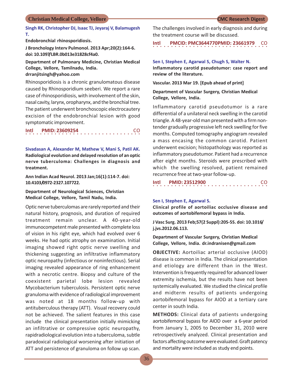### **Singh RK, Christopher DJ, Isaac TJ, Jeyaraj V, Balamugesh T.**

**Endobronchial rhinosporidiosis.**

**J Bronchology Interv Pulmonol. 2013 Apr;20(2):164-6. doi: 10.1097/LBR.0b013e31828cf4a0.**

**Department of Pulmonary Medicine, Christian Medical College, Vellore, Tamilnadu, India.**

## **drranjitsingh@yahoo.com**

Rhinosporidiosis is a chronic granulomatous disease caused by Rhinosporidium seeberi. We report a rare case of rhinosporidiosis, with involvement of the skin, nasal cavity, larynx, oropharynx, and the bronchial tree. The patient underwent bronchoscopic electrocautery excision of the endobronchial lesion with good symptomatic improvement.

| Intl |  |  | <b>PMID: 23609254</b> |  |  |  |  |  |  |  |  |  |  |  | <b>CO</b> |  |
|------|--|--|-----------------------|--|--|--|--|--|--|--|--|--|--|--|-----------|--|
|      |  |  |                       |  |  |  |  |  |  |  |  |  |  |  |           |  |

**Sivadasan A, Alexander M, Mathew V, Mani S, Patil AK. Radiological evolution and delayed resolution of an optic nerve tuberculoma: Challenges in diagnosis and treatment.**

**Ann Indian Acad Neurol. 2013 Jan;16(1):114-7. doi: 10.4103/0972-2327.107722.**

**Department of Neurological Sciences, Christian Medical College, Vellore, Tamil Nadu, India.**

Optic nerve tuberculomas are rarely reported and their natural history, prognosis, and duration of required treatment remain unclear. A 40-year-old immunocompetent male presented with complete loss of vision in his right eye, which had evolved over 6 weeks. He had optic atrophy on examination. Initial imaging showed right optic nerve swelling and thickening suggesting an infiltrative inflammatory optic neuropathy (infectious or noninfectious). Serial imaging revealed appearance of ring enhancement with a necrotic centre. Biopsy and culture of the coexistent parietal lobe lesion revealed Mycobacterium tuberculosis. Persistent optic nerve granuloma with evidence of radiological improvement was noted at 18 months follow-up with antituberculous therapy (ATT). Visual recovery could not be achieved. The salient features in this case include the clinical presentation initially mimicking an infiltrative or compressive optic neuropathy, rapidradiological evolution into a tuberculoma, subtle paradoxical radiological worsening after initiation of ATT and persistence of granuloma on follow up scan.

The challenges involved in early diagnosis and during the treatment course will be discussed.

**Intl PMCID: PMC3644770PMID: 23661979 CO** 

**Sen I, Stephen E, Agarwal S, Chugh S, Walter N. Inflammatory carotid pseudotumor: case report and review of the literature.**

**Vascular. 2013 Mar 19. [Epub ahead of print]**

**Department of Vascular Surgery, Christian Medical College, Vellore, India.**

Inflammatory carotid pseudotumor is a rare differential of a unilateral neck swelling in the carotid triangle. A 48-year-old man presented with a firm nontender gradually progressive left neck swelling for five months. Computed tomography angiogram revealed a mass encasing the common carotid. Patient underwent excision; histopathology was reported as inflammatory pseudotumor. Patient had a recurrence after eight months. Steroids were prescribed with which the swelling resolved, patient remained recurrence free at two-year follow-up.

|  |  | Intl  PMID: 23512900 |  |  |  |  |  |  |  |  |  |  |  |  |  | CO. |
|--|--|----------------------|--|--|--|--|--|--|--|--|--|--|--|--|--|-----|
|  |  |                      |  |  |  |  |  |  |  |  |  |  |  |  |  |     |

### **Sen I, Stephen E, Agarwal S.**

**Clinical profile of aortoiliac occlusive disease and outcomes of aortobifemoral bypass in India.**

**J Vasc Surg. 2013 Feb;57(2 Suppl):20S-5S. doi: 10.1016/ j.jvs.2012.06.113.**

**Department of Vascular Surgery, Christian Medical College, Vellore, India. dr.indranisen@gmail.com**

**OBJECTIVE:** Aortoiliac arterial occlusive (AIOD) disease is common in India. The clinical presentation and etiology are different than in the West. Intervention is frequently required for advanced lower extremity ischemia, but the results have not been systemically evaluated. We studied the clinical profile and midterm results of patients undergoing aortobifemoral bypass for AIOD at a tertiary care center in south India.

**METHODS:** Clinical data of patients undergoing aortobifemoral bypass for AIOD over a 6-year period from January 1, 2005 to December 31, 2010 were retrospectively analyzed. Clinical presentation and factors affecting outcome were evaluated. Graft patency and mortality were included as study end points.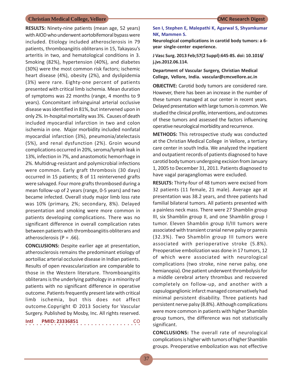**RESULTS:** Ninety-nine patients (mean age, 52 years) with AIOD who underwent aortobifemoral bypass were included. Etiology included atherosclerosis in 79 patients, thromboangiitis obliterans in 15, Takayasu's arteritis in two, and hematological conditions in 3. Smoking (82%), hypertension (40%), and diabetes (30%) were the most common risk factors; ischemic heart disease (4%), obesity (2%), and dyslipidemia (3%) were rare. Eighty-one percent of patients presented with critical limb ischemia. Mean duration of symptoms was 22 months (range, 4 months to 9 years). Concomitant infrainguinal arterial occlusive disease was identified in 81%, but intervened upon in only 2%. In-hospital mortality was 3%. Causes of death included myocardial infarction in two and colon ischemia in one. Major morbidity included nonfatal myocardial infarction (3%), pneumonia/atelectasis (5%), and renal dysfunction (2%). Groin wound complications occurred in 20%, seroma/lymph leak in 13%, infection in 7%, and anastomotic hemorrhage in 2%. Multidrug-resistant and polymicrobial infections were common. Early graft thrombosis (30 days) occurred in 15 patients; 8 of 11 reintervened grafts were salvaged. Four more grafts thrombosed during a mean follow-up of 2 years (range, 0-5 years) and two became infected. Overall study major limb loss rate was 10% (primary, 2%; secondary, 8%). Delayed presentation and smoking were more common in patients developing complications. There was no significant difference in overall complication rates between patients with thromboangiitis obliterans and atherosclerosis ( $P = .66$ ).

**CONCLUSIONS:** Despite earlier age at presentation, atherosclerosis remains the predominant etiology of aortoiliac arterial occlusive disease in Indian patients. Results of open revascularization are comparable to those in the Western literature. Thromboangiitis obliterans is the underlying pathology in a minority of patients with no significant difference in operative outcome. Patients frequently present late with critical limb ischemia, but this does not affect outcome.Copyright © 2013 Society for Vascular Surgery. Published by Mosby, Inc. All rights reserved.

| Intl | <b>PMID: 23336851</b> | <b>CO</b> |
|------|-----------------------|-----------|
|      |                       |           |

### **Sen I, Stephen E, Malepathi K, Agarwal S, Shyamkumar NK, Mammen S.**

**Neurological complications in carotid body tumors: a 6 year single-center experience.**

**J Vasc Surg. 2013 Feb;57(2 Suppl):64S-8S. doi: 10.1016/ j.jvs.2012.06.114.**

**Department of Vascular Surgery, Christian Medical College, Vellore, India. vascular@cmcvellore.ac.in**

**OBJECTIVE:** Carotid body tumors are considered rare. However, there has been an increase in the number of these tumors managed at our center in recent years. Delayed presentation with large tumors is common. We studied the clinical profile, interventions, and outcomes of these tumors and assessed the factors influencing operative neurological morbidity and recurrence.

**METHODS:** This retrospective study was conducted at the Christian Medical College in Vellore, a tertiary care center in south India. We analyzed the inpatient and outpatient records of patients diagnosed to have carotid body tumors undergoing excision from January 1, 2005 to December 31, 2011. Patients diagnosed to have vagal paragangliomas were excluded.

**RESULTS:** Thirty-four of 48 tumors were excised from 32 patients (11 female, 21 male). Average age at presentation was 38.2 years, and three patients had familial bilateral tumors. All patients presented with a painless neck mass. There were 27 Shamblin group III, six Shamblin group II, and one Shamblin group I tumor. Eleven Shamblin group II/III tumors were associated with transient cranial nerve palsy or paresis (32.3%). Two Shamblin group III tumors were associated with perioperative stroke (5.8%). Preoperative embolization was done in 17 tumors, 12 of which were associated with neurological complications (two stroke, nine nerve palsy, one hemianopia). One patient underwent thrombolysis for a middle cerebral artery thrombus and recovered completely on follow-up, and another with a capsuloganglionic infarct managed conservatively had minimal persistent disability. Three patients had persistent nerve palsy (8.8%). Although complications were more common in patients with higher Shamblin group tumors, the difference was not statistically significant.

**CONCLUSIONS:** The overall rate of neurological complications is higher with tumors of higher Shamblin groups. Preoperative embolization was not effective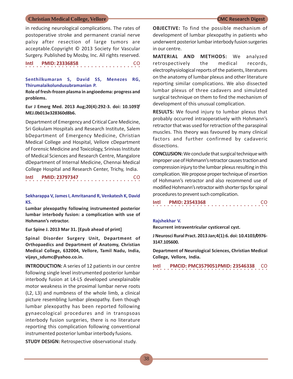in reducing neurological complications. The rates of postoperative stroke and permanent cranial nerve palsy after resection of large tumors are acceptable.Copyright © 2013 Society for Vascular Surgery. Published by Mosby, Inc. All rights reserved.

○○○○○○○○○○○○○○○○ ○○○○○○○○○○○○○○○○

**Intl PMID: 23336858** 

### **Senthilkumaran S, David SS, Menezes RG, Thirumalaikolundusubramanian P.**

**Role of fresh-frozen plasma in angioedema: progress and problems.**

**Eur J Emerg Med. 2013 Aug;20(4):292-3. doi: 10.1097/ MEJ.0b013e328360d8b6.**

Department of Emergency and Critical Care Medicine, Sri Gokulam Hospitals and Research Institute, Salem bDepartment of Emergency Medicine, Christian Medical College and Hospital, Vellore cDepartment of Forensic Medicine and Toxicology, Srinivas Institute of Medical Sciences and Research Centre, Mangalore dDepartment of Internal Medicine, Chennai Medical College Hospital and Research Center, Trichy, India.

```
○○○○○○○○○○○○○○○○ ○○○○○○○○○○○○○○○○
Intl  PMID: 23797347
```
**Sekharappa V, James I, Amritanand R, Venkatesh K, David KS.**

**Lumbar plexopathy following instrumented posterior lumbar interbody fusion: a complication with use of Hohmann's retractor.**

**Eur Spine J. 2013 Mar 31. [Epub ahead of print]**

**Spinal Disorder Surgery Unit, Department of Orthopaedics and Department of Anatomy, Christian Medical College, 632004, Vellore, Tamil Nadu, India, vijays\_sdumc@yahoo.co.in.**

**INTRODUCTION:** A series of 12 patients in our centre following single level instrumented posterior lumbar interbody fusion at L4-L5 developed unexplainable motor weakness in the proximal lumbar nerve roots (L2, L3) and numbness of the whole limb, a clinical picture resembling lumbar plexopathy. Even though lumbar plexopathy has been reported following gynaecological procedures and in transpsoas interbody fusion surgeries, there is no literature reporting this complication following conventional instrumented posterior lumbar interbody fusions.

**STUDY DESIGN:** Retrospective observational study.

**OBJECTIVE:** To find the possible mechanism of development of lumbar plexopathy in patients who underwent posterior lumbar interbody fusion surgeries in our centre.

**MATERIAL AND METHODS:** We analyzed retrospectively the medical records, electrophysiological reports of the patients, literatures on the anatomy of lumbar plexus and other literature reporting similar complications. We also dissected lumbar plexus of three cadavers and simulated surgical technique on them to find the mechanism of development of this unusual complication.

**RESULTS:** We found injury to lumbar plexus that probably occurred intraoperatively with Hohmann's retractor that was used for retraction of the paraspinal muscles. This theory was favoured by many clinical factors and further confirmed by cadaveric dissections.

**CONCLUSION:** We conclude that surgical technique with improper use of Hohmann's retractor causes traction and compression injury to the lumbar plexus resulting in this complication. We propose proper technique of insertion of Hohmann's retractor and also recommend use of modified Hohmann's retractor with shorter tips for spinal procedures to prevent such complication.

○○○○○○○○○○○○○○○○ ○○○○○○○○○○○○○○○○ **Intl PMID: 23543368** CO

### **Rajshekhar V.**

**Recurrent intraventricular cysticercal cyst.**

**J Neurosci Rural Pract. 2013 Jan;4(1):6. doi: 10.4103/0976- 3147.105600.**

**Department of Neurological Sciences, Christian Medical College, Vellore, India.**

○○○○○○○○○○○○○○○○ ○○○○○○○○○○○○○○○○ **Intl PMCID: PMC3579051PMID: 23546338** CO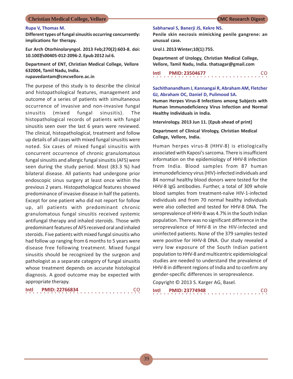### **Rupa V, Thomas M.**

**Different types of fungal sinusitis occurring concurrently: implications for therapy.**

**Eur Arch Otorhinolaryngol. 2013 Feb;270(2):603-8. doi: 10.1007/s00405-012-2096-2. Epub 2012 Jul 6.**

## **Department of ENT, Christian Medical College, Vellore 632004, Tamil Nadu, India.**

**rupavedantam@cmcvellore.ac.in**

The purpose of this study is to describe the clinical and histopathological features, management and outcome of a series of patients with simultaneous occurrence of invasive and non-invasive fungal sinusitis (mixed fungal sinusitis). The histopathological records of patients with fungal sinusitis seen over the last 6 years were reviewed. The clinical, histopathological, treatment and follow up details of all cases with mixed fungal sinusitis were noted. Six cases of mixed fungal sinusitis with concurrent occurrence of chronic granulomatous fungal sinusitis and allergic fungal sinusitis (AFS) were seen during the study period. Most (83.3 %) had bilateral disease. All patients had undergone prior endoscopic sinus surgery at least once within the previous 2 years. Histopathological features showed predominance of invasive disease in half the patients. Except for one patient who did not report for follow up, all patients with predominant chronic granulomatous fungal sinusitis received systemic antifungal therapy and inhaled steroids. Those with predominant features of AFS received oral and inhaled steroids. Five patients with mixed fungal sinusitis who had follow up ranging from 6 months to 5 years were disease free following treatment. Mixed fungal sinusitis should be recognized by the surgeon and pathologist as a separate category of fungal sinusitis whose treatment depends on accurate histological diagnosis. A good outcome may be expected with appropriate therapy.

| Intl | <b>PMID: 22766834</b> | -CO |
|------|-----------------------|-----|
|      |                       |     |

### **Sabharwal S, Banerji JS, Kekre NS.**

**Penile skin necrosis mimicking penile gangrene: an unusual case.**

**Urol J. 2013 Winter;10(1):755.**

**Department of Urology, Christian Medical College, Vellore, Tamil Nadu, India. thatsagar@gmail.com**

| Intl |  |  |  |  |  |  | <b>PMID: 23504677</b> |  |  |  |  |  |  |  | CO. |  |
|------|--|--|--|--|--|--|-----------------------|--|--|--|--|--|--|--|-----|--|
|      |  |  |  |  |  |  |                       |  |  |  |  |  |  |  |     |  |

### **Sachithanandham J, Kannangai R, Abraham AM, Fletcher GJ, Abraham OC, Daniel D, Pulimood SA.**

**Human Herpes Virus-8 Infections among Subjects with Human Immunodeficiency Virus Infection and Normal Healthy Individuals in India.**

**Intervirology. 2013 Jun 11. [Epub ahead of print]**

### **Department of Clinical Virology, Christian Medical College, Vellore, India.**

Human herpes virus-8 (HHV-8) is etiologically associated with Kaposi's sarcoma. There is insufficient information on the epidemiology of HHV-8 infection from India. Blood samples from 87 human immunodeficiency virus (HIV)-infected individuals and 84 normal healthy blood donors were tested for the HHV-8 IgG antibodies. Further, a total of 309 whole blood samples from treatment-naïve HIV-1-infected individuals and from 70 normal healthy individuals were also collected and tested for HHV-8 DNA. The seroprevalence of HHV-8 was 4.7% in the South Indian population. There was no significant difference in the seroprevalence of HHV-8 in the HIV-infected and uninfected patients. None of the 379 samples tested were positive for HHV-8 DNA. Our study revealed a very low exposure of the South Indian patient population to HHV-8 and multicentric epidemiological studies are needed to understand the prevalence of HHV-8 in different regions of India and to confirm any gender-specific differences in seroprevalence.

Copyright © 2013 S. Karger AG, Basel.

| Intl |  |  |  | <b>PMID: 23774948</b> |  |  |  |  |  |  |  |  |  |  | CO. |  |
|------|--|--|--|-----------------------|--|--|--|--|--|--|--|--|--|--|-----|--|
|      |  |  |  |                       |  |  |  |  |  |  |  |  |  |  |     |  |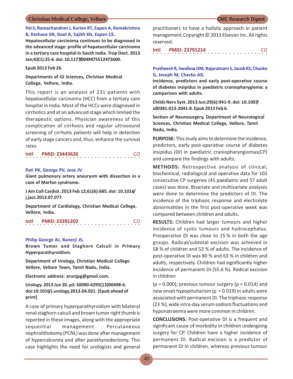### **Pal S, Ramachandran J, Kurien RT, Eapen A, Ramakrishna B, Keshava SN, Goel A, Sajith KG, Eapen CE.**

**Hepatocellular carcinoma continues to be diagnosed in the advanced stage: profile of hepatocellular carcinoma in a tertiary care hospital in South India. Trop Doct. 2013 Jan;43(1):25-6. doi: 10.1177/0049475512473600.**

### **Epub 2013 Feb 26.**

**Departments of GI Sciences, Christian Medical College, Vellore, India.**

This report is an analysis of 231 patients with hepatocellular carcinoma (HCC) from a tertiary care hospital in India. Most of the HCCs were diagnosed in cirrhotics and at an advanced stage which limited the therapeutic options. Physician awareness of this complication of cirrhosis and regular ultrasound screening of cirrhotic patients will help in detection of early stage cancers and, thus, enhance the survival rates

○○○○○○○○○○○○○○○○ ○○○○○○○○○○○○○○○○ **Intl PMID: 23443626** CO

### **Pati PK, George PV, Jose JV.**

**Giant pulmonary artery aneurysm with dissection in a case of Marfan syndrome.**

**J Am Coll Cardiol. 2013 Feb 12;61(6):685. doi: 10.1016/ j.jacc.2012.07.077.**

**Department of Cardiology, Christian Medical College, Vellore, India.**

○○○○○○○○○○○○○○○○ ○○○○○○○○○○○○○○○○ **Intl PMID: 23391202** CO

### **Philip George AJ, Banerji JS.**

**Brown Tumor and Staghorn Calculi in Primary Hyperparathyroidism.**

**Department of Urology, Christian Medical College Vellore, Vellore Town, Tamil Nadu, India.**

**Electronic address: arunjpg@gmail.com.**

**Urology. 2013 Jun 20. pii: S0090-4295(13)00498-6. doi:10.1016/j.urology.2013.04.021. [Epub ahead of print]**

A case of primary hyperparathyroidism with bilateral renal staghorn calculi and brown tumor right thumb is reported in these images, along with the appropriate sequential management. Percutaneous nephrolithotomy (PCNL) was done after management of hypercalcemia and after parathyroidectomy. This case highlights the need for urologists and general

practitioners to have a holistic approach in patient management.Copyright © 2013 Elsevier Inc. All rights reserved.

○○○○○○○○○○○○○○○○ ○○○○○○○○○○○○○○○○ **Intl PMID: 23791214** CO

### **Pratheesh R, Swallow DM, Rajaratnam S, Jacob KS, Chacko G, Joseph M, Chacko AG.**

**Incidence, predictors and early post-operative course of diabetes insipidus in paediatric craniopharygioma: a comparison with adults.**

**Childs Nerv Syst. 2013 Jun;29(6):941-9. doi: 10.1007/ s00381-013-2041-8. Epub 2013 Feb 6.**

**Section of Neurosurgery, Department of Neurological Sciences, Christian Medical College, Vellore, Tamil Nadu, India.**

**PURPOSE:** This study aims to determine the incidence, predictors, early post-operative course of diabetes insipidus (DI) in paediatric craniopharyngiomas(CP) and compare the findings with adults.

**METHODS:** Retrospective analysis of clinical, biochemical, radiological and operative data for 102 consecutive CP surgeries (45 paediatric and 57 adult cases) was done. Bivariate and multivariate analyses were done to determine the predictors of DI. The incidence of the triphasic response and electrolyte abnormalities in the first post-operative week was compared between children and adults.

**RESULTS:** Children had larger tumours and higher incidence of cystic tumours and hydrocephalus. Preoperative DI was close to 15 % in both the age groups. Radical/subtotal excision was achieved in 58 % of children and 53 % of adults. The incidence of post-operative DI was 80 % and 63 % in children and adults, respectively. Children had significantly higher incidence of permanent DI (55.6 %). Radical excision in children

 $(p = 0.000)$ ; previous tumour surgery  $(p = 0.014)$  and new onset hypopituitarism ( $p = 0.019$ ) in adults were associated with permanent DI. The triphasic response (23 %), wide intra-day serum sodium fluctuations and hyponatraemia were more common in children.

**CONCLUSIONS:** Post-operative DI is a frequent and significant cause of morbidity in children undergoing surgery for CP. Children have a higher incidence of permanent DI. Radical excision is a predictor of permanent DI in children, whereas previous tumour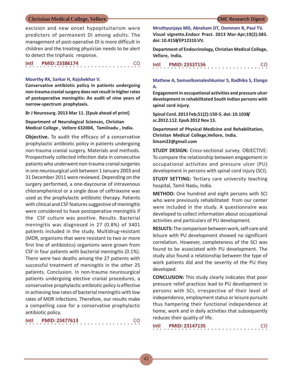### 41

### **Christian Medical College, Vellore CMC Research Digest**

excision and new onset hypopituitarism were predictors of permanent DI among adults. The management of post-operative DI is more difficult in children and the treating physician needs to be alert to detect the triphasic response.

| Intl | <b>PMID: 23386174</b> | CO |
|------|-----------------------|----|
|      |                       |    |

### **Moorthy RK, Sarkar H, Rajshekhar V.**

**Conservative antibiotic policy in patients undergoing non-trauma cranial surgery does not result in higher rates of postoperative meningitis: An audit of nine years of narrow-spectrum prophylaxis.**

**Br J Neurosurg. 2013 Mar 11. [Epub ahead of print]**

**Department of Neurological Sciences, Christian Medical College , Vellore 632004, Tamilnadu , India.**

**Objective.** To audit the efficacy of a conservative prophylactic antibiotic policy in patients undergoing non-trauma cranial surgery. Materials and methods. Prospectively collected infection data in consecutive patients who underwent non-trauma cranial surgeries in one neurosurgical unit between 1 January 2003 and 31 December 2011 were reviewed. Depending on the surgery performed, a one-daycourse of intravenous chloramphenicol or a single dose of ceftriaxone was used as the prophylactic antibiotic therapy. Patients with clinical and CSF features suggestive of meningitis were considered to have postoperative meningitis if the CSF culture was positive. Results. Bacterial meningitis was diagnosed in 27 (0.8%) of 3401 patients included in the study. Multidrug-resistant (MDR, organisms that were resistant to two or more first line of antibiotics) organisms were grown from CSF in four patients with bacterial meningitis (0.1%). There were two deaths among the 27 patients with successful treatment of meningitis in the other 25 patients. Conclusion. In non-trauma neurosurgical patients undergoing elective cranial procedures, a conservative prophylactic antibiotic policy is effective in achieving low rates of bacterial meningitis with low rates of MDR infections. Therefore, our results make a compelling case for a conservative prophylactic antibiotic policy.

| Intl |  |  |  | <b>PMID: 23477613</b> |  |  |  |  |  |  |  |  |  |  | -CO |  |
|------|--|--|--|-----------------------|--|--|--|--|--|--|--|--|--|--|-----|--|
|      |  |  |  |                       |  |  |  |  |  |  |  |  |  |  |     |  |

**Mruthyunjaya MD, Abraham DT, Oommen R, Paul TV. Visual vignette.Endocr Pract. 2013 Mar-Apr;19(2):383. doi: 10.4158/EP12310.VV.**

**Department of Endocrinology, Christian Medical College, Vellore, India.**

| Intl |  |  |  |  |  |  | <b>PMID: 23337156</b> |  |  |  |  |  |  |  |  | CO. |
|------|--|--|--|--|--|--|-----------------------|--|--|--|--|--|--|--|--|-----|
|      |  |  |  |  |  |  |                       |  |  |  |  |  |  |  |  |     |

**Mathew A, Samuelkamaleshkumar S, Radhika S, Elango A.**

**Engagement in occupational activities and pressure ulcer development in rehabilitated South Indian persons with spinal cord injury.**

**Spinal Cord. 2013 Feb;51(2):150-5. doi: 10.1038/ sc.2012.112. Epub 2012 Nov 13.**

**Department of Physical Medicine and Rehabilitation, Christian Medical College,Vellore, India. limam22@gmail.com**

**STUDY DESIGN:** Cross-sectional survey. OBJECTIVE: To compare the relationship between engagement in occupational activities and pressure ulcer (PU) development in persons with spinal cord injury (SCI).

**STUDY SETTING:** Tertiary care university teaching hospital, Tamil Nadu, India.

**METHOD:** One hundred and eight persons with SCI who were previously rehabilitated from our center were included in the study. A questionnaire was developed to collect information about occupational activities and particulars of PU development.

**RESULTS:** The comparison between work, self-care and leisure with PU development showed no significant correlation. However, completeness of the SCI was found to be associated with PU development. The study also found a relationship between the type of work patients did and the severity of the PU they developed.

**CONCLUSION:** This study clearly indicates that poor pressure relief practices lead to PU development in persons with SCI, irrespective of their level of independence, employment status or leisure pursuits thus hampering their functional independence at home, work and in daily activities that subsequently reduces their quality of life.

| Intl |  |  | <b>PMID: 23147135</b> |  |  |  |  |  |  |  |  |  |  |  |  | <b>CO</b> |  |
|------|--|--|-----------------------|--|--|--|--|--|--|--|--|--|--|--|--|-----------|--|
|      |  |  |                       |  |  |  |  |  |  |  |  |  |  |  |  |           |  |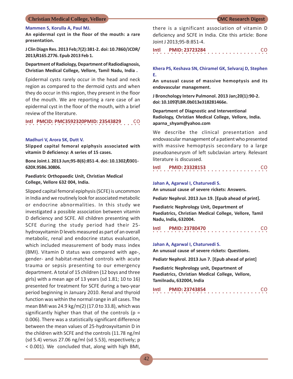### **Mammen S, Korulla A, Paul MJ.**

**An epidermal cyst in the floor of the mouth: a rare presentation.**

**J Clin Diagn Res. 2013 Feb;7(2):381-2. doi: 10.7860/JCDR/ 2013/4165.2776. Epub 2013 Feb 1.**

### **Department of Radiology, Department of Radiodiagnosis, Christian Medical College, Vellore, Tamil Nadu, India .**

Epidermal cysts rarely occur in the head and neck region as compared to the dermoid cysts and when they do occur in this region, they present in the floor of the mouth. We are reporting a rare case of an epidermal cyst in the floor of the mouth, with a brief review of the literature.

## ○○○○○○○○○○○○○○○○ ○○○○○○○○○○○○○○○○ **Intl PMCID: PMC3592320PMID: 23543829** CO

### **Madhuri V, Arora SK, Dutt V.**

**Slipped capital femoral epiphysis associated with vitamin D deficiency: A series of 15 cases.**

**Bone Joint J. 2013 Jun;95-B(6):851-4. doi: 10.1302/0301- 620X.95B6.30806.**

### **Paediatric Orthopaedic Unit, Christian Medical College, Vellore 632 004, India.**

Slipped capital femoral epiphysis (SCFE) is uncommon in India and we routinely look for associated metabolic or endocrine abnormalities. In this study we investigated a possible association between vitamin D deficiency and SCFE. All children presenting with SCFE during the study period had their 25 hydroxyvitamin D levels measured as part of an overall metabolic, renal and endocrine status evaluation, which included measurement of body mass index (BMI). Vitamin D status was compared with age-, gender- and habitat-matched controls with acute trauma or sepsis presenting to our emergency department. A total of 15 children (12 boys and three girls) with a mean age of 13 years (sd 1.81; 10 to 16) presented for treatment for SCFE during a two-year period beginning in January 2010. Renal and thyroid function was within the normal range in all cases. The mean BMI was 24.9 kg/m(2) (17.0 to 33.8), which was significantly higher than that of the controls ( $p =$ 0.006). There was a statistically significant difference between the mean values of 25-hydroxyvitamin D in the children with SCFE and the controls (11.78 ng/ml (sd 5.4) versus 27.06 ng/ml (sd 5.53), respectively; p < 0.001). We concluded that, along with high BMI,

there is a significant association of vitamin D deficiency and SCFE in India. Cite this article: Bone Joint J 2013;95-B:851-4.

○○○○○○○○○○○○○○○○ ○○○○○○○○○○○○○○○○ **Intl PMID: 23723284** CO

### **Khera PS, Keshava SN, Chiramel GK, Selvaraj D, Stephen E.**

**An unusual cause of massive hemoptysis and its endovascular management.**

**J Bronchology Interv Pulmonol. 2013 Jan;20(1):90-2. doi: 10.1097/LBR.0b013e318281466e.**

**Department of Diagnostic and Interventional Radiology, Christian Medical College, Vellore, India. aparna\_shyam@yahoo.com**

We describe the clinical presentation and endovascular management of a patient who presented with massive hemoptysis secondary to a large pseudoaneurysm of left subclavian artery. Relevant literature is discussed.

○○○○○○○○○○○○○○○○ ○○○○○○○○○○○○○○○○ **Intl PMID: 23328153** CO

### **Jahan A, Agarwal I, Chaturvedi S.**

**An unusual cause of severe rickets: Answers.**

**Pediatr Nephrol. 2013 Jun 19. [Epub ahead of print].**

**Paediatric Nephrology Unit, Department of Paediatrics, Christian Medical College, Vellore, Tamil Nadu, India, 632004.**

○○○○○○○○○○○○○○○○ ○○○○○○○○○○○○○○○○ **Intl PMID: 23780470** CO

### **Jahan A, Agarwal I, Chaturvedi S.**

**An unusual cause of severe rickets: Questions.**

**Pediatr Nephrol. 2013 Jun 7. [Epub ahead of print]**

**Paediatric Nephrology unit, Department of Paediatrics, Christian Medical College, Vellore, Tamilnadu, 632004, India**

| Intl |  |  |  |  |  |  | <b>PMID: 23743854</b> |  |  |  |  |  |  |  | CO. |  |
|------|--|--|--|--|--|--|-----------------------|--|--|--|--|--|--|--|-----|--|
|      |  |  |  |  |  |  |                       |  |  |  |  |  |  |  |     |  |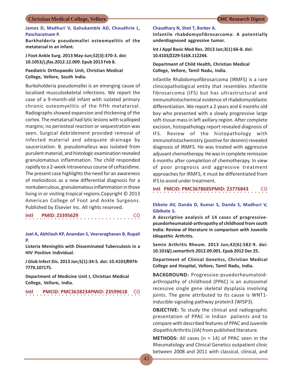### **James D, Madhuri V, Gahukamble AD, Choudhrie L, Pancharatnam P.**

**Burkholderia pseudomallei osteomyelitis of the metatarsal in an infant.**

**J Foot Ankle Surg. 2013 May-Jun;52(3):370-3. doi: 10.1053/j.jfas.2012.12.009. Epub 2013 Feb 8.**

### **Paediatric Orthopaedic Unit, Christian Medical College, Vellore, South India.**

Burkoholderia pseudomallei is an emerging cause of localized musculoskeletal infections. We report the case of a 9-month-old infant with isolated primary chronic osteomyelitis of the fifth metatarsal. Radiographs showed expansion and thickening of the cortex. The metatarsal had lytic lesions with scalloped margins; no periosteal reaction or sequestration was seen. Surgical debridement provided removal of infected material and adequate drainage by saucerization. B. pseudomalleus was isolated from purulent material, and histologic examination revealed granulomatous inflammation. The child responded rapidly to a 2-week intravenous course of ceftazidime. The present case highlights the need for an awareness of melioidosis as a new differential diagnosis for a nontuberculous, granulomatous inflammation in those living in or visiting tropical regions.Copyright © 2013 American College of Foot and Ankle Surgeons. Published by Elsevier Inc. All rights reserved.

**Intl PMID: 23395629** 

### **Joel A, Abhilash KP, Anandan S, Veeraraghavan B, Rupali P.**

**Listeria Meningitis with Disseminated Tuberculosis in a HIV Positive Individual.**

**J Glob Infect Dis. 2013 Jan;5(1):34-5. doi: 10.4103/0974- 777X.107175.**

**Department of Medicine Unit I, Christian Medical College, Vellore, India.**

○○○○○○○○○○○○○○○○ ○○○○○○○○○○○○○○○○ **Intl PMCID: PMC3628234PMID: 23599618** CO

### **Chaudhary N, Shet T, Borker A.**

**Infantile rhabdomyofibrosarcoma: A potentially underdiagnosed aggressive tumor.**

**Int J Appl Basic Med Res. 2013 Jan;3(1):66-8. doi: 10.4103/2229-516X.112244.**

### **Department of Child Health, Christian Medical College, Vellore, Tamil Nadu, India.**

Infantile Rhabdomyofibrosarcoma (IRMFS) is a rare clinicopathological entity that resembles infantile fibrosarcoma (IFS) but has ultrastructural and immunohistochemical evidence of rhabdomyoblastic differentiation. We report a 2 years and 6 months old boy who presented with a slowly progressive large soft-tissue mass in left axillary region. After complete excision, histopathology report revealed diagnosis of IFS. Review of the histopathology with immunohistochemistry (positive for desmin) revealed diagnosis of IRMFS. He was treated with aggressive adjuvant chemotherapy. He was in complete remission 6 months after completion of chemotherapy. In view of poor prognosis and aggressive treatment approaches for IRMFS, it must be differentiated from IFS to avoid under treatment.

○○○○○○○○○○○○○○○○ ○○○○○○○○○○○○○○○○ **Intl PMCID: PMC3678685PMID: 23776843** CO

### **Ekbote AV, Danda D, Kumar S, Danda S, Madhuri V, Gibikote S.**

**A descriptive analysis of 14 cases of progressivepsuedorheumatoid-arthropathy of childhood from south India: Review of literature in comparison with Juvenile Idiopathic Arthritis.**

**Semin Arthritis Rheum. 2013 Jun;42(6):582-9. doi: 10.1016/j.semarthrit.2012.09.001. Epub 2012 Dec 25.**

**Department of Clinical Genetics, Christian Medical College and Hospital, Vellore, Tamil Nadu, India.**

**BACKGROUND:** Progressive-psuedorheumatoidarthropathy of childhood (PPAC) is an autosomal recessive single gene skeletal dysplasia involving joints. The gene attributed to its cause is WNT1 inducible-signaling pathway protein3 (WISP3).

**OBJECTIVE:** To study the clinical and radiographic presentation of PPAC in Indian patients and to compare with described features of PPAC and Juvenile diopathicArthritis (JIA) from published literature.

**METHODS:** All cases (n = 14) of PPAC seen in the Rheumatology and Clinical Genetics outpatient clinic between 2008 and 2011 with classical, clinical, and

 $\cdot$  .  $\cdot$  CO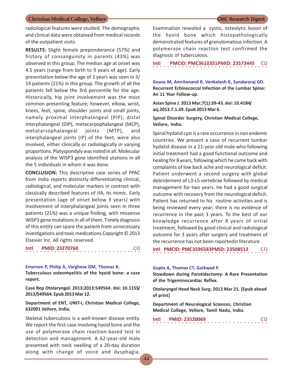radiological features were studied. The demographic and clinical data were obtained from medical records of the outpatient visits.

**RESULTS:** Slight female preponderance (57%) and history of consanguinity in parents (43%) was observed in this group. The median age at onset was 4.5 years (range from birth to 9 years of age). Early presentation below the age of 3 years was seen in 3/ 14 patients (21%) in this group. The growth of all the patients fell below the 3rd percentile for the age. Historically, hip joint involvement was the most common presenting feature; however, elbow, wrist, knees, feet, spine, shoulder joints and small joints, namely proximal interphalangeal (PIP), distal interphalangeal (DIP), metacarpophalangeal (MCP), metatarsophalangeal joints (MTP), and interphalangeal joints (IP) of the feet, were also involved, either clinically or radiologically in varying proportions. Platyspondyly was noted in all. Molecular analysis of the WISP3 gene identified utations in all the 5 individuals in whom it was done.

**CONCLUSION:** This descriptive case series of PPAC from India reports distinctly differentiating clinical, radiological, and molecular markers in contrast with classically described features of JIA, its mimic. Early presentation (age of onset below 3 years) with involvement of interphalangeal joints seen in three patients (21%) was a unique finding, with missense WISP3 gene mutations in all of them. Timely diagnosis of this entity can spare the patient from unnecessary investigations and toxic medications.Copyright © 2013 Elsevier Inc. All rights reserved.

### ○○○○○○○○○○○○○○○○ ○○○○○○○○○○○○○○○○ **Intl PMID: 23270760**

### **Emerson P, Philip A, Varghese GM, Thomas R.**

**Tuberculous osteomyelitis of the hyoid bone: a case report.**

**Case Rep Otolaryngol. 2013;2013:549564. doi: 10.1155/ 2013/549564. Epub 2013 Mar 12.**

**Department of ENT, UNIT-I, Christian Medical College, 632001 Vellore, India.**

Skeletal tuberculosis is a well-known disease entity. We report the first case involving hyoid bone and the use of polymerase chain reaction-based test in detection and management. A 62-year-old male presented with neck swelling of a 20-day duration along with change of voice and dysphagia.

Examination revealed a cystic, osteolytic lesion of the hyoid bone which histopathologically demonstrated features of granulomatous infection. A polymerase chain reaction test confirmed the diagnosis of tuberculosis.

○○○○○○○○○○○○○○○○ ○○○○○○○○○○○○○○○○ **Intl PMCID: PMC3610351PMID: 23573445** CO

**Gouse M, Amritanand R, Venkatesh K, Sundararaj GD. Recurrent Echinococcal Infection of the Lumbar Spine: An 11 Year Follow-up.**

**Asian Spine J. 2013 Mar;7(1):39-43. doi: 10.4184/ asj.2013.7.1.39. Epub 2013 Mar 6.**

**Spinal Disorder Surgery, Christian Medical College, Vellore, India.**

Spinal hydatid cyst is a rare occurrence in non endemic countries. We present a case of recurrent lumbar hydatid disease in a 21-year-old male who following initial treatment had a good functional outcome and healing for 8 years, following which he came back with complaints of low back ache and neurological deficit. Patient underwent a second surgery with global debridement of L3-L5 vertebrae followed by medical management for two years. He had a good surgical outcome with recovery from the neurological deficit. Patient has returned to his routine activities and is being reviewed every year; there is no evidence of recurrence in the past 3 years. To the best of our knowledge recurrence after 8 years of initial treatment, followed by good clinical and radiological outcome for 3 years after surgery and treatment of the recurrence has not been reportedin literature.

○○○○○○○○○○○○○○○○ ○○○○○○○○○○○○○○○○ **Intl PMCID: PMC3596583PMID: 23508512** 

### **Gupta A, Thomas CT, Gaikwad P.**

**Slowdown during Parotidectomy: A Rare Presentation of the Trigeminocardiac Reflex.**

**Otolaryngol Head Neck Surg. 2013 Mar 21. [Epub ahead of print]**

**Department of Neurological Sciences, Christian Medical College, Vellore, Tamil Nadu, India.**

| Intl |  |  |  |  |  | <b>PMID: 23520069</b> |  |  |  |  |  |  |  |  | <b>CO</b> |  |
|------|--|--|--|--|--|-----------------------|--|--|--|--|--|--|--|--|-----------|--|
|      |  |  |  |  |  |                       |  |  |  |  |  |  |  |  |           |  |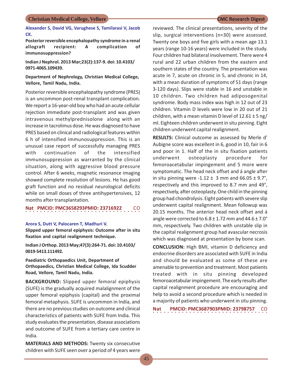**Alexander S, David VG, Varughese S, Tamilarasi V, Jacob CK.**

**Posterior reversible encephalopathy syndrome in a renal allograft recipient: A complication of immunosuppression?**

**Indian J Nephrol. 2013 Mar;23(2):137-9. doi: 10.4103/ 0971-4065.109439.**

**Department of Nephrology, Christian Medical College, Vellore, Tamil Nadu, India.**

Posterior reversible encephalopathy syndrome (PRES) is an uncommon post-renal transplant complication. We report a 16-year-old boy who had an acute cellular rejection immediate post-transplant and was given intravenous methylprednisolone along with an increase in tacrolimus dose. He was diagnosed to have PRES based on clinical and radiological features within 6 h of intensified immunosuppression. This is an unusual case report of successfully managing PRES with continuation of the intensified immunosuppression as warranted by the clinical situation, along with aggressive blood pressure control. After 6 weeks, magnetic resonance imaging showed complete resolution of lesions. He has good graft function and no residual neurological deficits while on small doses of three antihypertensives, 12 months after transplantation.

○○○○○○○○○○○○○○○○ ○○○○○○○○○○○○○○○○ **Nat PMCID: PMC3658293PMID: 23716922** CO

### **Arora S, Dutt V, Palocaren T, Madhuri V.**

**Slipped upper femoral epiphysis: Outcome after in situ fixation and capital realignment technique.**

**Indian J Orthop. 2013 May;47(3):264-71. doi: 10.4103/ 0019-5413.111492.**

**Paediatric Orthopaedics Unit, Department of Orthopaedics, Christian Medical College, Ida Scudder Road, Vellore, Tamil Nadu, India.**

**BACKGROUND:** Slipped upper femoral epiphysis (SUFE) is the gradually acquired malalignment of the upper femoral epiphysis (capital) and the proximal femoral metaphysis. SUFE is uncommon in India, and there are no previous studies on outcome and clinical characteristics of patients with SUFE from India. This study evaluates the presentation, disease associations and outcome of SUFE from a tertiary care centre in India.

**MATERIALS AND METHODS:** Twenty six consecutive children with SUFE seen over a period of 4 years were

reviewed. The clinical presentations, severity of the slip, surgical interventions (n=30) were assessed. Twenty one boys and five girls with a mean age 13.1 years (range 10-16 years) were included in the study. Four children had bilateral involvement. There were 4 rural and 22 urban children from the eastern and southern states of the country. The presentation was acute in 7, acute on chronic in 5, and chronic in 14, with a mean duration of symptoms of 51 days (range 3-120 days). Slips were stable in 16 and unstable in 10 children. Two children had adiposogenital syndrome. Body mass index was high in 12 out of 23 children. Vitamin D levels were low in 20 out of 21 children, with a mean vitamin D level of  $12.61 \pm 5$  ng/ ml. Eighteen children underwent in situ pinning. Eight children underwent capital realignment.

**RESULTS:** Clinical outcome as assessed by Merle d' Aubigne score was excellent in 6, good in 10, fair in 6 and poor in 1. Half of the in situ fixation patients underwent osteoplasty procedure for femoroacetabular impingement and 5 more were symptomatic. The head neck offset and á angle after in situ pinning were  $-1.12 \pm 3$  mm and 66.05  $\pm$  9.7°, respectively and this improved to 8.7 mm and 49°, respectively, after osteoplasty. One child in the pinning group had chondrolysis. Eight patients with severe slip underwent capital realignment. Mean followup was 20.15 months. The anterior head neck offset and á angle were corrected to  $6.8 \pm 1.72$  mm and  $44.6 \pm 7.0^{\circ}$ mm, respectively. Two children with unstable slip in the capital realignment group had avascular necrosis which was diagnosed at presentation by bone scan.

**CONCLUSION:** High BMI, vitamin D deficiency and endocrine disorders are associated with SUFE in India and should be evaluated as some of these are amenable to prevention and treatment. Most patients treated with in situ pinning developed femoroacetabular impingement. The early results after capital realignment procedure are encouraging and help to avoid a second procedure which is needed in a majority of patients who underwent in situ pinning.

○○○○○○○○○○○○○○○○ ○○○○○○○○○○○○○○○○ **Nat PMCID: PMC3687903PMID: 23798757** CO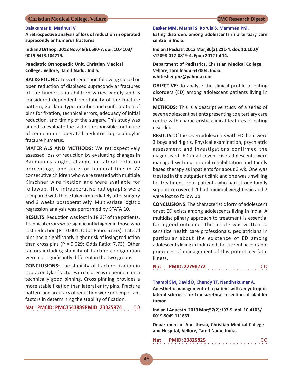### **Balakumar B, Madhuri V.**

**A retrospective analysis of loss of reduction in operated supracondylar humerus fractures.**

**Indian J Orthop. 2012 Nov;46(6):690-7. doi: 10.4103/ 0019-5413.104219.**

**Paediatric Orthopaedic Unit, Christian Medical College, Vellore, Tamil Nadu, India.**

**BACKGROUND:** Loss of reduction following closed or open reduction of displaced supracondylar fractures of the humerus in children varies widely and is considered dependent on stability of the fracture pattern, Gartland type, number and configuration of pins for fixation, technical errors, adequacy of initial reduction, and timing of the surgery. This study was aimed to evaluate the factors responsible for failure of reduction in operated pediatric supracondylar fracture humerus.

**MATERIALS AND METHODS:** We retrospectively assessed loss of reduction by evaluating changes in Baumann's angle, change in lateral rotation percentage, and anterior humeral line in 77 consecutive children who were treated with multiple Kirschner wire fixation and were available for followup. The intraoperative radiographs were compared with those taken immediately after surgery and 3 weeks postoperatively. Multivariate logistic regression analysis was performed by STATA 10.

**RESULTS:** Reduction was lost in 18.2% of the patients. Technical errors were significantly higher in those who lost reduction (P = 0.001; Odds Ratio: 57.63). Lateral pins had a significantly higher risk of losing reduction than cross pins ( $P = 0.029$ ; Odds Ratio: 7.73). Other factors including stability of fracture configuration were not significantly different in the two groups.

**CONCLUSIONS:** The stability of fracture fixation in supracondylar fractures in children is dependent on a technically good pinning. Cross pinning provides a more stable fixation than lateral entry pins. Fracture pattern and accuracy of reduction were not important factors in determining the stability of fixation.

### $\cdot \cdot \cdot$ **Nat PMCID: PMC3543889PMID: 23325974**

### **Basker MM, Mathai S, Korula S, Mammen PM.**

**Eating disorders among adolescents in a tertiary care centre in India.**

**Indian J Pediatr. 2013 Mar;80(3):211-4. doi: 10.1007/ s12098-012-0819-4. Epub 2012 Jul 14.**

**Department of Pediatrics, Christian Medical College, Vellore, Tamilnadu 632004, India. whitesheepnz@yahoo.co.in**

**OBJECTIVE:** To analyse the clinical profile of eating disorders (ED) among adolescent patients living in India.

**METHODS:** This is a descriptive study of a series of seven adolescent patients presenting to a tertiary care centre with characteristic clinical features of eating disorder.

**RESULTS:** Of the seven adolescents with ED there were 3 boys and 4 girls. Physical examination, psychiatric assessment and investigations confirmed the diagnosis of ED in all seven. Five adolescents were managed with nutritional rehabilitation and family based therapy as inpatients for about 3 wk. One was treated in the outpatient clinic and one was unwilling for treatment. Four patients who had strong family support recovered, 1 had minimal weight gain and 2 were lost to follow up.

**CONCLUSIONS:** The characteristic form of adolescent onset ED exists among adolescents living in India. A multidisciplinary approach to treatment is essential for a good outcome. This article was written to sensitize health care professionals, pediatricians in particular about the existence of ED among adolescents living in India and the current acceptable principles of management of this potentially fatal illness.

| Nat |  | <b>PMID: 22798272</b> |  |  |  |  |  |  |  |  |  |  |  |  | <sub>CO</sub> |  |
|-----|--|-----------------------|--|--|--|--|--|--|--|--|--|--|--|--|---------------|--|
|     |  |                       |  |  |  |  |  |  |  |  |  |  |  |  |               |  |

### **Thampi SM, David D, Chandy TT, Nandhakumar A.**

**Anesthetic management of a patient with amyotrophic lateral sclerosis for transurethral resection of bladder tumor.**

**Indian J Anaesth. 2013 Mar;57(2):197-9. doi: 10.4103/ 0019-5049.111863.**

**Department of Anesthesia, Christian Medical College and Hospital, Vellore, Tamil Nadu, India.**

| Nat |  | <b>PMID: 23825825</b> |  |  |  |  |  |  |  |  |  |  |  |  | <b>CO</b> |  |
|-----|--|-----------------------|--|--|--|--|--|--|--|--|--|--|--|--|-----------|--|
|     |  |                       |  |  |  |  |  |  |  |  |  |  |  |  |           |  |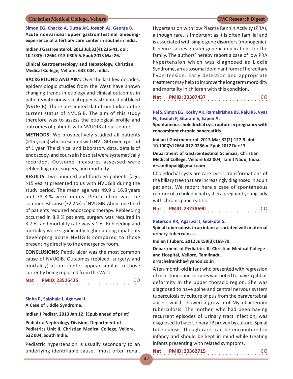**Simon EG, Chacko A, Dutta AK, Joseph AJ, George B. Acute nonvariceal upper gastrointestinal bleedingexperience of a tertiary care center in southern India.**

**Indian J Gastroenterol. 2013 Jul;32(4):236-41. doi: 10.1007/s12664-013-0305-6. Epub 2013 Mar 26.**

**Clinical Gastroenterology and Hepatology, Christian Medical College, Vellore, 632 004, India.**

**BACKGROUND AND AIM:** Over the last few decades, epidemiologic studies from the West have shown changing trends in etiology and clinical outcomes in patients with nonvariceal upper gastrointestinal bleed (NVUGIB). There are limited data from India on the current status of NVUGIB. The aim of this study therefore was to assess the etiological profile and outcomes of patients with NVUGIB at our center.

**METHODS:** We prospectively studied all patients (>15 years) who presented with NVUGIB over a period of 1 year. The clinical and laboratory data, details of endoscopy, and course in hospital were systematically recorded. Outcome measures assessed were rebleeding rate, surgery, and mortality.

**RESULTS:** Two hundred and fourteen patients (age, >15 years) presented to us with NVUGIB during the study period. The mean age was  $49.9 \pm 16.8$  years and 73.8 % were males. Peptic ulcer was the commonest cause (32.2 %) of NVUGIB. About one third of patients required endoscopic therapy. Rebleeding occurred in 8.9 % patients, surgery was required in 3.7 %, and mortality rate was 5.1 %. Rebleeding and mortality were significantly higher among inpatients developing acute NVUGIB compared to those presenting directly to the emergency room.

**CONCLUSIONS:** Peptic ulcer was the most common cause of NVUGIB. Outcomes (rebleed, surgery, and mortality) at our center appear similar to those currently being reported from the West.

○○○○○○○○○○○○○○○○ ○○○○○○○○○○○○○○○○ **Nat PMID: 23526425** CO

**Sinha R, Salphale I, Agarwal I. A Case of Liddle Syndrome.**

**Indian J Pediatr. 2013 Jan 12. [Epub ahead of print]**

**Pediatric Nephrology Division, Department of Pediatrics Unit II, Christian Medical College, Vellore, 632 004, South India.**

Pediatric hypertension is usually secondary to an underlying identifiable cause, most often renal.

Hypertension with low Plasma Rennin Activity (PRA), although rare, is important as it is often familial and is associated with single gene disorders (monogenic). It hence carries greater genetic implications for the family. The authors' hereby report a case of low PRA hypertension which was diagnosed as Liddle Syndrome, an autosomal dominant form of hereditary hypertension. Early detection and appropriate treatment may help to improve the long term morbidity and mortality in children with this condition.

|  |  | Nat PMID: 23307437 |  |  |  |  |  |  |  |  |  |  |  |  | <b>CO</b> |  |
|--|--|--------------------|--|--|--|--|--|--|--|--|--|--|--|--|-----------|--|
|  |  |                    |  |  |  |  |  |  |  |  |  |  |  |  |           |  |

### **Pal S, Simon EG, Koshy AK, Ramakrishna BS, Raju RS, Vyas FL, Joseph P, Sitaram V, Eapen A.**

**Spontaneous choledochal cyst rupture in pregnancy with concomitant chronic pancreatitis.**

**Indian J Gastroenterol. 2013 Mar;32(2):127-9. doi: 10.1007/s12664-012-0286-x. Epub 2012 Dec 13.**

**Department of Gastrointestinal Sciences, Christian Medical College, Vellore 632 004, Tamil Nadu, India. drsandippall@gmail.com**

Choledochal cysts are rare cystic transformations of the biliary tree that are increasingly diagnosed in adult patients. We report here a case of spontaneous rupture of a choledochal cyst in a pregnant young lady with chronic pancreatitis.

| Nat |  | <b>PMID: 23238690</b> |  |  |  |  |  |  |  |  |  |  |  |  | <b>CO</b> |  |
|-----|--|-----------------------|--|--|--|--|--|--|--|--|--|--|--|--|-----------|--|
|     |  |                       |  |  |  |  |  |  |  |  |  |  |  |  |           |  |

### **Peterson RR, Agarwal I, Gibikote S.**

**Spinal tuberculosis in an infant associated with maternal urinary tuberculosis.**

**Indian J Tuberc. 2012 Jul;59(3):168-70.**

**Department of Pediatrics II, Christian Medical College and Hospital, Vellore, Tamilnadu.**

### **drrachelranitha@yahoo.co.in**

A ten-month-old infant who presented with regression of milestones and seizures was noted to have a gibbus deformity in the upper thoracic region. She was diagnosed to have spine and central nervous system tuberculosis by culture of pus from the paravertebral abcess which showed a growth of Mycobacterium tuberculosis. The mother, who had been having recurrent episodes of Urinary tract infection, was diagnosed to have Urinary TB proven by culture. Spinal tuberculosis, though rare, can be encountered in infancy and should be kept in mind while treating infants presenting with related symptoms.

| Nat | <b>PMID: 23362715</b> | <b>CO</b> |
|-----|-----------------------|-----------|
|     |                       |           |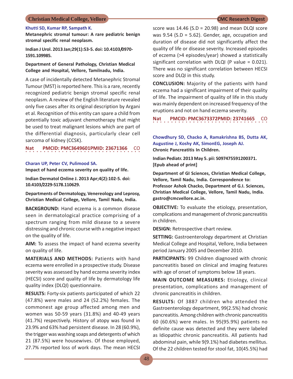### **Khutti SD, Kumar RP, Sampath K.**

**Metanephric stromal tumour: A rare pediatric benign stromal specific renal neoplasm.**

**Indian J Urol. 2013 Jan;29(1):53-5. doi: 10.4103/0970- 1591.109985.**

### **Department of General Pathology, Christian Medical College and Hospital, Vellore, Tamilnadu, India.**

A case of incidentally detected Metanephric Stromal Tumour (MST) is reported here. This is a rare, recently recognized pediatric benign stromal specific renal neoplasm. A review of the English literature revealed only five cases after its original description by Argani et al. Recognition of this entity can spare a child from potentially toxic adjuvant chemotherapy that might be used to treat malignant lesions which are part of the differential diagnosis, particularly clear cell sarcoma of kidney (CCSK).

**Nat PMCID: PMC3649601PMID: 23671366**  ○○○○○○○○○○○○○○○○ ○○○○○○○○○○○○○○○○ CO

### **Charan UP, Peter CV, Pulimood SA.**

**Impact of hand eczema severity on quality of life.**

**Indian Dermatol Online J. 2013 Apr;4(2):102-5. doi: 10.4103/2229-5178.110629.**

**Departments of Dermatology, Venereology and Leprosy, Christian Medical College, Vellore, Tamil Nadu, India.**

**BACKGROUND:** Hand eczema is a common disease seen in dermatological practice comprising of a spectrum ranging from mild disease to a severe distressing and chronic course with a negative impact on the quality of life.

**AIM:** To assess the impact of hand eczema severity on quality of life.

**MATERIALS AND METHODS:** Patients with hand eczema were enrolled in a prospective study. Disease severity was assessed by hand eczema severity index (HECSI) score and quality of life by dermatology life quality index (DLQI) questionnaire.

**RESULTS:** Forty-six patients participated of which 22 (47.8%) were males and 24 (52.2%) females. The commonest age group affected among men and women was 50-59 years (31.8%) and 40-49 years (41.7%) respectively. History of atopy was found in 23.9% and 63% had persistent disease. In 28 (60.9%), the trigger was washing soaps and detergents of which 21 (87.5%) were housewives. Of those employed, 27.7% reported loss of work days. The mean HECSI

score was  $14.46$  (S.D = 20.98) and mean DLQI score was 9.54 (S.D = 5.62). Gender, age, occupation and duration of disease did not significantly affect the quality of life or disease severity. Increased episodes of eczema (>4 episodes/year) showed a statistically significant correlation with DLQI (P value = 0.021). There was no significant correlation between HECSI score and DLQI in this study.

**CONCLUSION:** Majority of the patients with hand eczema had a significant impairment of their quality of life. The impairment of quality of life in this study was mainly dependent on increased frequency of the eruptions and not on hand eczema severity.

○○○○○○○○○○○○○○○○ ○○○○○○○○○○○○○○○○ **Nat PMCID: PMC3673372PMID: 23741665** CO

**Chowdhury SD, Chacko A, Ramakrishna BS, Dutta AK, Augustine J, Koshy AK, SimonEG, Joseph AJ. Chronic Pancreatitis In Children.**

**Indian Pediatr. 2013 May 5. pii: S097475591200371. [Epub ahead of print]**

**Department of GI Sciences, Christian Medical College, Vellore, Tamil Nadu, India. Correspondence to: Professor Ashok Chacko, Department of G.I. Sciences, Christian Medical College, Vellore, Tamil Nadu, India. gastro@cmcvellore.ac.in.**

**OBJECTIVE:** To evaluate the etiology, presentation, complications and management of chronic pancreatitis in children.

**DESIGN:** Retrospective chart review.

**SETTING:** Gastroenterology department at Christian Medical College and Hospital, Vellore, India between period January 2005 and December 2010.

PARTICIPANTS: 99 Children diagnosed with chronic pancreatitis based on clinical and imaging features with age of onset of symptoms below 18 years.

**MAIN OUTCOME MEASURES:** Etiology, clinical presentation, complications and management of chronic pancreatitis in children.

**RESULTS:** Of 3887 children who attended the Gastroenterology department, 99(2.5%) had chronic pancreatitis. Among children with chronic pancreatitis 60 (60.6%) were males. In 95(95.9%) patients no definite cause was detected and they were labeled as Idiopathic chronic pancreatitis. All patients had abdominal pain, while 9(9.1%) had diabetes mellitus. Of the 22 children tested for stool fat, 10(45.5%) had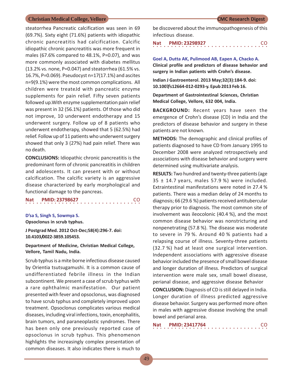steatorrhea Pancreatic calcification was seen in 69 (69.7%). Sixty eight (71.6%) patients with idiopathic chronic pancreatitis had calcification. Calcific idiopathic chronic pancreatitis was more frequent in males (67.6% compared to 48.1%, P=0.07), and was more commonly associated with diabetes mellitus (13.2% vs. none, P=0.047) and steatorrhea (61.5% vs. 16.7%, P=0.069). Pseudocyst n=17(17.1%) and ascites n=9(9.1%) were the most common complications. All children were treateJd with pancreatic enzyme supplements for pain relief. Fifty seven patients followed up.With enzyme supplementation pain relief was present in 32 (56.1%) patients. Of those who did not improve, 10 underwent endotherapy and 15 underwent surgery. Follow up of 8 patients who underwent endotherapy, showed that 5 (62.5%) had relief. Follow up of 11 patients who underwent surgery showed that only 3 (27%) had pain relief. There was no death.

**CONCLUSIONS:** Idiopathic chronic pancreatitis is the predominant form of chronic pancreatitis in children and adolescents. It can present with or without calcification. The calcific variety is an aggressive disease characterized by early morphological and functional damage to the pancreas.

## ○○○○○○○○○○○○○○○○ ○○○○○○○○○○○○○○○○ **Nat PMID: 23798627** CO

### **D'sa S, Singh S, Sowmya S.**

**Opsoclonus in scrub typhus.**

**J Postgrad Med. 2012 Oct-Dec;58(4):296-7. doi: 10.4103/0022-3859.105453.**

**Department of Medicine, Christian Medical College, Vellore, Tamil Nadu, India.**

Scrub typhus is a mite borne infectious disease caused by Orientia tsutsugamushi. It is a common cause of undifferentiated febrile illness in the Indian subcontinent. We present a case of scrub typhus with a rare ophthalmic manifestation. Our patient presented with fever and opsoclonus, was diagnosed to have scrub typhus and completely improved upon treatment. Opsoclonus complicates various medical diseases, including viral infections, toxin, encephalitis, brain tumors, and paraneoplastic syndromes. There has been only one previously reported case of opsoclonus in scrub typhus. This phenomenon highlights the increasingly complex presentation of common diseases. It also indicates there is much to

be discovered about the immunopathogenesis of this infectious disease.

○○○○○○○○○○○○○○○○ ○○○○○○○○○○○○○○○○ **Nat PMID: 23298927** CO

**Goel A, Dutta AK, Pulimood AB, Eapen A, Chacko A. Clinical profile and predictors of disease behavior and surgery in Indian patients with Crohn's disease.**

**Indian J Gastroenterol. 2013 May;32(3):184-9. doi: 10.1007/s12664-012-0293-y. Epub 2013 Feb 16.**

**Department of Gastrointestinal Sciences, Christian Medical College, Vellore, 632 004, India.**

**BACKGROUND:** Recent years have seen the emergence of Crohn's disease (CD) in India and the predictors of disease behavior and surgery in these patients are not known.

**METHODS:** The demographic and clinical profiles of patients diagnosed to have CD from January 1995 to December 2008 were analyzed retrospectively and associations with disease behavior and surgery were determined using multivariate analysis.

**RESULTS:** Two hundred and twenty-three patients (age 35 ± 14.7 years, males 57.9 %) were included. Extraintestinal manifestations were noted in 27.4 % patients. There was a median delay of 24 months to diagnosis; 66 (29.6 %) patients received antitubercular therapy prior to diagnosis. The most common site of involvement was ileocolonic (40.4 %), and the most common disease behavior was nonstricturing and nonpenetrating (57.8 %). The disease was moderate to severe in 79 %. Around 40 % patients had a relapsing course of illness. Seventy-three patients (32.7 %) had at least one surgical intervention. Independent associations with aggressive disease behavior included the presence of small bowel disease and longer duration of illness. Predictors of surgical intervention were male sex, small bowel disease, perianal disease, and aggressive disease Behavior

**CONCLUSION:** Diagnosis of CD is still delayed in India. Longer duration of illness predicted aggressive disease behavior. Surgery was performed more often in males with aggressive disease involving the small bowel and perianal area.

| <b>Nat</b> |  |  |  |  |  |  | <b>PMID: 23417764</b> |  |  |  |  |  |  |  | -CO |  |
|------------|--|--|--|--|--|--|-----------------------|--|--|--|--|--|--|--|-----|--|
|            |  |  |  |  |  |  |                       |  |  |  |  |  |  |  |     |  |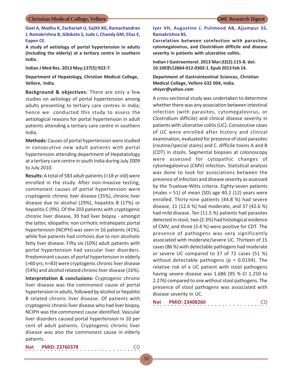**Goel A, Madhu K, Zachariah U, Sajith KG, Ramachandran J, Ramakrishna B, Gibikote S, Jude J, Chandy GM, Elias E, Eapen CE.**

**A study of aetiology of portal hypertension in adults (including the elderly) at a tertiary centre in southern India.**

**Indian J Med Res. 2013 May;137(5):922-7.**

**Department of Hepatology, Christian Medical College, Vellore, India.**

**Background & objectives:** There are only a few studies on aetiology of portal hypertension among adults presenting to tertiary care centres in India; hence we conducted this study to assess the aetiological reasons for portal hypertension in adult patients attending a tertiary care centre in southern India.

**Methods:** Causes of portal hypertension were studied in consecutive new adult patients with portal hypertension attending department of Hepatatology at a tertiary care centre in south India during July 2009 to July 2010.

**Results:** A total of 583 adult patients (>18 yr old) were enrolled in the study. After non-invasive testing, commonest causes of portal hypertension were cryptogenic chronic liver disease (35%), chronic liver disease due to alcohol (29%), hepatitis B (17%) or hepatitis C (9%). Of the 203 patients with cryptogenic chronic liver disease, 39 had liver biopsy - amongst the latter, idiopathic non cirrhotic intrahepatic portal hypertension (NCIPH) was seen in 16 patients (41%), while five patients had cirrhosis due to non alcoholic fatty liver disease. Fifty six (10%) adult patients with portal hypertension had vascular liver disorders. Predominant causes of portal hypertension in elderly (>60 yrs; n=83) were cryptogenic chronic liver disease (54%) and alcohol related chronic liver disease (16%).

**Interpretation & conclusions:** Cryptogenic chronic liver disease was the commonest cause of portal hypertension in adults, followed by alcohol or hepatitis B related chronic liver disease. Of patients with cryptogenic chronic liver disease who had liver biopsy, NCIPH was the commonest cause identified. Vascular liver disorders caused portal hypertension in 10 per cent of adult patients. Cryptogenic chronic liver disease was also the commonest cause in elderly patients.

### **Iyer VH, Augustine J, Pulimood AB, Ajjampur SS, Ramakrishna BS.**

**Correlation between coinfection with parasites, cytomegalovirus, and Clostridium difficile and disease severity in patients with ulcerative colitis.**

**Indian J Gastroenterol. 2013 Mar;32(2):115-8. doi: 10.1007/s12664-012-0302-1. Epub 2013 Feb 14.**

**Department of Gastrointestinal Sciences, Christian Medical College, Vellore 632 004, India. vhiyer@yahoo.com**

A cross-sectional study was undertaken to determine whether there was any association between intestinal infection (with parasites, cytomegalovirus, or Clostridium difficile) and clinical disease severity in patients with ulcerative colitis (UC). Consecutive cases of UC were enrolled after history and clinical examination, evaluated for presence of stool parasites (routine/special stains) and C. difficile toxins A and B (CDT) in stools. Segmental biopsies at colonoscopy were assessed for cytopathic changes of cytomegalovirus (CMV) infection. Statistical analysis was done to look for associations between the presence of infection and disease severity as assessed by the Truelove-Witts criteria. Eighty-seven patients (males = 51) of mean (SD) age 40.2 (12) years were enrolled. Thirty-nine patients (44.8 %) had severe disease, 11 (12.6 %) had moderate, and 37 (42.6 %) had mild disease. Ten (11.5 %) patients had parasites detected in stool, two (2.3%) had histological evidence of CMV, and three (3.4 %) were positive for CDT. The presence of pathogens was very significantly associated with moderate/severe UC. Thirteen of 15 cases (86 %) with detectable pathogens had moderate or severe UC compared to 37 of 72 cases (51 %) without detectable pathogens ( $p = 0.0194$ ). The relative risk of a UC patient with stool pathogens having severe disease was 1.686 (95 % CI 1.250 to 2.276) compared to one without stool pathogens. The presence of stool pathogens was associated with disease severity in UC.

| <b>Nat</b> | <b>PMID: 23408260</b> |  |
|------------|-----------------------|--|
|            |                       |  |

**Nat PMID: 23760378** 

50

○○○○○○○○○○○○○○○○ ○○○○○○○○○○○○○○○○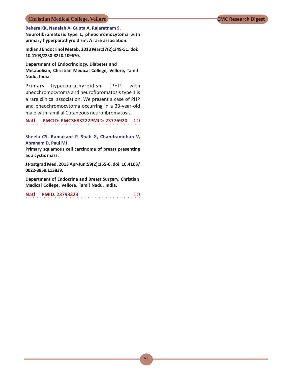### **Behera KK, Nanaiah A, Gupta A, Rajaratnam S.**

**Neurofibromatosis type 1, pheochromocytoma with primary hyperparathyroidism: A rare association.**

**Indian J Endocrinol Metab. 2013 Mar;17(2):349-51. doi: 10.4103/2230-8210.109670.**

**Department of Endocrinology, Diabetes and Metabolism, Christian Medical College, Vellore, Tamil Nadu, India.**

Primary hyperparathyroidism (PHP) with pheochromocytoma and neurofibromatosis type 1 is a rare clinical association. We present a case of PHP and pheochromocytoma occurring in a 33-year-old male with familial Cutaneous neurofibromatosis.

**Natl** ○○○○○○○○○○○○○○○○ ○○○○○○○○○○○○○○○○ **PMCID: PMC3683222PMID: 23776920** CO

**Sheela CS, Ramakant P, Shah G, Chandramohan V, Abraham D, Paul MJ.**

**Primary squamous cell carcinoma of breast presenting as a cystic mass.**

**J Postgrad Med. 2013 Apr-Jun;59(2):155-6. doi: 10.4103/ 0022-3859.113839.**

**Department of Endocrine and Breast Surgery, Christian Medical College, Vellore, Tamil Nadu, India.**

|  |  |  |  |  |  |  | Natl PMID: 23793323 |  |  |  |  |  |  |  | CO. |  |
|--|--|--|--|--|--|--|---------------------|--|--|--|--|--|--|--|-----|--|
|  |  |  |  |  |  |  |                     |  |  |  |  |  |  |  |     |  |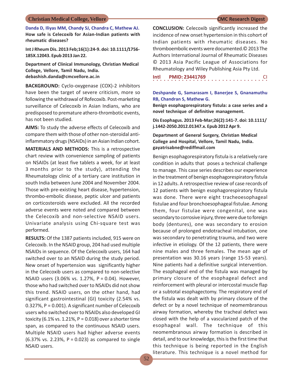**Danda D, Iliyas MM, Chandy SJ, Chandra C, Mathew AJ. How safe is Celecoxib for Asian-Indian patients with rheumatic diseases?**

**Int J Rheum Dis. 2013 Feb;16(1):24-9. doi: 10.1111/1756- 185X.12043. Epub 2013 Jan 22.**

**Department of Clinical Immunology, Christian Medical College, Vellore, Tamil Nadu, India. debashish.danda@cmcvellore.ac.in**

**BACKGROUND:** Cyclo-oxygenase (COX)-2 inhibitors have been the target of severe criticism, more so following the withdrawal of Rofecoxib. Post-marketing surveillance of Celecoxib in Asian Indians, who are predisposed to premature athero-thrombotic events, has not been studied.

**AIMS:** To study the adverse effects of Celecoxib and compare them with those of other non-steroidal antiinflammatory drugs (NSAIDs) in an Asian Indian cohort.

**MATERIALS AND METHODS:** This is a retrospective chart review with convenience sampling of patients on NSAIDs (at least five tablets a week, for at least 3 months prior to the study), attending the Rheumatology clinic of a tertiary care institution in south India between June 2004 and November 2004. Those with pre-existing heart disease, hypertension, thrombo-embolic disease, peptic ulcer and patients on corticosteroids were excluded. All the recorded adverse events were noted and compared between the Celecoxib and non-selective NSAID users. Univariate analysis using Chi-square test was performed.

**RESULTS:** Of the 1387 patients included, 915 were on Celecoxib. In the NSAID group, 204 had used multiple NSAIDs in sequence. Of the Celecoxib users, 164 had switched over to an NSAID during the study period. New onset of hypertension was significantly higher in the Celecoxib users as compared to non-selective NSAID users (3.06% vs. 1.27%, P = 0.04). However, those who had switched over to NSAIDs did not show this trend. NSAID users, on the other hand, had significant gastrointestinal (GI) toxicity (2.54% vs. 0.327%, P = 0.001). A significant number of Celecoxib users who switched over to NSAIDs also developed GI toxicity (6.1% vs. 1.21%,  $P = 0.018$ ) over a shorter time span, as compared to the continuous NSAID users. Multiple NSAID users had higher adverse events (6.37% vs. 2.23%, P = 0.023) as compared to single NSAID users.

**CONCLUSION:** Celecoxib significantly increased the incidence of new onset hypertension in this cohort of Indian patients with rheumatic diseases. No thromboembolic events were documented.© 2013 The Authors International Journal of Rheumatic Diseases © 2013 Asia Pacific League of Associations for Rheumatology and Wiley Publishing Asia Pty Ltd.

○○○○○○○○○○○○○○○○ ○○○○○○○○○○○○○○○○ **Intl PMID: 23441769** CI

### **Deshpande G, Samarasam I, Banerjee S, Gnanamuthu RB, Chandran S, Mathew G.**

**Benign esophagorespiratory fistula: a case series and a novel technique of definitive management.**

**Dis Esophagus. 2013 Feb-Mar;26(2):141-7. doi: 10.1111/ j.1442-2050.2012.01347.x. Epub 2012 Apr 9.**

**Department of General Surgery, Christian Medical College and Hospital, Vellore, Tamil Nadu, India. gayatrisabne@rediffmail.com**

Benign esophagorespiratory fistula is a relatively rare condition in adults that poses a technical challenge to manage. This case series describes our experience in the treatment of benign esophagorespiratory fistula in 12 adults. A retrospective review of case records of 12 patients with benign esophagorespiratory fistula was done. There were eight tracheoesophageal fistulae and four bronchoesophageal fistulae. Among them, four fistulae were congenital, one was secondary to corrosive injury, three were due to foreign body (dentures), one was secondary to erosion because of prolonged endotracheal intubation, one was secondary to penetrating trauma, and two were infective in etiology. Of the 12 patients, there were nine males and three females. The mean age of presentation was 30.16 years (range 15-53 years). Nine patients had a definitive surgical intervention. The esophageal end of the fistula was managed by primary closure of the esophageal defect and reinforcement with pleural or intercostal muscle flap or a subtotal esophagectomy. The respiratory end of the fistula was dealt with by primary closure of the defect or by a novel technique of neomembranous airway formation, whereby the tracheal defect was closed with the help of a vascularized patch of the esophageal wall. The technique of this neomembranous airway formation is described in detail, and to our knowledge, this is the first time that this technique is being reported in the English literature. This technique is a novel method for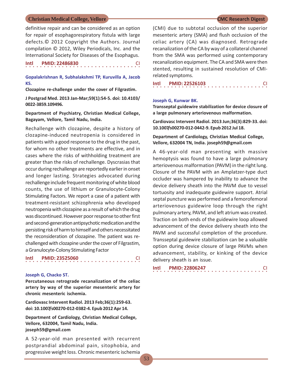definitive repair and can be considered as an option for repair of esophagorespiratory fistula with large defects.© 2012 Copyright the Authors. Journal compilation © 2012, Wiley Periodicals, Inc. and the International Society for Diseases of the Esophagus.

| Intl | <b>PMID: 22486830</b> |  |
|------|-----------------------|--|
|      |                       |  |

**Gopalakrishnan R, Subhalakshmi TP, Kuruvilla A, Jacob KS.**

**Clozapine re-challenge under the cover of Filgrastim.**

**J Postgrad Med. 2013 Jan-Mar;59(1):54-5. doi: 10.4103/ 0022-3859.109496.**

**Department of Psychiatry, Christian Medical College, Bagayam, Vellore, Tamil Nadu, India.**

Rechallenge with clozapine, despite a history of clozapine-induced neutropenia is considered in patients with a good response to the drug in the past, for whom no other treatments are effective, and in cases where the risks of withholding treatment are greater than the risks of rechallenge. Dyscrasias that occur during rechallenge are reportedly earlier in onset and longer lasting. Strategies advocated during rechallenge include frequent monitoring of white blood counts, the use of lithium or Granulocyte-Colony Stimulating Factors. We report a case of a patient with treatment-resistant schizophrenia who developed neutropenia with clozapine as a result of which the drug was discontinued. However poor response to other first and second-generation antipsychotic medication and the persisting risk of harm to himself and others necessitated the reconsideration of clozapine. The patient was rechallenged with clozapine under the cover of Filgrastim, a Granulocyte-Colony Stimulating Factor

### **Intl PMID: 23525060**

○○○○○○○○○○○○○○○○ ○○○○○○○○○○○○○○○○

### **Joseph G, Chacko ST.**

**Percutaneous retrograde recanalization of the celiac artery by way of the superior mesenteric artery for chronic mesenteric ischemia.**

**Cardiovasc Intervent Radiol. 2013 Feb;36(1):259-63. doi: 10.1007/s00270-012-0382-4. Epub 2012 Apr 14.**

**Department of Cardiology, Christian Medical College, Vellore, 632004, Tamil Nadu, India. joseph59@gmail.com**

A 52-year-old man presented with recurrent postprandial abdominal pain, sitophobia, and progressive weight loss. Chronic mesenteric ischemia

(CMI) due to subtotal occlusion of the superior mesenteric artery (SMA) and flush occlusion of the celiac artery (CA) was diagnosed. Retrograde recanalization of the CA by way of a collateral channel from the SMA was performed using contemporary recanalization equipment. The CA and SMA were then stented, resulting in sustained resolution of CMIrelated symptoms.

○○○○○○○○○○○○○○○○ ○○○○○○○○○○○○○○○○ **Intl PMID: 22526103** CI

### **Joseph G, Kunwar BK.**

**Transseptal guidewire stabilization for device closure of a large pulmonary arteriovenous malformation.**

**Cardiovasc Intervent Radiol. 2013 Jun;36(3):829-33. doi: 10.1007/s00270-012-0442-9. Epub 2012 Jul 18.**

### **Department of Cardiology, Christian Medical College, Vellore, 632004 TN, India. joseph59@gmail.com**

A 46-year-old man presenting with massive hemoptysis was found to have a large pulmonary arteriovenous malformation (PAVM) in the right lung. Closure of the PAVM with an Amplatzer-type duct occluder was hampered by inability to advance the device delivery sheath into the PAVM due to vessel tortuosity and inadequate guidewire support. Atrial septal puncture was performed and a femorofemoral arteriovenous guidewire loop through the right pulmonary artery, PAVM, and left atrium was created. Traction on both ends of the guidewire loop allowed advancement of the device delivery sheath into the PAVM and successful completion of the procedure. Transseptal guidewire stabilization can be a valuable option during device closure of large PAVMs when advancement, stability, or kinking of the device delivery sheath is an issue.

○○○○○○○○○○○○○○○○ ○○○○○○○○○○○○○○○○ **Intl PMID: 22806247** CI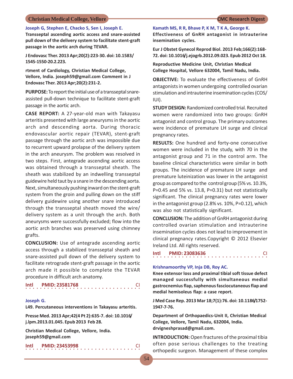### **Joseph G, Stephen E, Chacko S, Sen I, Joseph E.**

**Transseptal ascending aortic access and snare-assisted pull down of the delivery system to facilitate stent-graft passage in the aortic arch during TEVAR.**

**J Endovasc Ther. 2013 Apr;20(2):223-30. doi: 10.1583/ 1545-1550-20.2.223.**

**rtment of Cardiology, Christian Medical College, Vellore, India. joseph59@gmail.com Comment in J Endovasc Ther. 2013 Apr;20(2):231-2.**

**PURPOSE:** To report the initial use of a transseptal snareassisted pull-down technique to facilitate stent-graft passage in the aortic arch.

**CASE REPORT:** A 27-year-old man with Takayasu arteritis presented with large aneurysms in the aortic arch and descending aorta. During thoracic endovascular aortic repair (TEVAR), stent-graft passage through the aortic arch was impossible due to recurrent upward prolapse of the delivery system in the arch aneurysm. The problem was resolved in two steps. First, antegrade ascending aortic access was obtained through a transseptal sheath. The sheath was stabilized by an indwelling transseptal guidewire held taut by a snare in the descending aorta. Next, simultaneously pushing inward on the stent-graft system from the groin and pulling down on the stiff delivery guidewire using another snare introduced through the transseptal sheath moved the wire/ delivery system as a unit through the arch. Both aneurysms were successfully excluded; flow into the aortic arch branches was preserved using chimney grafts.

**CONCLUSION:** Use of antegrade ascending aortic access through a stabilized transseptal sheath and snare-assisted pull down of the delivery system to facilitate retrograde stent-graft passage in the aortic arch made it possible to complete the TEVAR procedure in difficult arch anatomy.

○○○○○○○○○○○○○○○○ ○○○○○○○○○○○○○○○○ **Intl PMID: 23581768** CI

### **Joseph G.**

**L49. Percutaneous interventions in Takayasu arteritis.**

○○○○○○○○○○○○○○○○ ○○○○○○○○○○○○○○○○

**Presse Med. 2013 Apr;42(4 Pt 2):635-7. doi: 10.1016/ j.lpm.2013.01.045. Epub 2013 Feb 28.**

**Christian Medical College, Vellore, India. joseph59@gmail.com**

**Intl PMID: 23453998** CI

**Kamath MS, R R, Bhave P, K M, T K A, George K.**

**Effectiveness of GnRH antagonist in intrauterine insemination cycles.**

**Eur J Obstet Gynecol Reprod Biol. 2013 Feb;166(2):168- 72. doi: 10.1016/j.ejogrb.2012.09.023. Epub 2012 Oct 18.**

**Reproductive Medicine Unit, Christian Medical College Hospital, Vellore 632004, Tamil Nadu, India.**

**OBJECTIVE:** To evaluate the effectiveness of GnRH antagonists in women undergoing controlled ovarian stimulation and intrauterine insemination cycles (COS/ IUI).

**STUDY DESIGN:** Randomized controlled trial. Recruited women were randomized into two groups: GnRH antagonist and control group. The primary outcomes were incidence of premature LH surge and clinical pregnancy rates.

**RESULTS:** One hundred and forty-one consecutive women were included in the study, with 70 in the antagonist group and 71 in the control arm. The baseline clinical characteristics were similar in both groups. The incidence of premature LH surge and premature luteinization was lower in the antagonist group as compared to the control group (5% vs. 10.3%,  $P=0.45$  and 5% vs. 13.8,  $P=0.31$ ) but not statistically significant. The clinical pregnancy rates were lower in the antagonist group (2.8% vs. 10%, P=0.12), which was also not statistically significant.

**CONCLUSION:** The addition of GnRH antagonist during controlled ovarian stimulation and intrauterine insemination cycles does not lead to improvement in clinical pregnancy rates.Copyright © 2012 Elsevier Ireland Ltd. All rights reserved.

| Intl |  |  | <b>PMID: 23083636</b> |  |  |  |  |  |  |  |  |  |  |  |  |  |
|------|--|--|-----------------------|--|--|--|--|--|--|--|--|--|--|--|--|--|
|      |  |  |                       |  |  |  |  |  |  |  |  |  |  |  |  |  |

### **Krishnamoorthy VP, Inja DB, Roy AC.**

**Knee extensor loss and proximal tibial soft tissue defect managed successfully with simultaneous medial gastrocnemius flap, saphenous fasciocutaneous flap and medial hemisoleus flap: a case report.**

**J Med Case Rep. 2013 Mar 18;7(1):76. doi: 10.1186/1752- 1947-7-76.**

**Department of Orthopaedics-Unit II, Christian Medical College, Vellore, Tamil Nadu, 632004, India. drvigneshprasad@gmail.com.**

**INTRODUCTION:** Open fractures of the proximal tibia often pose serious challenges to the treating orthopedic surgeon. Management of these complex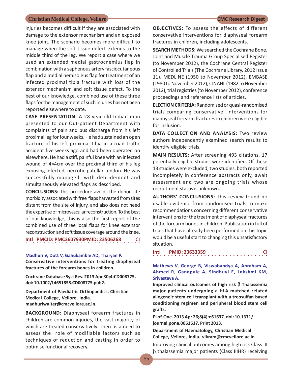injuries becomes difficult if they are associated with damage to the extensor mechanism and an exposed knee joint. The scenario becomes more difficult to manage when the soft tissue defect extends to the middle third of the leg. We report a case where we used an extended medial gastrocnemius flap in combination with a saphenous artery fasciocutaneous flap and a medial hemisoleus flap for treatment of an infected proximal tibia fracture with loss of the extensor mechanism and soft tissue defect. To the best of our knowledge, combined use of these three flaps for the management of such injuries has not been reported elsewhere to date.

**CASE PRESENTATION:** A 28-year-old Indian man presented to our Out-patient Department with complaints of pain and pus discharge from his left proximal leg for four weeks. He had sustained an open fracture of his left proximal tibia in a road traffic accident five weeks ago and had been operated on elsewhere. He had a stiff, painful knee with an infected wound of 4×4cm over the proximal third of his leg exposing infected, necrotic patellar tendon. He was successfully managed with debridement and simultaneously elevated flaps as described.

**CONCLUSIONS:** This procedure avoids the donor site morbidity associated with free flaps harvested from sites distant from the site of injury, and also does not need the expertise of microvascular reconstruction. To the best of our knowledge, this is also the first report of the combined use of three local flaps for knee extensor reconstruction and soft tissue coverage around the knee.

○○○○○○○○○○○○○○○○ ○○○○○○○○○○○○○○○○ **Intl PMCID: PMC3607930PMID: 23506268** 

### **Madhuri V, Dutt V, Gahukamble AD, Tharyan P.**

**Conservative interventions for treating diaphyseal fractures of the forearm bones in children.**

**Cochrane Database Syst Rev. 2013 Apr 30;4:CD008775. doi: 10.1002/14651858.CD008775.pub2.**

**Department of Paediatric Orthopaedics, Christian Medical College, Vellore, India. madhuriwalter@cmcvellore.ac.in.**

**BACKGROUND:** Diaphyseal forearm fractures in children are common injuries, the vast majority of which are treated conservatively. There is a need to assess the role of modifiable factors such as techniques of reduction and casting in order to optimise functional recovery.

**OBJECTIVES:** To assess the effects of different conservative interventions for diaphyseal forearm fractures in children, including adolescents.

**SEARCH METHODS:** We searched the Cochrane Bone, Joint and Muscle Trauma Group Specialised Register (to November 2012), the Cochrane Central Register of Controlled Trials (The Cochrane Library, 2012 Issue 11), MEDLINE (1950 to November 2012), EMBASE (1980 to November 2012), CINAHL (1982 to November 2012), trial registries (to November 2012), conference proceedings and reference lists of articles.

**ELECTION CRITERIA:** Randomised or quasi-randomised trials comparing conservative interventions for diaphyseal forearm fractures in children were eligible for inclusion.

**DATA COLLECTION AND ANALYSIS:** Two review authors independently examined search results to identify eligible trials.

**MAIN RESULTS:** After screening 493 citations, 17 potentially eligible studies were identified. Of these 13 studies were excluded, two studies, both reported incompletely in conference abstracts only, await assessment and two are ongoing trials whose recruitment status is unknown.

**AUTHORS' CONCLUSIONS:** This review found no usable evidence from randomised trials to make recommendations concerning different conservative interventions for the treatment of diaphyseal fractures of the forearm bones in children. Publication in full of trials that have already been performed on this topic would be a useful start to changing this unsatisfactory situation.

|  |  |  | Intl PMID: 23633359 |  |  |  |  |  |  |  |  |  |  |  |  |  |
|--|--|--|---------------------|--|--|--|--|--|--|--|--|--|--|--|--|--|
|  |  |  |                     |  |  |  |  |  |  |  |  |  |  |  |  |  |

### **Mathews V, George B, Viswabandya A, Abraham A, Ahmed R, Ganapule A, Sindhuvi E, Lakshmi KM, Srivastava A.**

**Improved clinical outcomes of high risk Thalassemia major patients undergoing a HLA matched related allogeneic stem cell transplant with a treosulfan based conditioning regimen and peripheral blood stem cell grafts.**

**PLoS One. 2013 Apr 26;8(4):e61637. doi: 10.1371/ journal.pone.0061637. Print 2013.**

### **Department of Haematology, Christian Medical College, Vellore, India. vikram@cmcvellore.ac.in**

Improving clinical outcomes among high risk Class III  $\beta$  thalassemia major patients (Class IIIHR) receiving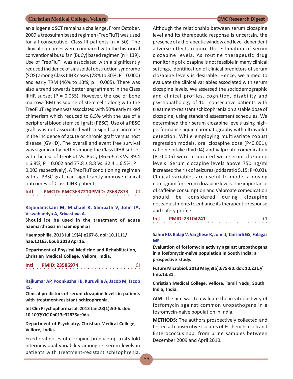an allogeneic SCT remains a challenge. From October, 2009 a treosulfan based regimen (TreoFluT) was used for all consecutive Class III patients ( $n = 50$ ). The clinical outcomes were compared with the historical conventional busulfan (BuCy) based regimen (n = 139). Use of TreoFluT was associated with a significantly reduced incidence of sinusoidal obstruction syndrome (SOS) among Class IIIHR cases (78% to 30%; P = 0.000) and early TRM (46% to 13%;  $p = 0.005$ ). There was also a trend towards better engraftment in the Class IIIHR subset ( $P = 0.055$ ). However, the use of bone marrow (BM) as source of stem cells along with the TreoFluT regimen was associated with 50% early mixed chimerism which reduced to 8.5% with the use of a peripheral blood stem cell graft (PBSC). Use of a PBSC graft was not associated with a significant increase in the incidence of acute or chronic graft versus host disease (GVHD). The overall and event free survival was significantly better among the Class IIIHR subset with the use of TreoFluT Vs. BuCy ( $86.6 \pm 7.3$  Vs. 39.4  $\pm$  6.8%; P = 0.002 and 77.8  $\pm$  8.8 Vs. 32.4  $\pm$  6.5%; P = 0.003 respectively). A TreoFluT conditioning regimen with a PBSC graft can significantly improve clinical outcomes of Class IIIHR patients.

## **Intl PMCID: PMC3637210PMID: 23637873 CI**

**Rajamanickam M, Michael R, Sampath V, John JA, Viswabandya A, Srivastava A.**

**Should ice be used in the treatment of acute haemarthrosis in haemophilia?**

**Haemophilia. 2013 Jul;19(4):e267-8. doi: 10.1111/ hae.12163. Epub 2013 Apr 16.**

**Department of Physical Medicine and Rehabilitation, Christian Medical College, Vellore, India.**

○○○○○○○○○ **Intl PMID: 23586974** 

**Rajkumar AP, Poonkuzhali B, Kuruvilla A, Jacob M, Jacob KS.**

**Clinical predictors of serum clozapine levels in patients with treatment-resistant schizophrenia.**

**Int Clin Psychopharmacol. 2013 Jan;28(1):50-6. doi: 10.1097/YIC.0b013e32835ac9da.**

**Department of Psychiatry, Christian Medical College, Vellore, India.**

Fixed oral doses of clozapine produce up to 45-fold interindividual variability among its serum levels in patients with treatment-resistant schizophrenia.

Although the relationship between serum clozapine level and its therapeutic response is uncertain, the presence of a therapeutic window and level-dependent adverse effects require the estimation of serum clozapine levels. As routine therapeutic drug monitoring of clozapine is not feasible in many clinical settings, identification of clinical predictors of serum clozapine levels is desirable. Hence, we aimed to evaluate the clinical variables associated with serum clozapine levels. We assessed the sociodemographic and clinical profiles, cognition, disability and psychopathology of 101 consecutive patients with treatment-resistant schizophrenia on a stable dose of clozapine, using standard assessment schedules. We determined their serum clozapine levels using highperformance liquid chromatography with ultraviolet detection. While employing multivariate robust regression models, oral clozapine dose (P<0.001), caffeine intake (P=0.04) and Valproate comedication (P=0.005) were associated with serum clozapine levels. Serum clozapine levels above 750 ng/ml increased the risk of seizures (odds ratio 5.15; P=0.03). Clinical variables are useful to model a dosing nomogram for serum clozapine levels. The importance of caffeine consumption and Valproate comedication should be considered during clozapine doseadjustments to enhance its therapeutic response and safety profile.

○○○○○○○○○○○○○○○○ ○○○○○○○○○○○○○○○○ **Intl PMID: 23104241** CI

### **Sahni RD, Balaji V, Varghese R, John J, Tansarli GS, Falagas ME.**

**Evaluation of fosfomycin activity against uropathogens in a fosfomycin-naïve population in South India: a prospective study.**

**Future Microbiol. 2013 May;8(5):675-80. doi: 10.2217/ fmb.13.31.**

**Christian Medical College, Vellore, Tamil Nadu, South India, India.**

**AIM:** The aim was to evaluate the in vitro activity of fosfomycin against common uropathogens in a fosfomycin-naive population in India.

**METHODS:** The authors prospectively collected and tested all consecutive isolates of Escherichia coli and Enterococcus spp. from urine samples between December 2009 and April 2010.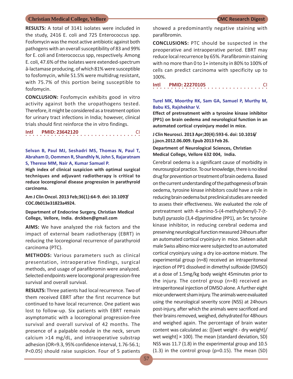**RESULTS:** A total of 3141 isolates were included in the study, 2416 E. coli and 725 Enterococcus spp. Fosfomycin was the most active antibiotic against both pathogens with an overall susceptibility of 83 and 99% for E. coli and Enterococcus spp, respectively. Among E. coli, 47.6% of the isolates were extended-spectrum â-lactamase producing, of which 81% were susceptible to fosfomycin, while 51.5% were multidrug resistant, with 75.7% of this portion being susceptible to fosfomycin.

**CONCLUSION:** Fosfomycin exhibits good in vitro activity against both the uropathogens tested. Therefore, it might be considered as a treatment option for urinary tract infections in India; however, clinical trials should first reinforce the in vitro findings.

## ○○○○○○○○○○○○○○○○ ○○○○○○○○○○○○○○○○ **Intl PMID: 23642120** CI

### **Selvan B, Paul MJ, Seshadri MS, Thomas N, Paul T, Abraham D, Oommen R, Shandhly N, John S, Rajaratnam S, Therese MM, Nair A, Kumar Samuel P.**

**High index of clinical suspicion with optimal surgical techniques and adjuvant radiotherapy is critical to reduce locoregional disease progression in parathyroid carcinoma.**

**Am J Clin Oncol. 2013 Feb;36(1):64-9. doi: 10.1097/ COC.0b013e31823a4924.**

### **Department of Endocrine Surgery, Christian Medical College, Vellore, India. drckben@gmail.com**

**AIMS:** We have analyzed the risk factors and the impact of external beam radiotherapy (EBRT) in reducing the locoregional recurrence of parathyroid carcinoma (PTC).

**METHODS:** Various parameters such as clinical presentation, intraoperative findings, surgical methods, and usage of parafibromin were analyzed. Selected endpoints were locoregional progression-free survival and overall survival.

**RESULTS:** Three patients had local recurrence. Two of them received EBRT after the first recurrence but continued to have local recurrence. One patient was lost to follow-up. Six patients with EBRT remain asymptomatic with a locoregional progression-free survival and overall survival of 42 months. The presence of a palpable nodule in the neck, serum calcium >14 mg/dL, and intraoperative substrap adhesion (OR=9.3, 95% confidence interval, 1.76-56.1; P<0.05) should raise suspicion. Four of 5 patients

showed a predominantly negative staining with parafibromin.

**CONCLUSIONS:** PTC should be suspected in the preoperative and intraoperative period. EBRT may reduce local recurrence by 65%. Parafibromin staining with no more than 0 to 1+ intensity in 80% to 100% of cells can predict carcinoma with specificity up to 100%.

○○○○○○○○○○○○○○○○ ○○○○○○○○○○○○○○○○ **Intl PMID: 22270105** CI

### **Turel MK, Moorthy RK, Sam GA, Samuel P, Murthy M, Babu KS, Rajshekhar V.**

**Effect of pretreatment with a tyrosine kinase inhibitor (PP1) on brain oedema and neurological function in an automated cortical cryoinjury model in mice.**

**J Clin Neurosci. 2013 Apr;20(4):593-6. doi: 10.1016/ j.jocn.2012.06.009. Epub 2013 Feb 26.**

### **Department of Neurological Sciences, Christian Medical College, Vellore 632 004, India.**

Cerebral oedema is a significant cause of morbidity in neurosurgical practice. To our knowledge, there is no ideal drug for prevention or treatment of brain oedema. Based on the current understanding of the pathogenesis of brain oedema, tyrosine kinase inhibitors could have a role in reducing brain oedema but preclinical studies are needed to assess their effectiveness. We evaluated the role of pretreatment with 4-amino-5-(4-methylphenyl)-7-(tbutyl) pyrazolo (3,4-d)pyrimidine (PP1), an Src tyrosine kinase inhibitor, in reducing cerebral oedema and preserving neurological function measured 24hours after an automated cortical cryoinjury in mice. Sixteen adult male Swiss albino mice were subjected to an automated cortical cryoinjury using a dry ice-acetone mixture. The experimental group (n=8) received an intraperitoneal injection of PP1 dissolved in dimethyl sulfoxide (DMSO) at a dose of 1.5mg/kg body weight 45minutes prior to the injury. The control group (n=8) received an intraperitoneal injection of DMSO alone. A further eight mice underwent sham injury. The animals were evaluated using the neurological severity score (NSS) at 24hours post-injury, after which the animals were sacrificed and their brains removed, weighed, dehydrated for 48hours and weighed again. The percentage of brain water content was calculated as: {[(wet weight - dry weight)/ wet weight] × 100}. The mean (standard deviation, SD) NSS was 11.7 (1.8) in the experimental group and 10.5 (1.3) in the control group (p=0.15). The mean (SD)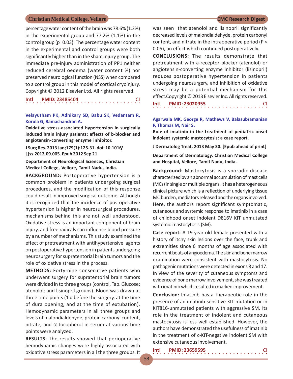percentage water content of the brain was 78.6% (1.3%) in the experimental group and 77.2% (1.1%) in the control group (p=0.03). The percentage water content in the experimental and control groups were both significantly higher than in the sham injury group. The immediate pre-injury administration of PP1 neither reduced cerebral oedema (water content %) nor preserved neurological function (NSS) when compared to a control group in this model of cortical cryoinjury. Copyright © 2012 Elsevier Ltd. All rights reserved.

| Intl | <b>PMID: 23485404</b> |  |
|------|-----------------------|--|
|      |                       |  |

**Velayutham PK, Adhikary SD, Babu SK, Vedantam R, Korula G, Ramachandran A.**

**Oxidative stress-associated hypertension in surgically induced brain injury patients: effects of b-blocker and angiotensin-converting enzyme inhibitor.**

**J Surg Res. 2013 Jan;179(1):125-31. doi: 10.1016/ j.jss.2012.09.005. Epub 2012 Sep 21.**

**Department of Neurological Sciences, Christian Medical College, Vellore, Tamil Nadu, India.**

**BACKGROUND:** Postoperative hypertension is a common problem in patients undergoing surgical procedures, and the modification of this response could result in improved surgical outcome. Although it is recognized that the incidence of postoperative hypertension is higher in neurosurgical procedures, mechanisms behind this are not well understood. Oxidative stress is an important component of brain injury, and free radicals can influence blood pressure by a number of mechanisms. This study examined the effect of pretreatment with antihypertensive agents on postoperative hypertension in patients undergoing neurosurgery for supratentorial brain tumors and the role of oxidative stress in the process.

**METHODS:** Forty-nine consecutive patients who underwent surgery for supratentorial brain tumors were divided in to three groups (control, Tab. Glucose; atenolol; and lisinopril groups). Blood was drawn at three time points (1 d before the surgery, at the time of dura opening, and at the time of extubation). Hemodynamic parameters in all three groups and levels of malondialdehyde, protein carbonyl content, nitrate, and  $\alpha$ -tocopherol in serum at various time points were analyzed.

**RESULTS:** The results showed that perioperative hemodynamic changes were highly associated with oxidative stress parameters in all the three groups. It

was seen that atenolol and lisinopril significantly decreased levels of malondialdehyde, protein carbonyl content, and nitrate in the intraoperative period (P < 0.05), an effect which continued postoperatively.

**CONCLUSIONS:** The results demonstrate that pretreatment with â-receptor blocker (atenolol) or angiotensin-converting enzyme inhibitor (lisinopril) reduces postoperative hypertension in patients undergoing neurosurgery, and inhibition of oxidative stress may be a potential mechanism for this effect.Copyright © 2013 Elsevier Inc. All rights reserved.

○○○○○○○○○○○○○○○○ ○○○○○○○○○○○○○○○○ **Intl PMID: 23020955** CI

### **Agarwala MK, George R, Mathews V, Balasubramanian P, Thomas M, Nair S.**

**Role of imatinib in the treatment of pediatric onset indolent systemic mastocytosis: a case report.**

**J Dermatolog Treat. 2013 May 30. [Epub ahead of print]**

**Department of Dermatology, Christian Medical College and Hospital, Vellore, Tamil Nadu, India.**

**Background:** Mastocytosis is a sporadic disease characterized by an abnormal accumulation of mast cells (MCs) in single or multiple organs. It has a heterogeneous clinical picture which is a reflection of underlying tissue MC burden, mediators released and the organs involved. Here, the authors report significant symptomatic, cutaneous and systemic response to imatinib in a case of childhood onset indolent D816V KIT unmutated systemic mastocytosis (SM).

**Case report:** A 19-year-old female presented with a history of itchy skin lesions over the face, trunk and extremities since 6 months of age associated with recurrent bouts of angioedema. The skin and bone marrow examination were consistent with mastocytosis. No pathogenic mutations were detected in exons 8 and 17. In view of the severity of cutaneous symptoms and evidence of bone marrow involvement, she was treated with imatinib which resulted in marked improvement.

**Conclusion:** Imatinib has a therapeutic role in the presence of an imatinib-sensitive KIT mutation or in KIT816-unmutated patients with aggressive SM. Its role in the treatment of indolent and cutaneous mastocytosis is less well established. However, the authors have demonstrated the usefulness of imatinib in the treatment of c-KIT-negative indolent SM with extensive cutaneous involvement.

| Intl |  | <b>PMID: 23659595</b> |  |  |  |  |  |  |  |  |  |  |  |  |  |
|------|--|-----------------------|--|--|--|--|--|--|--|--|--|--|--|--|--|
|      |  |                       |  |  |  |  |  |  |  |  |  |  |  |  |  |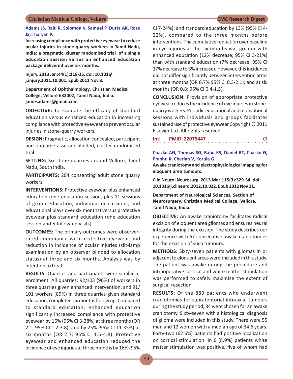### **Adams JS, Raju R, Solomon V, Samuel P, Dutta AK, Rose JS, Tharyan P.**

**Increasing compliance with protective eyewear to reduce ocular injuries in stone-quarry workers in Tamil Nadu, India: a pragmatic, cluster randomised trial of a single education session versus an enhanced education package delivered over six months.**

**Injury. 2013 Jan;44(1):118-25. doi: 10.1016/ j.injury.2011.10.001. Epub 2011 Nov 8.**

**Department of Ophthalmology, Christian Medical College, Vellore 632002, Tamil Nadu, India. jamesadams@gmail.com**

**OBJECTIVE:** To evaluate the efficacy of standard education versus enhanced education in increasing compliance with protective eyewear to prevent ocular injuries in stone-quarry workers.

**DESIGN:** Pragmatic, allocation concealed, participant and outcome assessor blinded, cluster randomised trial.

**SETTING:** Six stone-quarries around Vellore, Tamil Nadu, South India.

**PARTICIPANTS:** 204 consenting adult stone quarry workers.

**INTERVENTIONS:** Protective eyewear plus enhanced education (one education session, plus 11 sessions of group education, individual discussions, and educational plays over six months) versus protective eyewear plus standard education (one education session and 5 follow up visits).

**OUTCOMES:** The primary outcomes were observerrated compliance with protective eyewear and reduction in incidence of ocular injuries (slit-lamp examination by an observer blinded to allocation status) at three and six months. Analysis was by intention to treat.

**RESULTS:** Quarries and participants were similar at enrolment. All quarries; 92/103 (90%) of workers in three quarries given enhanced intervention, and 91/ 101 workers (89%) in three quarries given standard education, completed six months follow up. Compared to standard education, enhanced education significantly increased compliance with protective eyewear by 16% (95% CI 3-28%) at three months (OR 2.1; 95% CI 1.2-3.8); and by 25% (95% CI 11-35%) at six months (OR 2.7; 95% CI 1.5-4.8). Protective eyewear and enhanced education reduced the incidence of eye injuries at three months by 16% (95%

CI 7-24%); and standard education by 13% (95% CI 4- 22%), compared to the three months before interventions. The cumulative reduction over baseline in eye injuries at the six months was greater with enhanced education (12% decrease; 95% CI 3-21%) than with standard education (7% decrease; 95% CI 17% decrease to 3% increase). However, this incidence did not differ significantly between intervention arms at three months (OR 0.7% 95% CI 0.3-2.1); and at six months (OR 0.8; 95% CI 0.4-1.5).

**CONCLUSION:** Provision of appropriate protective eyewear reduces the incidence of eye injuries in stonequarry workers. Periodic educational and motivational sessions with individuals and groups facilitates sustained use of protective eyewear.Copyright © 2011 Elsevier Ltd. All rights reserved.

| Intl |  |  |  |  |  |  | <b>PMID: 22075447</b> |  |  |  |  |  |  |  |  |  |
|------|--|--|--|--|--|--|-----------------------|--|--|--|--|--|--|--|--|--|
|      |  |  |  |  |  |  |                       |  |  |  |  |  |  |  |  |  |

### **Chacko AG, Thomas SG, Babu KS, Daniel RT, Chacko G, Prabhu K, Cherian V, Korula G.**

**Awake craniotomy and electrophysiological mapping for eloquent area tumours.**

**Clin Neurol Neurosurg. 2013 Mar;115(3):329-34. doi: 10.1016/j.clineuro.2012.10.022. Epub 2012 Nov 21.**

**Department of Neurological Sciences, Section of Neurosurgery, Christian Medical College, Vellore, Tamil Nadu, India.**

**OBJECTIVE:** An awake craniotomy facilitates radical excision of eloquent area gliomas and ensures neural integrity during the excision. The study describes our experience with 67 consecutive awake craniotomies for the excision of such tumours.

**METHODS:** Sixty-seven patients with gliomas in or adjacent to eloquent areas were included in this study. The patient was awake during the procedure and intraoperative cortical and white matter stimulation was performed to safely maximize the extent of surgical resection.

**RESULTS:** Of the 883 patients who underwent craniotomies for supratentorial intraaxial tumours during the study period, 84 were chosen for an awake craniotomy. Sixty-seven with a histological diagnosis of glioma were included in this study. There were 55 men and 12 women with a median age of 34.6 years. Forty-two (62.6%) patients had positive localization on cortical stimulation. In 6 (8.9%) patients white matter stimulation was positive, five of whom had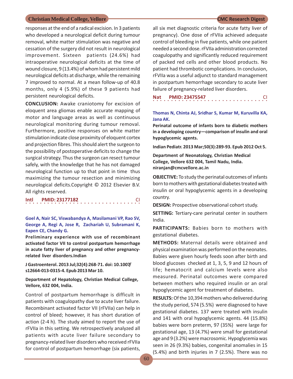responses at the end of a radical excision. In 3 patients who developed a neurological deficit during tumour removal, white matter stimulation was negative and cessation of the surgery did not result in neurological improvement. Sixteen patients (24.6%) had intraoperative neurological deficits at the time of wound closure, 9 (13.4%) of whom had persistent mild neurological deficits at discharge, while the remaining 7 improved to normal. At a mean follow-up of 40.8 months, only 4 (5.9%) of these 9 patients had persistent neurological deficits.

**CONCLUSION:** Awake craniotomy for excision of eloquent area gliomas enable accurate mapping of motor and language areas as well as continuous neurological monitoring during tumour removal. Furthermore, positive responses on white matter stimulation indicate close proximity of eloquent cortex and projection fibres. This should alert the surgeon to the possibility of postoperative deficits to change the surgical strategy. Thus the surgeon can resect tumour safely, with the knowledge that he has not damaged neurological function up to that point in time thus maximizing the tumour resection and minimizing neurological deficits.Copyright © 2012 Elsevier B.V. All rights reserved.

○○○○○○○○○○○○○○○○ ○○○○○○○○○○○○○○○○ **Intl PMID: 23177182** CI

**Goel A, Nair SC, Viswabandya A, Masilamani VP, Rao SV, George A, Regi A, Jose R, Zachariah U, Subramani K, Eapen CE, Chandy G.**

**Preliminary experience with use of recombinant activated factor VII to control postpartum hemorrhage in acute fatty liver of pregnancy and other pregnancyrelated liver disorders.Indian**

**J Gastroenterol. 2013 Jul;32(4):268-71. doi: 10.1007/ s12664-013-0315-4. Epub 2013 Mar 10.**

**Department of Hepatology, Christian Medical College, Vellore, 632 004, India.**

Control of postpartum hemorrhage is difficult in patients with coagulopathy due to acute liver failure. Recombinant activated factor VII (rFVIIa) can help in control of bleed; however, it has short duration of action (2-4 h). The study aimed to report the use of rFVIIa in this setting. We retrospectively analyzed all patients with acute liver failure secondary to pregnancy-related liver disorders who received rFVIIa for control of postpartum hemorrhage (six patients,

all six met diagnostic criteria for acute fatty liver of pregnancy). One dose of rFVIIa achieved adequate control of bleeding in five patients, while one patient needed a second dose. rFVIIa administration corrected coagulopathy and significantly reduced requirement of packed red cells and other blood products. No patient had thrombotic complications. In conclusion, rFVIIa was a useful adjunct to standard management in postpartum hemorrhage secondary to acute liver failure of pregnancy-related liver disorders.

|  |  |  |  |  |  |  | Nat PMID: 23475547 |  |  |  |  |  |  |  |  |  |
|--|--|--|--|--|--|--|--------------------|--|--|--|--|--|--|--|--|--|
|  |  |  |  |  |  |  |                    |  |  |  |  |  |  |  |  |  |

### **Thomas N, Chinta AJ, Sridhar S, Kumar M, Kuruvilla KA, Jana AK.**

**Perinatal outcome of infants born to diabetic mothers in a developing country—comparison of insulin and oral hypoglycemic agents.**

**Indian Pediatr. 2013 Mar;50(3):289-93. Epub 2012 Oct 5.**

**Department of Neonatology, Christian Medical College, Vellore 632 004, Tamil Nadu, India. niranjan@cmcvellore.ac.in**

**OBJECTIVE:** To study the perinatal outcomes of infants born to mothers with gestational diabetes treated with insulin or oral hypoglycemic agents in a developing country.

**DESIGN:** Prospective observational cohort study.

**SETTING:** Tertiary-care perinatal center in southern India.

**PARTICIPANTS:** Babies born to mothers with gestational diabetes.

**METHODS:** Maternal details were obtained and physical examination was performed on the neonates. Babies were given hourly feeds soon after birth and blood glucoses checked at 1, 3, 5, 9 and 12 hours of life; hematocrit and calcium levels were also measured. Perinatal outcomes were compared between mothers who required insulin or an oral hypoglycemic agent for treatment of diabetes.

**RESULTS:** Of the 10,394 mothers who delivered during the study period, 574 (5.5%) were diagnosed to have gestational diabetes. 137 were treated with insulin and 141 with oral hypoglycemic agents. 44 (15.8%) babies were born preterm, 97 (35%) were large for gestational age, 13 (4.7%) were small for gestational age and 9 (3.2%) were macrosomic. Hypoglycemia was seen in 26 (9.3%) babies, congenital anomalies in 15 (5.4%) and birth injuries in 7 (2.5%). There was no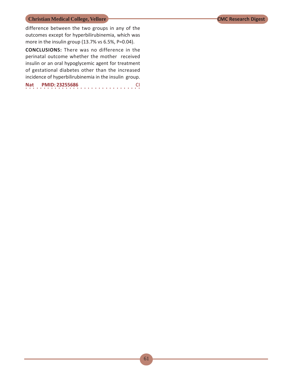difference between the two groups in any of the outcomes except for hyperbilirubinemia, which was more in the insulin group (13.7% vs 6.5%, P=0.04).

**CONCLUSIONS:** There was no difference in the perinatal outcome whether the mother received insulin or an oral hypoglycemic agent for treatment of gestational diabetes other than the increased incidence of hyperbilirubinemia in the insulin group.

○○○○○○○○○○○○○○○○ ○○○○○○○○○○○○○○○○ **Nat PMID: 23255686** CI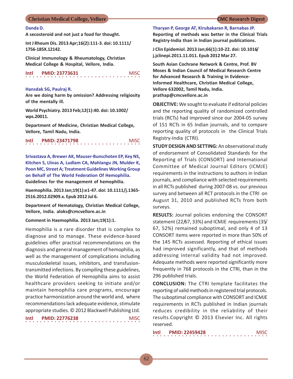### **Danda D.**

**A secosteroid and not just a food for thought.**

**Int J Rheum Dis. 2013 Apr;16(2):111-3. doi: 10.1111/ 1756-185X.12142.**

**Clinical Immunology & Rheumatology, Christian Medical College & Hospital, Vellore, India.**

○○○○○○○○○○○○○○○○ ○○○○○○○○○○○○○○○○ **Intl PMID: 23773631** MISC

### **Hansdak SG, Paulraj R.**

**Are we doing harm by omission? Addressing religiosity of the mentally ill.**

**World Psychiatry. 2013 Feb;12(1):40. doi: 10.1002/ wps.20011.**

**Department of Medicine, Christian Medical College, Vellore, Tamil Nadu, India.**

○○○○○○○○○○○○○○○○ ○○○○○○○○○○○○○○○○ **Intl PMID: 23471798** MISC

**Srivastava A, Brewer AK, Mauser-Bunschoten EP, Key NS, Kitchen S, Llinas A, Ludlam CA, Mahlangu JN, Mulder K, Poon MC, Street A; Treatment Guidelines Working Group on Behalf of The World Federation Of Hemophilia. Guidelines for the management of hemophilia.**

**Haemophilia. 2013 Jan;19(1):e1-47. doi: 10.1111/j.1365- 2516.2012.02909.x. Epub 2012 Jul 6.**

**Department of Hematology, Christian Medical College, Vellore, India. aloks@cmcvellore.ac.in**

### **Comment in Haemophilia. 2013 Jan;19(1):1.**

Hemophilia is a rare disorder that is complex to diagnose and to manage. These evidence-based guidelines offer practical recommendations on the diagnosis and general management of hemophilia, as well as the management of complications including musculoskeletal issues, inhibitors, and transfusiontransmitted infections. By compiling these guidelines, the World Federation of Hemophilia aims to assist healthcare providers seeking to initiate and/or maintain hemophilia care programs, encourage practice harmonization around the world and, where recommendations lack adequate evidence, stimulate appropriate studies. © 2012 Blackwell Publishing Ltd. **Intl PMID: 22776238** MISC

○○○○○○○○○○○○○○○○ ○○○○○○○○○○○○○○○○

**Tharyan P, George AT, Kirubakaran R, Barnabas JP.**

**Reporting of methods was better in the Clinical Trials Registry-India than in Indian journal publications.**

**J Clin Epidemiol. 2013 Jan;66(1):10-22. doi: 10.1016/ j.jclinepi.2011.11.011. Epub 2012 Mar 27.**

**South Asian Cochrane Network & Centre, Prof. BV Moses & Indian Council of Medical Research Centre for Advanced Research & Training in Evidence-Informed Healthcare, Christian Medical College, Vellore 632002, Tamil Nadu, India. prathap@cmcvellore.ac.in**

**OBJECTIVE:** We sought to evaluate if editorial policies and the reporting quality of randomized controlled trials (RCTs) had improved since our 2004-05 survey of 151 RCTs in 65 Indian journals, and to compare reporting quality of protocols in the Clinical Trials Registry-India (CTRI).

**STUDY DESIGN AND SETTING:** An observational study of endorsement of Consolidated Standards for the Reporting of Trials (CONSORT) and International Committee of Medical Journal Editors (ICMJE) requirements in the instructions to authors in Indian journals, and compliance with selected requirements in all RCTs published during 2007-08 vs. our previous survey and between all RCT protocols in the CTRI on August 31, 2010 and published RCTs from both surveys.

**RESULTS:** Journal policies endorsing the CONSORT statement (22/67, 33%) and ICMJE requirements (35/ 67, 52%) remained suboptimal, and only 4 of 13 CONSORT items were reported in more than 50% of the 145 RCTs assessed. Reporting of ethical issues had improved significantly, and that of methods addressing internal validity had not improved. Adequate methods were reported significantly more frequently in 768 protocols in the CTRI, than in the 296 published trials.

**CONCLUSION:** The CTRI template facilitates the reporting of valid methods in registered trial protocols. The suboptimal compliance with CONSORT and ICMJE requirements in RCTs published in Indian journals reduces credibility in the reliability of their results.Copyright © 2013 Elsevier Inc. All rights reserved.

 $\begin{array}{c} \n\text{Intl } \quad \text{PMID: } 22459428 \quad \text{MISC} \n\end{array}$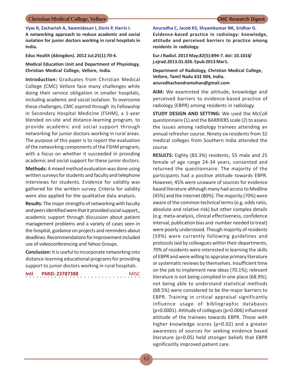**Vyas R, Zachariah A, Swamidasan I, Doris P, Harris I.**

**A networking approach to reduce academic and social isolation for junior doctors working in rural hospitals in India.**

**Educ Health (Abingdon). 2012 Jul;25(1):70-4.**

**Medical Education Unit and Department of Physiology, Christian Medical College, Vellore, India.**

**Introduction:** Graduates from Christian Medical College (CMC) Vellore face many challenges while doing their service obligation in smaller hospitals, including academic and social isolation. To overcome these challenges, CMC aspired through its Fellowship in Secondary Hospital Medicine (FSHM), a 1-year blended on-site and distance-learning program, to provide academic and social support through networking for junior doctors working in rural areas. The purpose of this paper is to report the evaluation of the networking components of the FSHM program, with a focus on whether it succeeded in providing academic and social support for these junior doctors.

**Methods:** A mixed method evaluation was done using written surveys for students and faculty and telephone interviews for students. Evidence for validity was gathered for the written survey. Criteria for validity were also applied for the qualitative data analysis.

**Results:** The major strengths of networking with faculty and peers identified were that it provided social support,, academic support through discussion about patient management problems and a variety of cases seen in the hospital, guidance on projects and reminders about deadlines. Recommendations for improvement included use of videoconferencing and Yahoo Groups.

**Conclusion:** It is useful to incorporate networking into distance-learning educational programs for providing support to junior doctors working in rural hospitals.

**Intl PMID: 23787388** MISC

○○○○○○○○○○○○○○○○ ○○○○○○○○○○○○○○○○

**Anuradha C, Jacob KS, Shyamkumar NK, Sridhar G. Evidence-based practice in radiology: knowledge, attitude and perceived barriers to practice among residents in radiology.**

**Eur J Radiol. 2013 May;82(5):894-7. doi: 10.1016/ j.ejrad.2013.01.026. Epub 2013 Mar1.**

**Department of Radiology, Christian Medical College, Vellore, Tamil Nadu 632 004, India. anuradhachandramohan@gmail.com**

**AIM:** We examinted the attitude, knowledge and perceived barriers to evidence-based practice of radiology (EBPR) among residents in radiology.

**STUDY DESIGN AND SETTING:** We used the McColl questionnaire (1) and the BARRIERS scale (2) to assess the issues among radiology trainees attending an annual refresher course. Ninety six residents from 32 medical colleges from Southern India attended the course.

**RESULTS:** Eighty (83.3%) residents, 55 male and 25 female of age range 24-34 years, consented and returned the questionnaire. The majority of the participants had a positive attitude towards EBPR. However, 45% were unaware of sources for evidence based literature although many had access to Medline (45%) and the internet (80%). The majority (70%) were aware of the common technical terms (e.g. odds ratio, absolute and relative risk) but other complex details (e.g. meta-analysis, clinical effectiveness, confidence interval, publication bias and number needed to treat) were poorly understood. Though majority of residents (59%) were currently following guidelines and protocols laid by colleagues within their departments, 70% of residents were interested in learning the skills of EBPR and were willing to appraise primary literature or systematic reviews by themselves. Insufficient time on the job to implement new ideas (70.1%); relevant literature is not being complied in one place (68.9%); not being able to understand statistical methods (68.5%) were considered to be the major barriers to EBPR. Training in critical appraisal significantly influence usage of bibliographic databases (p<0.0001). Attitude of collegues (p=0.006) influenced attitude of the trainees towards EBPR. Those with higher knowledge scores (p=0.02) and a greater awareness of sources for seeking evidence based literature (p=0.05) held stronger beliefs that EBPR significantly improved patient care.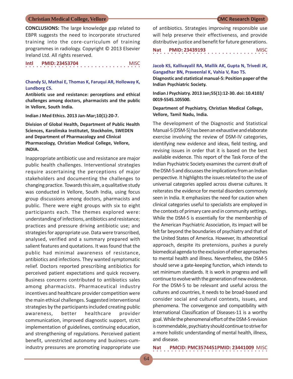**CONCLUSIONS:** The large knowledge gap related to EBPR suggests the need to incorporate structured training into the core-curriculum of training programmes in radiology. Copyright © 2013 Elsevier Ireland Ltd. All rights reserved.

| Intl |  | <b>PMID: 23453704</b> |  |  |  |  |  |  |  |  |  |  |  |  | <b>MISC</b> |  |
|------|--|-----------------------|--|--|--|--|--|--|--|--|--|--|--|--|-------------|--|
|      |  |                       |  |  |  |  |  |  |  |  |  |  |  |  |             |  |

### **Chandy SJ, Mathai E, Thomas K, Faruqui AR, Holloway K, Lundborg CS.**

**Antibiotic use and resistance: perceptions and ethical challenges among doctors, pharmacists and the public in Vellore, South India.**

**Indian J Med Ethics. 2013 Jan-Mar;10(1):20-7.**

**Division of Global Health, Department of Public Health Sciences, Karolinska Institutet, Stockholm, SWEDEN and Department of Pharmacology and Clinical Pharmacology, Christian Medical College, Vellore, INDIA.**

Inappropriate antibiotic use and resistance are major public health challenges. Interventional strategies require ascertaining the perceptions of major stakeholders and documenting the challenges to changing practice. Towards this aim, a qualitative study was conducted in Vellore, South India, using focus group discussions among doctors, pharmacists and public. There were eight groups with six to eight participants each. The themes explored were: understanding of infections, antibiotics and resistance; practices and pressure driving antibiotic use; and strategies for appropriate use. Data were transcribed, analysed, verified and a summary prepared with salient features and quotations. It was found that the public had minimal awareness of resistance, antibiotics and infections. They wanted symptomatic relief. Doctors reported prescribing antibiotics for perceived patient expectations and quick recovery. Business concerns contributed to antibiotics sales among pharmacists. Pharmaceutical industry incentives and healthcare provider competition were the main ethical challenges. Suggested interventional strategies by the participants included creating public awareness, better healthcare provider communication, improved diagnostic support, strict implementation of guidelines, continuing education, and strengthening of regulations. Perceived patient benefit, unrestricted autonomy and business-cumindustry pressures are promoting inappropriate use

of antibiotics. Strategies improving responsible use will help preserve their effectiveness, and provide distributive justice and benefit for future generations.

○○○○○○○○○○○○○○○○ ○○○○○○○○○○○○○○○○ **Nat PMID: 23439193** MISC

**Jacob KS, Kallivayalil RA, Mallik AK, Gupta N, Trivedi JK, Gangadhar BN, Praveenlal K, Vahia V, Rao TS.**

**Diagnostic and statistical manual-5: Position paper of the Indian Psychiatric Society.**

**Indian J Psychiatry. 2013 Jan;55(1):12-30. doi: 10.4103/ 0019-5545.105500.**

**Department of Psychiatry, Christian Medical College, Vellore, Tamil Nadu, India.**

The development of the Diagnostic and Statistical Manual-5 (DSM-5) has been an exhaustive and elaborate exercise involving the review of DSM-IV categories, identifying new evidence and ideas, field testing, and revising issues in order that it is based on the best available evidence. This report of the Task Force of the Indian Psychiatric Society examines the current draft of the DSM-5 and discusses the implications from an Indian perspective. It highlights the issues related to the use of universal categories applied across diverse cultures. It reiterates the evidence for mental disorders commonly seen in India. It emphasizes the need for caution when clinical categories useful to specialists are employed in the contexts of primary care and in community settings. While the DSM-5 is essentially for the membership of the American Psychiatric Association, its impact will be felt far beyond the boundaries of psychiatry and that of the United States of America. However, its atheoretical approach, despite its pretensions, pushes a purely biomedical agenda to the exclusion of other approaches to mental health and illness. Nevertheless, the DSM-5 should serve a gate-keeping function, which intends to set minimum standards. It is work in progress and will continue to evolve with the generation of new evidence. For the DSM-5 to be relevant and useful across the cultures and countries, it needs to be broad-based and consider social and cultural contexts, issues, and phenomena. The convergence and compatibility with International Classification of Diseases-11 is a worthy goal. While the phenomenal effort of the DSM-5 revision is commendable, psychiatry should continue to strive for a more holistic understanding of mental health, illness, and disease.

○○○○○○○○○○○○○○○○ ○○○○○○○○○○○○○○○○ **Nat PMCID: PMC3574451PMID: 23441009** MISC